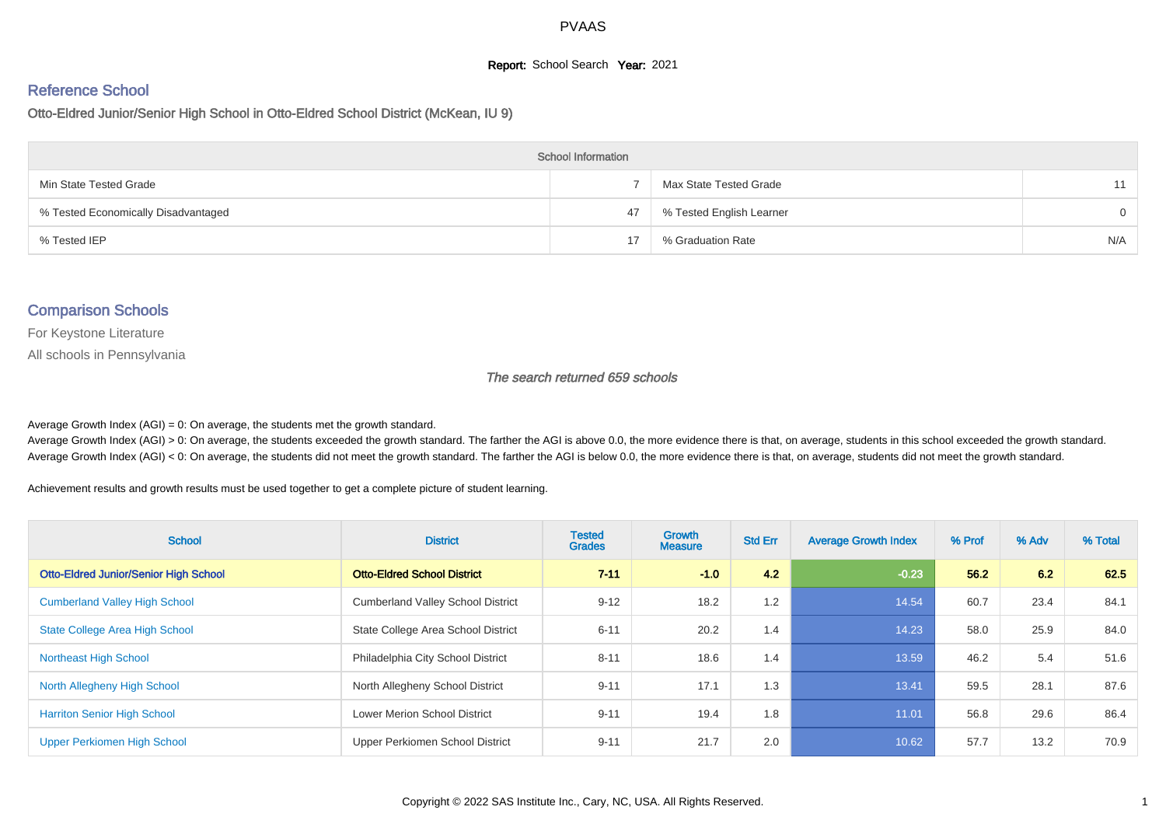#### **Report:** School Search **Year:** 2021

# Reference School

Otto-Eldred Junior/Senior High School in Otto-Eldred School District (McKean, IU 9)

| <b>School Information</b>           |    |                          |          |  |  |  |  |  |
|-------------------------------------|----|--------------------------|----------|--|--|--|--|--|
| Min State Tested Grade              |    | Max State Tested Grade   | 11       |  |  |  |  |  |
| % Tested Economically Disadvantaged | 47 | % Tested English Learner | $\Omega$ |  |  |  |  |  |
| % Tested IEP                        |    | % Graduation Rate        | N/A      |  |  |  |  |  |

#### Comparison Schools

For Keystone Literature

All schools in Pennsylvania

The search returned 659 schools

Average Growth Index  $(AGI) = 0$ : On average, the students met the growth standard.

Average Growth Index (AGI) > 0: On average, the students exceeded the growth standard. The farther the AGI is above 0.0, the more evidence there is that, on average, students in this school exceeded the growth standard. Average Growth Index (AGI) < 0: On average, the students did not meet the growth standard. The farther the AGI is below 0.0, the more evidence there is that, on average, students did not meet the growth standard.

Achievement results and growth results must be used together to get a complete picture of student learning.

| <b>School</b>                                | <b>District</b>                          | <b>Tested</b><br><b>Grades</b> | Growth<br><b>Measure</b> | <b>Std Err</b> | <b>Average Growth Index</b> | % Prof | % Adv | % Total |
|----------------------------------------------|------------------------------------------|--------------------------------|--------------------------|----------------|-----------------------------|--------|-------|---------|
| <b>Otto-Eldred Junior/Senior High School</b> | <b>Otto-Eldred School District</b>       | $7 - 11$                       | $-1.0$                   | 4.2            | $-0.23$                     | 56.2   | 6.2   | 62.5    |
| <b>Cumberland Valley High School</b>         | <b>Cumberland Valley School District</b> | $9 - 12$                       | 18.2                     | 1.2            | 14.54                       | 60.7   | 23.4  | 84.1    |
| <b>State College Area High School</b>        | State College Area School District       | $6 - 11$                       | 20.2                     | 1.4            | 14.23                       | 58.0   | 25.9  | 84.0    |
| <b>Northeast High School</b>                 | Philadelphia City School District        | $8 - 11$                       | 18.6                     | 1.4            | 13.59                       | 46.2   | 5.4   | 51.6    |
| North Allegheny High School                  | North Allegheny School District          | $9 - 11$                       | 17.1                     | 1.3            | 13.41                       | 59.5   | 28.1  | 87.6    |
| <b>Harriton Senior High School</b>           | <b>Lower Merion School District</b>      | $9 - 11$                       | 19.4                     | 1.8            | 11.01                       | 56.8   | 29.6  | 86.4    |
| Upper Perkiomen High School                  | Upper Perkiomen School District          | $9 - 11$                       | 21.7                     | 2.0            | 10.62                       | 57.7   | 13.2  | 70.9    |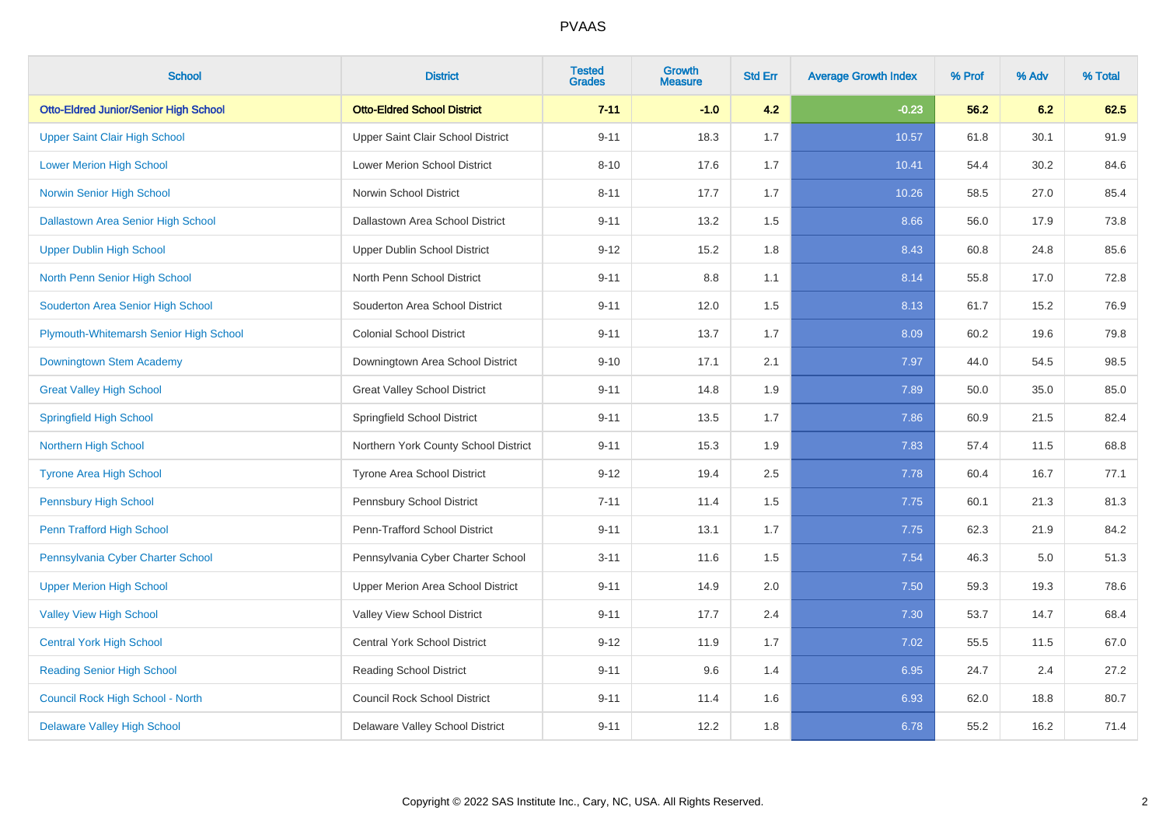| <b>School</b>                                | <b>District</b>                      | <b>Tested</b><br><b>Grades</b> | <b>Growth</b><br><b>Measure</b> | <b>Std Err</b> | <b>Average Growth Index</b> | % Prof | % Adv | % Total |
|----------------------------------------------|--------------------------------------|--------------------------------|---------------------------------|----------------|-----------------------------|--------|-------|---------|
| <b>Otto-Eldred Junior/Senior High School</b> | <b>Otto-Eldred School District</b>   | $7 - 11$                       | $-1.0$                          | 4.2            | $-0.23$                     | 56.2   | 6.2   | 62.5    |
| <b>Upper Saint Clair High School</b>         | Upper Saint Clair School District    | $9 - 11$                       | 18.3                            | 1.7            | 10.57                       | 61.8   | 30.1  | 91.9    |
| <b>Lower Merion High School</b>              | Lower Merion School District         | $8 - 10$                       | 17.6                            | 1.7            | 10.41                       | 54.4   | 30.2  | 84.6    |
| <b>Norwin Senior High School</b>             | Norwin School District               | $8 - 11$                       | 17.7                            | 1.7            | 10.26                       | 58.5   | 27.0  | 85.4    |
| <b>Dallastown Area Senior High School</b>    | Dallastown Area School District      | $9 - 11$                       | 13.2                            | 1.5            | 8.66                        | 56.0   | 17.9  | 73.8    |
| <b>Upper Dublin High School</b>              | <b>Upper Dublin School District</b>  | $9 - 12$                       | 15.2                            | 1.8            | 8.43                        | 60.8   | 24.8  | 85.6    |
| North Penn Senior High School                | North Penn School District           | $9 - 11$                       | 8.8                             | 1.1            | 8.14                        | 55.8   | 17.0  | 72.8    |
| Souderton Area Senior High School            | Souderton Area School District       | $9 - 11$                       | 12.0                            | 1.5            | 8.13                        | 61.7   | 15.2  | 76.9    |
| Plymouth-Whitemarsh Senior High School       | <b>Colonial School District</b>      | $9 - 11$                       | 13.7                            | 1.7            | 8.09                        | 60.2   | 19.6  | 79.8    |
| Downingtown Stem Academy                     | Downingtown Area School District     | $9 - 10$                       | 17.1                            | 2.1            | 7.97                        | 44.0   | 54.5  | 98.5    |
| <b>Great Valley High School</b>              | <b>Great Valley School District</b>  | $9 - 11$                       | 14.8                            | 1.9            | 7.89                        | 50.0   | 35.0  | 85.0    |
| <b>Springfield High School</b>               | Springfield School District          | $9 - 11$                       | 13.5                            | 1.7            | 7.86                        | 60.9   | 21.5  | 82.4    |
| <b>Northern High School</b>                  | Northern York County School District | $9 - 11$                       | 15.3                            | 1.9            | 7.83                        | 57.4   | 11.5  | 68.8    |
| <b>Tyrone Area High School</b>               | Tyrone Area School District          | $9 - 12$                       | 19.4                            | 2.5            | 7.78                        | 60.4   | 16.7  | 77.1    |
| <b>Pennsbury High School</b>                 | Pennsbury School District            | $7 - 11$                       | 11.4                            | 1.5            | 7.75                        | 60.1   | 21.3  | 81.3    |
| Penn Trafford High School                    | Penn-Trafford School District        | $9 - 11$                       | 13.1                            | 1.7            | 7.75                        | 62.3   | 21.9  | 84.2    |
| Pennsylvania Cyber Charter School            | Pennsylvania Cyber Charter School    | $3 - 11$                       | 11.6                            | 1.5            | 7.54                        | 46.3   | 5.0   | 51.3    |
| <b>Upper Merion High School</b>              | Upper Merion Area School District    | $9 - 11$                       | 14.9                            | 2.0            | 7.50                        | 59.3   | 19.3  | 78.6    |
| <b>Valley View High School</b>               | Valley View School District          | $9 - 11$                       | 17.7                            | 2.4            | 7.30                        | 53.7   | 14.7  | 68.4    |
| <b>Central York High School</b>              | <b>Central York School District</b>  | $9 - 12$                       | 11.9                            | 1.7            | 7.02                        | 55.5   | 11.5  | 67.0    |
| <b>Reading Senior High School</b>            | <b>Reading School District</b>       | $9 - 11$                       | 9.6                             | 1.4            | 6.95                        | 24.7   | 2.4   | 27.2    |
| Council Rock High School - North             | <b>Council Rock School District</b>  | $9 - 11$                       | 11.4                            | 1.6            | 6.93                        | 62.0   | 18.8  | 80.7    |
| <b>Delaware Valley High School</b>           | Delaware Valley School District      | $9 - 11$                       | 12.2                            | 1.8            | 6.78                        | 55.2   | 16.2  | 71.4    |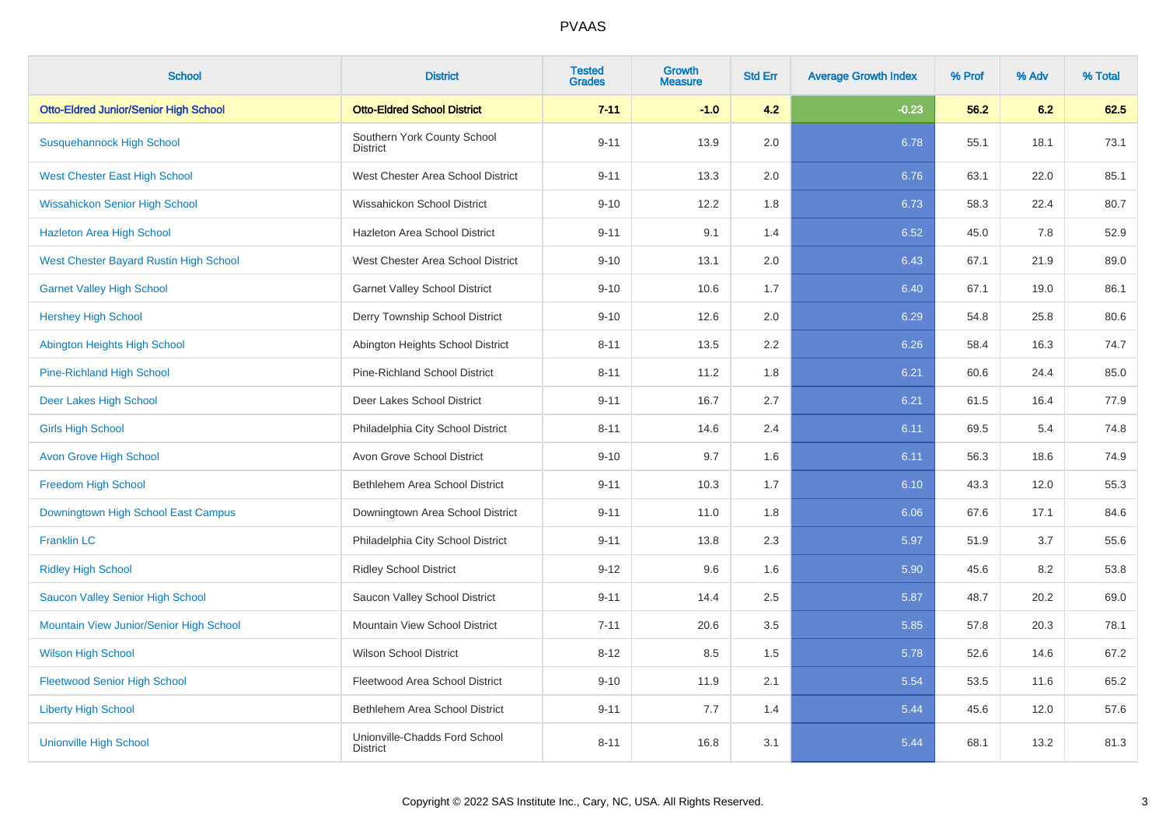| <b>School</b>                                | <b>District</b>                                  | <b>Tested</b><br><b>Grades</b> | Growth<br><b>Measure</b> | <b>Std Err</b> | <b>Average Growth Index</b> | % Prof | % Adv | % Total |
|----------------------------------------------|--------------------------------------------------|--------------------------------|--------------------------|----------------|-----------------------------|--------|-------|---------|
| <b>Otto-Eldred Junior/Senior High School</b> | <b>Otto-Eldred School District</b>               | $7 - 11$                       | $-1.0$                   | 4.2            | $-0.23$                     | 56.2   | 6.2   | 62.5    |
| <b>Susquehannock High School</b>             | Southern York County School<br><b>District</b>   | $9 - 11$                       | 13.9                     | 2.0            | 6.78                        | 55.1   | 18.1  | 73.1    |
| West Chester East High School                | West Chester Area School District                | $9 - 11$                       | 13.3                     | 2.0            | 6.76                        | 63.1   | 22.0  | 85.1    |
| <b>Wissahickon Senior High School</b>        | Wissahickon School District                      | $9 - 10$                       | 12.2                     | 1.8            | 6.73                        | 58.3   | 22.4  | 80.7    |
| <b>Hazleton Area High School</b>             | Hazleton Area School District                    | $9 - 11$                       | 9.1                      | 1.4            | 6.52                        | 45.0   | 7.8   | 52.9    |
| West Chester Bayard Rustin High School       | West Chester Area School District                | $9 - 10$                       | 13.1                     | 2.0            | 6.43                        | 67.1   | 21.9  | 89.0    |
| <b>Garnet Valley High School</b>             | <b>Garnet Valley School District</b>             | $9 - 10$                       | 10.6                     | 1.7            | 6.40                        | 67.1   | 19.0  | 86.1    |
| <b>Hershey High School</b>                   | Derry Township School District                   | $9 - 10$                       | 12.6                     | 2.0            | 6.29                        | 54.8   | 25.8  | 80.6    |
| Abington Heights High School                 | Abington Heights School District                 | $8 - 11$                       | 13.5                     | 2.2            | 6.26                        | 58.4   | 16.3  | 74.7    |
| <b>Pine-Richland High School</b>             | Pine-Richland School District                    | $8 - 11$                       | 11.2                     | 1.8            | 6.21                        | 60.6   | 24.4  | 85.0    |
| Deer Lakes High School                       | Deer Lakes School District                       | $9 - 11$                       | 16.7                     | 2.7            | 6.21                        | 61.5   | 16.4  | 77.9    |
| <b>Girls High School</b>                     | Philadelphia City School District                | $8 - 11$                       | 14.6                     | 2.4            | 6.11                        | 69.5   | 5.4   | 74.8    |
| <b>Avon Grove High School</b>                | Avon Grove School District                       | $9 - 10$                       | 9.7                      | 1.6            | 6.11                        | 56.3   | 18.6  | 74.9    |
| <b>Freedom High School</b>                   | Bethlehem Area School District                   | $9 - 11$                       | 10.3                     | 1.7            | 6.10                        | 43.3   | 12.0  | 55.3    |
| Downingtown High School East Campus          | Downingtown Area School District                 | $9 - 11$                       | 11.0                     | 1.8            | 6.06                        | 67.6   | 17.1  | 84.6    |
| <b>Franklin LC</b>                           | Philadelphia City School District                | $9 - 11$                       | 13.8                     | 2.3            | 5.97                        | 51.9   | 3.7   | 55.6    |
| <b>Ridley High School</b>                    | <b>Ridley School District</b>                    | $9 - 12$                       | 9.6                      | 1.6            | 5.90                        | 45.6   | 8.2   | 53.8    |
| Saucon Valley Senior High School             | Saucon Valley School District                    | $9 - 11$                       | 14.4                     | 2.5            | 5.87                        | 48.7   | 20.2  | 69.0    |
| Mountain View Junior/Senior High School      | Mountain View School District                    | $7 - 11$                       | 20.6                     | 3.5            | 5.85                        | 57.8   | 20.3  | 78.1    |
| <b>Wilson High School</b>                    | <b>Wilson School District</b>                    | $8 - 12$                       | 8.5                      | 1.5            | 5.78                        | 52.6   | 14.6  | 67.2    |
| <b>Fleetwood Senior High School</b>          | Fleetwood Area School District                   | $9 - 10$                       | 11.9                     | 2.1            | 5.54                        | 53.5   | 11.6  | 65.2    |
| <b>Liberty High School</b>                   | Bethlehem Area School District                   | $9 - 11$                       | 7.7                      | 1.4            | 5.44                        | 45.6   | 12.0  | 57.6    |
| <b>Unionville High School</b>                | Unionville-Chadds Ford School<br><b>District</b> | $8 - 11$                       | 16.8                     | 3.1            | 5.44                        | 68.1   | 13.2  | 81.3    |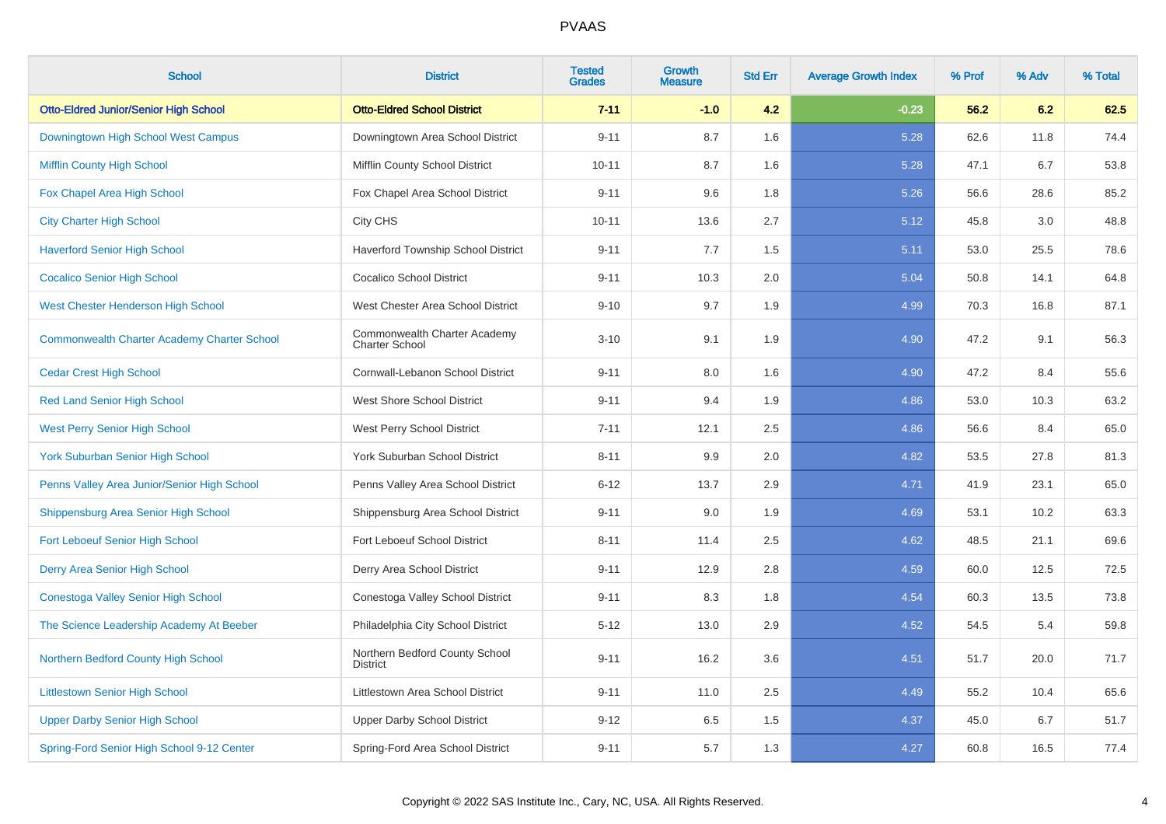| <b>School</b>                                      | <b>District</b>                                       | <b>Tested</b><br><b>Grades</b> | Growth<br><b>Measure</b> | <b>Std Err</b> | <b>Average Growth Index</b> | % Prof | % Adv | % Total |
|----------------------------------------------------|-------------------------------------------------------|--------------------------------|--------------------------|----------------|-----------------------------|--------|-------|---------|
| <b>Otto-Eldred Junior/Senior High School</b>       | <b>Otto-Eldred School District</b>                    | $7 - 11$                       | $-1.0$                   | 4.2            | $-0.23$                     | 56.2   | 6.2   | 62.5    |
| Downingtown High School West Campus                | Downingtown Area School District                      | $9 - 11$                       | 8.7                      | 1.6            | 5.28                        | 62.6   | 11.8  | 74.4    |
| <b>Mifflin County High School</b>                  | Mifflin County School District                        | $10 - 11$                      | 8.7                      | 1.6            | 5.28                        | 47.1   | 6.7   | 53.8    |
| Fox Chapel Area High School                        | Fox Chapel Area School District                       | $9 - 11$                       | 9.6                      | 1.8            | 5.26                        | 56.6   | 28.6  | 85.2    |
| <b>City Charter High School</b>                    | City CHS                                              | $10 - 11$                      | 13.6                     | 2.7            | 5.12                        | 45.8   | 3.0   | 48.8    |
| <b>Haverford Senior High School</b>                | Haverford Township School District                    | $9 - 11$                       | 7.7                      | 1.5            | 5.11                        | 53.0   | 25.5  | 78.6    |
| <b>Cocalico Senior High School</b>                 | <b>Cocalico School District</b>                       | $9 - 11$                       | 10.3                     | 2.0            | 5.04                        | 50.8   | 14.1  | 64.8    |
| West Chester Henderson High School                 | West Chester Area School District                     | $9 - 10$                       | 9.7                      | 1.9            | 4.99                        | 70.3   | 16.8  | 87.1    |
| <b>Commonwealth Charter Academy Charter School</b> | Commonwealth Charter Academy<br><b>Charter School</b> | $3 - 10$                       | 9.1                      | 1.9            | 4.90                        | 47.2   | 9.1   | 56.3    |
| <b>Cedar Crest High School</b>                     | Cornwall-Lebanon School District                      | $9 - 11$                       | 8.0                      | 1.6            | 4.90                        | 47.2   | 8.4   | 55.6    |
| <b>Red Land Senior High School</b>                 | <b>West Shore School District</b>                     | $9 - 11$                       | 9.4                      | 1.9            | 4.86                        | 53.0   | 10.3  | 63.2    |
| <b>West Perry Senior High School</b>               | West Perry School District                            | $7 - 11$                       | 12.1                     | 2.5            | 4.86                        | 56.6   | 8.4   | 65.0    |
| <b>York Suburban Senior High School</b>            | York Suburban School District                         | $8 - 11$                       | 9.9                      | 2.0            | 4.82                        | 53.5   | 27.8  | 81.3    |
| Penns Valley Area Junior/Senior High School        | Penns Valley Area School District                     | $6 - 12$                       | 13.7                     | 2.9            | 4.71                        | 41.9   | 23.1  | 65.0    |
| Shippensburg Area Senior High School               | Shippensburg Area School District                     | $9 - 11$                       | 9.0                      | 1.9            | 4.69                        | 53.1   | 10.2  | 63.3    |
| <b>Fort Leboeuf Senior High School</b>             | Fort Leboeuf School District                          | $8 - 11$                       | 11.4                     | 2.5            | 4.62                        | 48.5   | 21.1  | 69.6    |
| Derry Area Senior High School                      | Derry Area School District                            | $9 - 11$                       | 12.9                     | 2.8            | 4.59                        | 60.0   | 12.5  | 72.5    |
| Conestoga Valley Senior High School                | Conestoga Valley School District                      | $9 - 11$                       | 8.3                      | 1.8            | 4.54                        | 60.3   | 13.5  | 73.8    |
| The Science Leadership Academy At Beeber           | Philadelphia City School District                     | $5 - 12$                       | 13.0                     | 2.9            | 4.52                        | 54.5   | 5.4   | 59.8    |
| Northern Bedford County High School                | Northern Bedford County School<br><b>District</b>     | $9 - 11$                       | 16.2                     | 3.6            | 4.51                        | 51.7   | 20.0  | 71.7    |
| <b>Littlestown Senior High School</b>              | Littlestown Area School District                      | $9 - 11$                       | 11.0                     | 2.5            | 4.49                        | 55.2   | 10.4  | 65.6    |
| <b>Upper Darby Senior High School</b>              | <b>Upper Darby School District</b>                    | $9 - 12$                       | 6.5                      | 1.5            | 4.37                        | 45.0   | 6.7   | 51.7    |
| Spring-Ford Senior High School 9-12 Center         | Spring-Ford Area School District                      | $9 - 11$                       | 5.7                      | 1.3            | 4.27                        | 60.8   | 16.5  | 77.4    |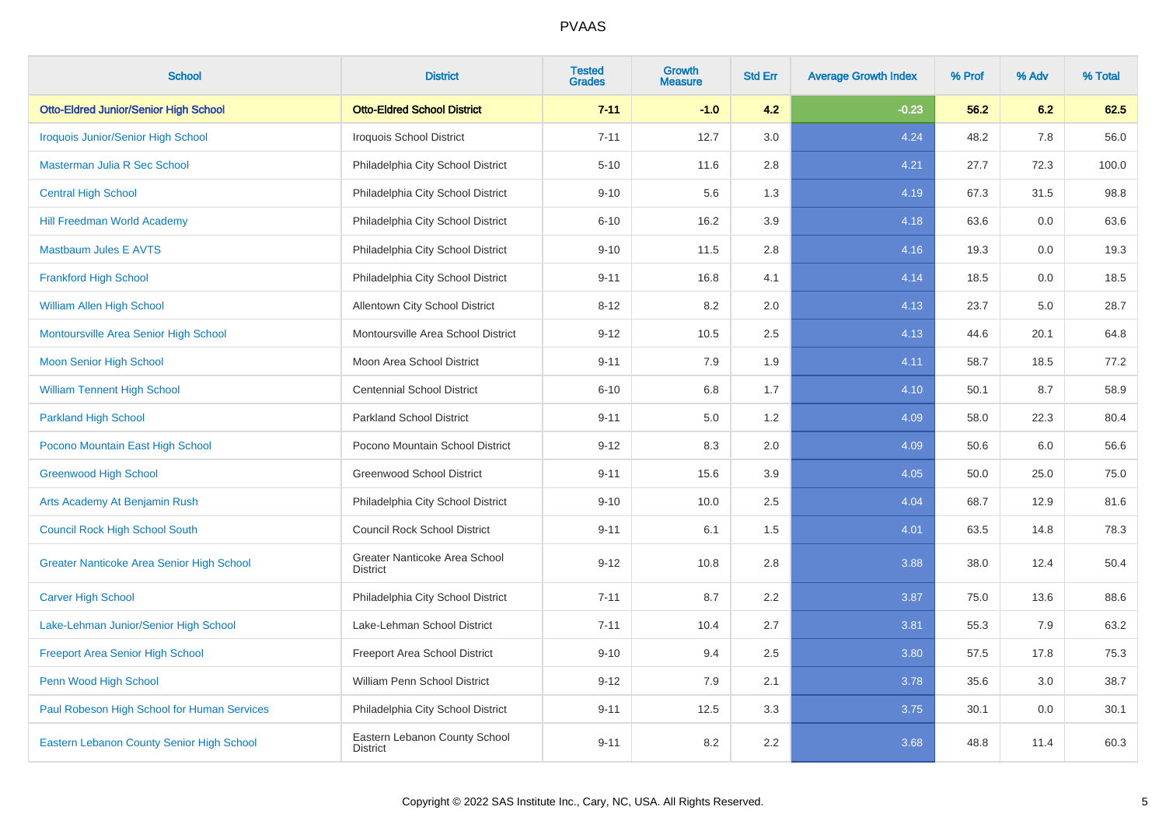| <b>School</b>                                | <b>District</b>                                  | <b>Tested</b><br><b>Grades</b> | Growth<br><b>Measure</b> | <b>Std Err</b> | <b>Average Growth Index</b> | % Prof | % Adv | % Total |
|----------------------------------------------|--------------------------------------------------|--------------------------------|--------------------------|----------------|-----------------------------|--------|-------|---------|
| <b>Otto-Eldred Junior/Senior High School</b> | <b>Otto-Eldred School District</b>               | $7 - 11$                       | $-1.0$                   | 4.2            | $-0.23$                     | 56.2   | 6.2   | 62.5    |
| <b>Iroquois Junior/Senior High School</b>    | <b>Iroquois School District</b>                  | $7 - 11$                       | 12.7                     | 3.0            | 4.24                        | 48.2   | 7.8   | 56.0    |
| Masterman Julia R Sec School                 | Philadelphia City School District                | $5 - 10$                       | 11.6                     | 2.8            | 4.21                        | 27.7   | 72.3  | 100.0   |
| <b>Central High School</b>                   | Philadelphia City School District                | $9 - 10$                       | 5.6                      | 1.3            | 4.19                        | 67.3   | 31.5  | 98.8    |
| <b>Hill Freedman World Academy</b>           | Philadelphia City School District                | $6 - 10$                       | 16.2                     | 3.9            | 4.18                        | 63.6   | 0.0   | 63.6    |
| <b>Mastbaum Jules E AVTS</b>                 | Philadelphia City School District                | $9 - 10$                       | 11.5                     | 2.8            | 4.16                        | 19.3   | 0.0   | 19.3    |
| <b>Frankford High School</b>                 | Philadelphia City School District                | $9 - 11$                       | 16.8                     | 4.1            | 4.14                        | 18.5   | 0.0   | 18.5    |
| William Allen High School                    | <b>Allentown City School District</b>            | $8 - 12$                       | 8.2                      | 2.0            | 4.13                        | 23.7   | 5.0   | 28.7    |
| Montoursville Area Senior High School        | Montoursville Area School District               | $9 - 12$                       | 10.5                     | 2.5            | 4.13                        | 44.6   | 20.1  | 64.8    |
| <b>Moon Senior High School</b>               | Moon Area School District                        | $9 - 11$                       | 7.9                      | 1.9            | 4.11                        | 58.7   | 18.5  | 77.2    |
| <b>William Tennent High School</b>           | <b>Centennial School District</b>                | $6 - 10$                       | 6.8                      | 1.7            | 4.10                        | 50.1   | 8.7   | 58.9    |
| <b>Parkland High School</b>                  | <b>Parkland School District</b>                  | $9 - 11$                       | 5.0                      | 1.2            | 4.09                        | 58.0   | 22.3  | 80.4    |
| Pocono Mountain East High School             | Pocono Mountain School District                  | $9 - 12$                       | 8.3                      | 2.0            | 4.09                        | 50.6   | 6.0   | 56.6    |
| <b>Greenwood High School</b>                 | <b>Greenwood School District</b>                 | $9 - 11$                       | 15.6                     | 3.9            | 4.05                        | 50.0   | 25.0  | 75.0    |
| Arts Academy At Benjamin Rush                | Philadelphia City School District                | $9 - 10$                       | 10.0                     | 2.5            | 4.04                        | 68.7   | 12.9  | 81.6    |
| <b>Council Rock High School South</b>        | <b>Council Rock School District</b>              | $9 - 11$                       | 6.1                      | 1.5            | 4.01                        | 63.5   | 14.8  | 78.3    |
| Greater Nanticoke Area Senior High School    | Greater Nanticoke Area School<br><b>District</b> | $9 - 12$                       | 10.8                     | 2.8            | 3.88                        | 38.0   | 12.4  | 50.4    |
| <b>Carver High School</b>                    | Philadelphia City School District                | $7 - 11$                       | 8.7                      | 2.2            | 3.87                        | 75.0   | 13.6  | 88.6    |
| Lake-Lehman Junior/Senior High School        | Lake-Lehman School District                      | $7 - 11$                       | 10.4                     | 2.7            | 3.81                        | 55.3   | 7.9   | 63.2    |
| <b>Freeport Area Senior High School</b>      | Freeport Area School District                    | $9 - 10$                       | 9.4                      | 2.5            | 3.80                        | 57.5   | 17.8  | 75.3    |
| Penn Wood High School                        | William Penn School District                     | $9 - 12$                       | 7.9                      | 2.1            | 3.78                        | 35.6   | 3.0   | 38.7    |
| Paul Robeson High School for Human Services  | Philadelphia City School District                | $9 - 11$                       | 12.5                     | 3.3            | 3.75                        | 30.1   | 0.0   | 30.1    |
| Eastern Lebanon County Senior High School    | Eastern Lebanon County School<br><b>District</b> | $9 - 11$                       | 8.2                      | 2.2            | 3.68                        | 48.8   | 11.4  | 60.3    |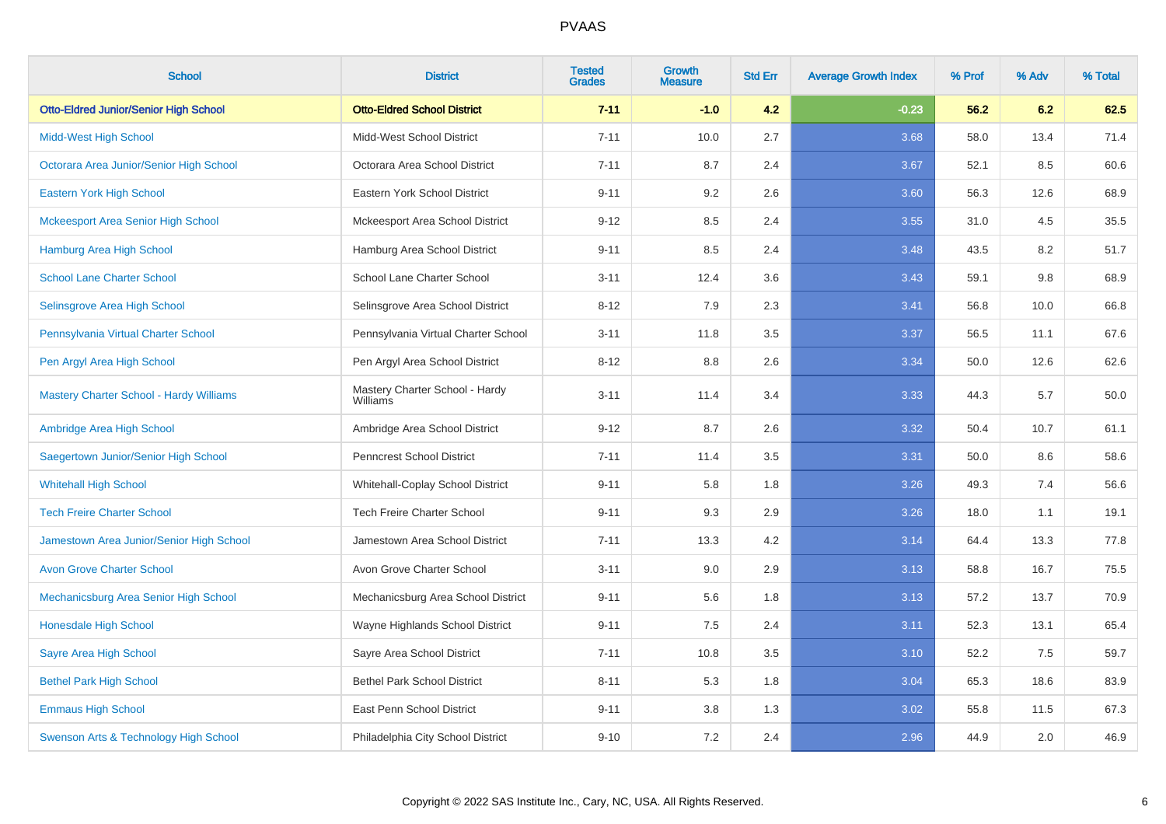| <b>School</b>                                  | <b>District</b>                            | <b>Tested</b><br><b>Grades</b> | <b>Growth</b><br><b>Measure</b> | <b>Std Err</b> | <b>Average Growth Index</b> | % Prof | % Adv | % Total |
|------------------------------------------------|--------------------------------------------|--------------------------------|---------------------------------|----------------|-----------------------------|--------|-------|---------|
| <b>Otto-Eldred Junior/Senior High School</b>   | <b>Otto-Eldred School District</b>         | $7 - 11$                       | $-1.0$                          | 4.2            | $-0.23$                     | 56.2   | 6.2   | 62.5    |
| <b>Midd-West High School</b>                   | Midd-West School District                  | $7 - 11$                       | 10.0                            | 2.7            | 3.68                        | 58.0   | 13.4  | 71.4    |
| Octorara Area Junior/Senior High School        | Octorara Area School District              | $7 - 11$                       | 8.7                             | 2.4            | 3.67                        | 52.1   | 8.5   | 60.6    |
| Eastern York High School                       | Eastern York School District               | $9 - 11$                       | 9.2                             | 2.6            | 3.60                        | 56.3   | 12.6  | 68.9    |
| <b>Mckeesport Area Senior High School</b>      | Mckeesport Area School District            | $9 - 12$                       | 8.5                             | 2.4            | 3.55                        | 31.0   | 4.5   | 35.5    |
| <b>Hamburg Area High School</b>                | Hamburg Area School District               | $9 - 11$                       | 8.5                             | 2.4            | 3.48                        | 43.5   | 8.2   | 51.7    |
| <b>School Lane Charter School</b>              | School Lane Charter School                 | $3 - 11$                       | 12.4                            | 3.6            | 3.43                        | 59.1   | 9.8   | 68.9    |
| Selinsgrove Area High School                   | Selinsgrove Area School District           | $8 - 12$                       | 7.9                             | 2.3            | 3.41                        | 56.8   | 10.0  | 66.8    |
| Pennsylvania Virtual Charter School            | Pennsylvania Virtual Charter School        | $3 - 11$                       | 11.8                            | 3.5            | 3.37                        | 56.5   | 11.1  | 67.6    |
| Pen Argyl Area High School                     | Pen Argyl Area School District             | $8 - 12$                       | 8.8                             | 2.6            | 3.34                        | 50.0   | 12.6  | 62.6    |
| <b>Mastery Charter School - Hardy Williams</b> | Mastery Charter School - Hardy<br>Williams | $3 - 11$                       | 11.4                            | 3.4            | 3.33                        | 44.3   | 5.7   | 50.0    |
| Ambridge Area High School                      | Ambridge Area School District              | $9 - 12$                       | 8.7                             | 2.6            | 3.32                        | 50.4   | 10.7  | 61.1    |
| Saegertown Junior/Senior High School           | Penncrest School District                  | $7 - 11$                       | 11.4                            | 3.5            | 3.31                        | 50.0   | 8.6   | 58.6    |
| <b>Whitehall High School</b>                   | Whitehall-Coplay School District           | $9 - 11$                       | 5.8                             | 1.8            | 3.26                        | 49.3   | 7.4   | 56.6    |
| <b>Tech Freire Charter School</b>              | <b>Tech Freire Charter School</b>          | $9 - 11$                       | 9.3                             | 2.9            | 3.26                        | 18.0   | 1.1   | 19.1    |
| Jamestown Area Junior/Senior High School       | Jamestown Area School District             | $7 - 11$                       | 13.3                            | 4.2            | 3.14                        | 64.4   | 13.3  | 77.8    |
| <b>Avon Grove Charter School</b>               | Avon Grove Charter School                  | $3 - 11$                       | 9.0                             | 2.9            | 3.13                        | 58.8   | 16.7  | 75.5    |
| Mechanicsburg Area Senior High School          | Mechanicsburg Area School District         | $9 - 11$                       | 5.6                             | 1.8            | 3.13                        | 57.2   | 13.7  | 70.9    |
| Honesdale High School                          | Wayne Highlands School District            | $9 - 11$                       | $7.5\,$                         | 2.4            | 3.11                        | 52.3   | 13.1  | 65.4    |
| Sayre Area High School                         | Sayre Area School District                 | $7 - 11$                       | 10.8                            | 3.5            | 3.10                        | 52.2   | 7.5   | 59.7    |
| <b>Bethel Park High School</b>                 | <b>Bethel Park School District</b>         | $8 - 11$                       | 5.3                             | 1.8            | 3.04                        | 65.3   | 18.6  | 83.9    |
| <b>Emmaus High School</b>                      | East Penn School District                  | $9 - 11$                       | 3.8                             | 1.3            | 3.02                        | 55.8   | 11.5  | 67.3    |
| Swenson Arts & Technology High School          | Philadelphia City School District          | $9 - 10$                       | 7.2                             | 2.4            | 2.96                        | 44.9   | 2.0   | 46.9    |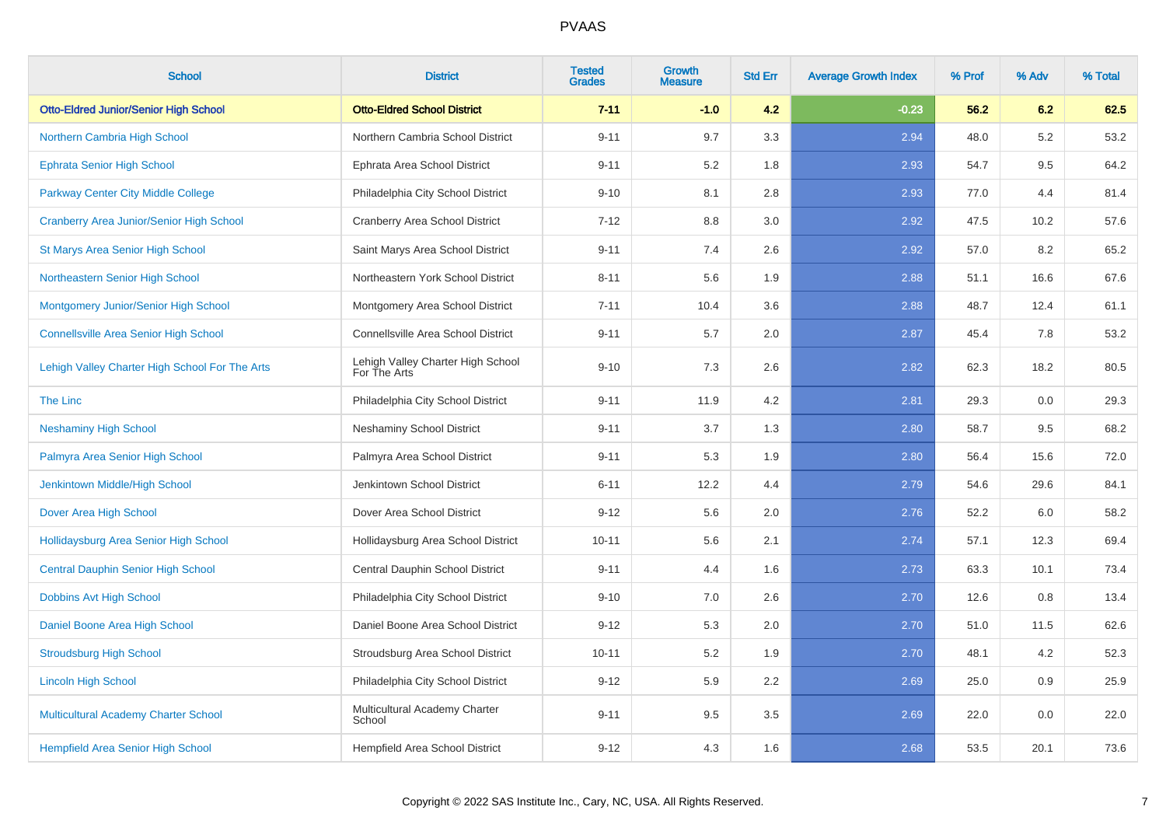| <b>School</b>                                   | <b>District</b>                                   | <b>Tested</b><br><b>Grades</b> | <b>Growth</b><br><b>Measure</b> | <b>Std Err</b> | <b>Average Growth Index</b> | % Prof | % Adv | % Total |
|-------------------------------------------------|---------------------------------------------------|--------------------------------|---------------------------------|----------------|-----------------------------|--------|-------|---------|
| <b>Otto-Eldred Junior/Senior High School</b>    | <b>Otto-Eldred School District</b>                | $7 - 11$                       | $-1.0$                          | 4.2            | $-0.23$                     | 56.2   | 6.2   | 62.5    |
| Northern Cambria High School                    | Northern Cambria School District                  | $9 - 11$                       | 9.7                             | 3.3            | 2.94                        | 48.0   | 5.2   | 53.2    |
| <b>Ephrata Senior High School</b>               | Ephrata Area School District                      | $9 - 11$                       | 5.2                             | 1.8            | 2.93                        | 54.7   | 9.5   | 64.2    |
| Parkway Center City Middle College              | Philadelphia City School District                 | $9 - 10$                       | 8.1                             | 2.8            | 2.93                        | 77.0   | 4.4   | 81.4    |
| <b>Cranberry Area Junior/Senior High School</b> | <b>Cranberry Area School District</b>             | $7 - 12$                       | 8.8                             | 3.0            | 2.92                        | 47.5   | 10.2  | 57.6    |
| <b>St Marys Area Senior High School</b>         | Saint Marys Area School District                  | $9 - 11$                       | 7.4                             | 2.6            | 2.92                        | 57.0   | 8.2   | 65.2    |
| Northeastern Senior High School                 | Northeastern York School District                 | $8 - 11$                       | 5.6                             | 1.9            | 2.88                        | 51.1   | 16.6  | 67.6    |
| Montgomery Junior/Senior High School            | Montgomery Area School District                   | $7 - 11$                       | 10.4                            | 3.6            | 2.88                        | 48.7   | 12.4  | 61.1    |
| <b>Connellsville Area Senior High School</b>    | Connellsville Area School District                | $9 - 11$                       | 5.7                             | 2.0            | 2.87                        | 45.4   | 7.8   | 53.2    |
| Lehigh Valley Charter High School For The Arts  | Lehigh Valley Charter High School<br>For The Arts | $9 - 10$                       | 7.3                             | 2.6            | 2.82                        | 62.3   | 18.2  | 80.5    |
| The Linc                                        | Philadelphia City School District                 | $9 - 11$                       | 11.9                            | 4.2            | 2.81                        | 29.3   | 0.0   | 29.3    |
| <b>Neshaminy High School</b>                    | <b>Neshaminy School District</b>                  | $9 - 11$                       | 3.7                             | 1.3            | 2.80                        | 58.7   | 9.5   | 68.2    |
| Palmyra Area Senior High School                 | Palmyra Area School District                      | $9 - 11$                       | 5.3                             | 1.9            | 2.80                        | 56.4   | 15.6  | 72.0    |
| Jenkintown Middle/High School                   | Jenkintown School District                        | $6 - 11$                       | 12.2                            | 4.4            | 2.79                        | 54.6   | 29.6  | 84.1    |
| Dover Area High School                          | Dover Area School District                        | $9 - 12$                       | 5.6                             | 2.0            | 2.76                        | 52.2   | 6.0   | 58.2    |
| Hollidaysburg Area Senior High School           | Hollidaysburg Area School District                | $10 - 11$                      | 5.6                             | 2.1            | 2.74                        | 57.1   | 12.3  | 69.4    |
| <b>Central Dauphin Senior High School</b>       | Central Dauphin School District                   | $9 - 11$                       | 4.4                             | 1.6            | 2.73                        | 63.3   | 10.1  | 73.4    |
| Dobbins Avt High School                         | Philadelphia City School District                 | $9 - 10$                       | 7.0                             | 2.6            | 2.70                        | 12.6   | 0.8   | 13.4    |
| Daniel Boone Area High School                   | Daniel Boone Area School District                 | $9 - 12$                       | 5.3                             | $2.0\,$        | 2.70                        | 51.0   | 11.5  | 62.6    |
| <b>Stroudsburg High School</b>                  | Stroudsburg Area School District                  | $10 - 11$                      | 5.2                             | 1.9            | 2.70                        | 48.1   | 4.2   | 52.3    |
| <b>Lincoln High School</b>                      | Philadelphia City School District                 | $9 - 12$                       | 5.9                             | 2.2            | 2.69                        | 25.0   | 0.9   | 25.9    |
| Multicultural Academy Charter School            | Multicultural Academy Charter<br>School           | $9 - 11$                       | 9.5                             | 3.5            | 2.69                        | 22.0   | 0.0   | 22.0    |
| Hempfield Area Senior High School               | Hempfield Area School District                    | $9 - 12$                       | 4.3                             | 1.6            | 2.68                        | 53.5   | 20.1  | 73.6    |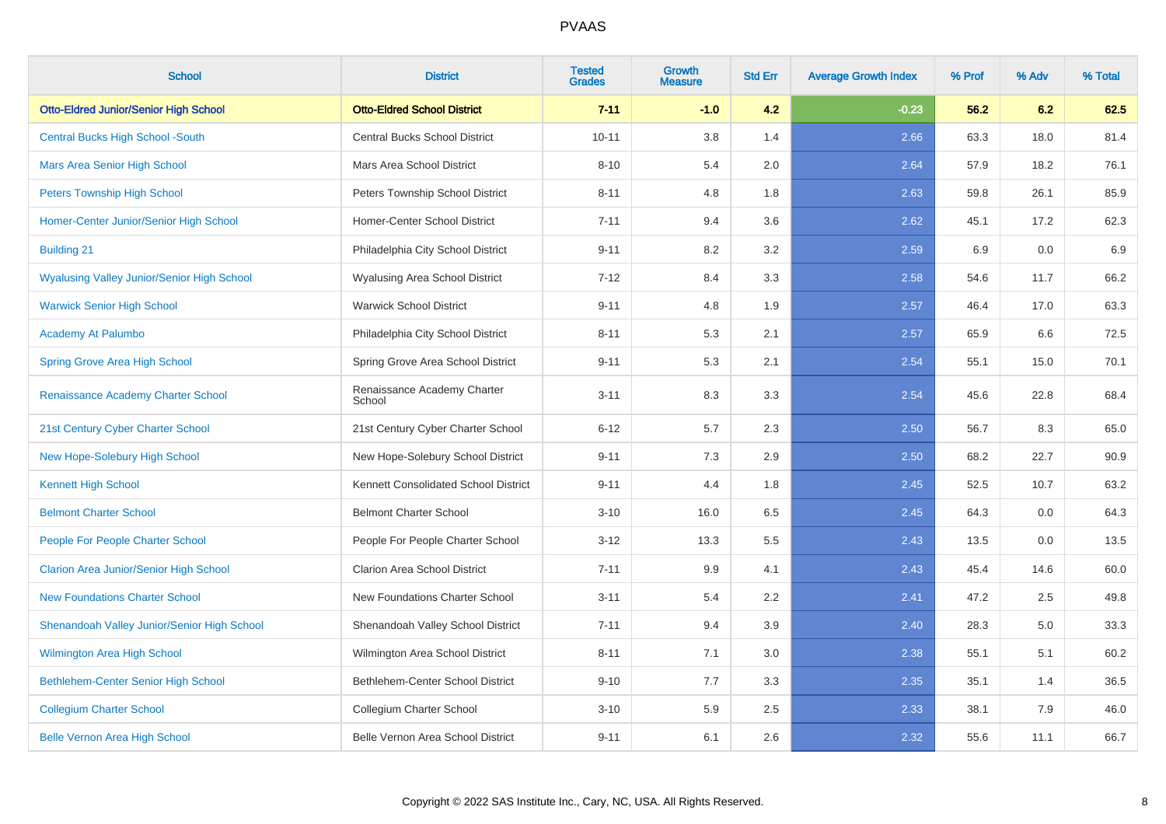| <b>School</b>                                     | <b>District</b>                       | <b>Tested</b><br><b>Grades</b> | <b>Growth</b><br><b>Measure</b> | <b>Std Err</b> | <b>Average Growth Index</b> | % Prof | % Adv | % Total |
|---------------------------------------------------|---------------------------------------|--------------------------------|---------------------------------|----------------|-----------------------------|--------|-------|---------|
| <b>Otto-Eldred Junior/Senior High School</b>      | <b>Otto-Eldred School District</b>    | $7 - 11$                       | $-1.0$                          | 4.2            | $-0.23$                     | 56.2   | 6.2   | 62.5    |
| <b>Central Bucks High School -South</b>           | <b>Central Bucks School District</b>  | $10 - 11$                      | 3.8                             | 1.4            | 2.66                        | 63.3   | 18.0  | 81.4    |
| <b>Mars Area Senior High School</b>               | Mars Area School District             | $8 - 10$                       | 5.4                             | 2.0            | 2.64                        | 57.9   | 18.2  | 76.1    |
| <b>Peters Township High School</b>                | Peters Township School District       | $8 - 11$                       | 4.8                             | 1.8            | 2.63                        | 59.8   | 26.1  | 85.9    |
| Homer-Center Junior/Senior High School            | Homer-Center School District          | $7 - 11$                       | 9.4                             | 3.6            | 2.62                        | 45.1   | 17.2  | 62.3    |
| <b>Building 21</b>                                | Philadelphia City School District     | $9 - 11$                       | 8.2                             | 3.2            | 2.59                        | 6.9    | 0.0   | 6.9     |
| <b>Wyalusing Valley Junior/Senior High School</b> | Wyalusing Area School District        | $7 - 12$                       | 8.4                             | 3.3            | 2.58                        | 54.6   | 11.7  | 66.2    |
| <b>Warwick Senior High School</b>                 | <b>Warwick School District</b>        | $9 - 11$                       | 4.8                             | 1.9            | 2.57                        | 46.4   | 17.0  | 63.3    |
| Academy At Palumbo                                | Philadelphia City School District     | $8 - 11$                       | 5.3                             | 2.1            | 2.57                        | 65.9   | 6.6   | 72.5    |
| <b>Spring Grove Area High School</b>              | Spring Grove Area School District     | $9 - 11$                       | 5.3                             | 2.1            | 2.54                        | 55.1   | 15.0  | 70.1    |
| Renaissance Academy Charter School                | Renaissance Academy Charter<br>School | $3 - 11$                       | 8.3                             | 3.3            | 2.54                        | 45.6   | 22.8  | 68.4    |
| 21st Century Cyber Charter School                 | 21st Century Cyber Charter School     | $6 - 12$                       | 5.7                             | 2.3            | 2.50                        | 56.7   | 8.3   | 65.0    |
| New Hope-Solebury High School                     | New Hope-Solebury School District     | $9 - 11$                       | 7.3                             | 2.9            | 2.50                        | 68.2   | 22.7  | 90.9    |
| <b>Kennett High School</b>                        | Kennett Consolidated School District  | $9 - 11$                       | 4.4                             | 1.8            | 2.45                        | 52.5   | 10.7  | 63.2    |
| <b>Belmont Charter School</b>                     | <b>Belmont Charter School</b>         | $3 - 10$                       | 16.0                            | 6.5            | 2.45                        | 64.3   | 0.0   | 64.3    |
| People For People Charter School                  | People For People Charter School      | $3 - 12$                       | 13.3                            | 5.5            | 2.43                        | 13.5   | 0.0   | 13.5    |
| <b>Clarion Area Junior/Senior High School</b>     | <b>Clarion Area School District</b>   | $7 - 11$                       | 9.9                             | 4.1            | 2.43                        | 45.4   | 14.6  | 60.0    |
| <b>New Foundations Charter School</b>             | New Foundations Charter School        | $3 - 11$                       | 5.4                             | 2.2            | 2.41                        | 47.2   | 2.5   | 49.8    |
| Shenandoah Valley Junior/Senior High School       | Shenandoah Valley School District     | $7 - 11$                       | 9.4                             | 3.9            | 2.40                        | 28.3   | 5.0   | 33.3    |
| <b>Wilmington Area High School</b>                | Wilmington Area School District       | $8 - 11$                       | 7.1                             | 3.0            | 2.38                        | 55.1   | 5.1   | 60.2    |
| Bethlehem-Center Senior High School               | Bethlehem-Center School District      | $9 - 10$                       | 7.7                             | 3.3            | 2.35                        | 35.1   | 1.4   | 36.5    |
| <b>Collegium Charter School</b>                   | Collegium Charter School              | $3 - 10$                       | 5.9                             | 2.5            | 2.33                        | 38.1   | 7.9   | 46.0    |
| <b>Belle Vernon Area High School</b>              | Belle Vernon Area School District     | $9 - 11$                       | 6.1                             | 2.6            | 2.32                        | 55.6   | 11.1  | 66.7    |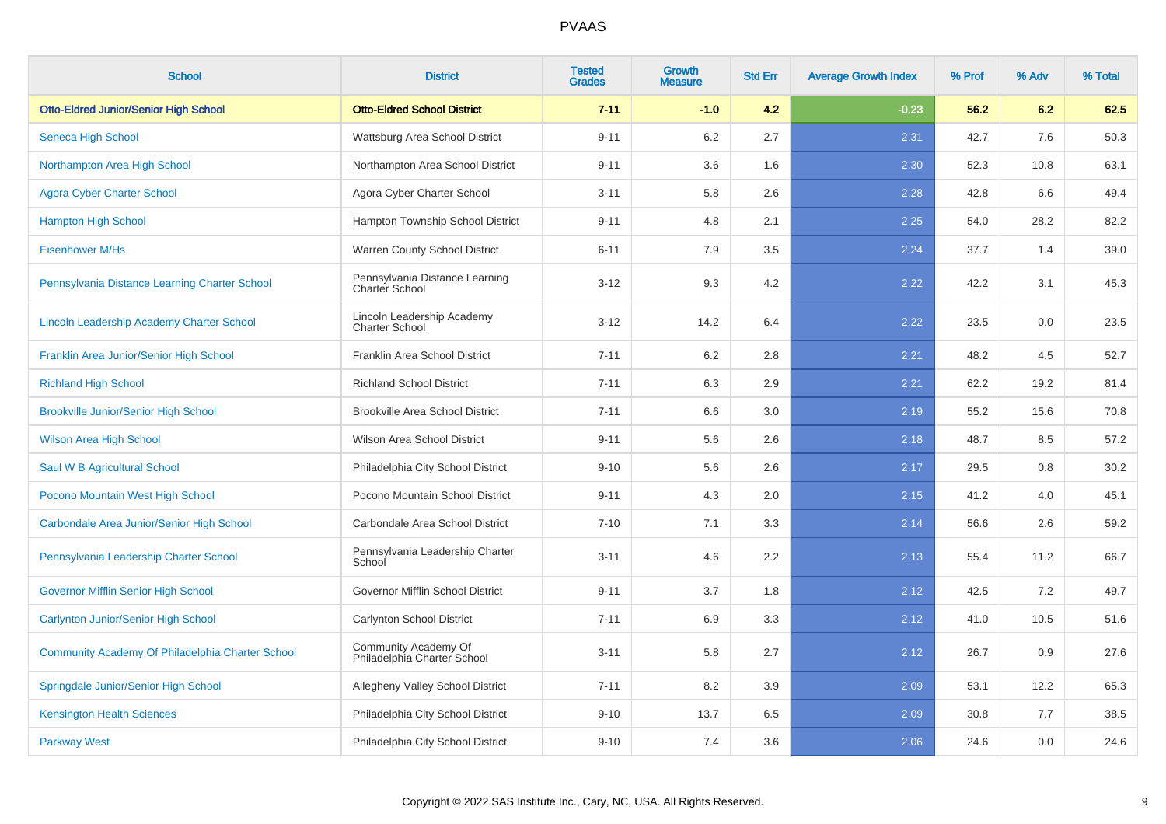| <b>School</b>                                    | <b>District</b>                                         | <b>Tested</b><br><b>Grades</b> | Growth<br><b>Measure</b> | <b>Std Err</b> | <b>Average Growth Index</b> | % Prof | % Adv | % Total |
|--------------------------------------------------|---------------------------------------------------------|--------------------------------|--------------------------|----------------|-----------------------------|--------|-------|---------|
| <b>Otto-Eldred Junior/Senior High School</b>     | <b>Otto-Eldred School District</b>                      | $7 - 11$                       | $-1.0$                   | 4.2            | $-0.23$                     | 56.2   | 6.2   | 62.5    |
| Seneca High School                               | Wattsburg Area School District                          | $9 - 11$                       | 6.2                      | 2.7            | 2.31                        | 42.7   | 7.6   | 50.3    |
| Northampton Area High School                     | Northampton Area School District                        | $9 - 11$                       | 3.6                      | 1.6            | 2.30                        | 52.3   | 10.8  | 63.1    |
| <b>Agora Cyber Charter School</b>                | Agora Cyber Charter School                              | $3 - 11$                       | 5.8                      | 2.6            | 2.28                        | 42.8   | 6.6   | 49.4    |
| <b>Hampton High School</b>                       | Hampton Township School District                        | $9 - 11$                       | 4.8                      | 2.1            | 2.25                        | 54.0   | 28.2  | 82.2    |
| <b>Eisenhower M/Hs</b>                           | Warren County School District                           | $6 - 11$                       | 7.9                      | 3.5            | 2.24                        | 37.7   | 1.4   | 39.0    |
| Pennsylvania Distance Learning Charter School    | Pennsylvania Distance Learning<br><b>Charter School</b> | $3 - 12$                       | 9.3                      | 4.2            | 2.22                        | 42.2   | 3.1   | 45.3    |
| Lincoln Leadership Academy Charter School        | Lincoln Leadership Academy<br><b>Charter School</b>     | $3 - 12$                       | 14.2                     | 6.4            | 2.22                        | 23.5   | 0.0   | 23.5    |
| Franklin Area Junior/Senior High School          | Franklin Area School District                           | $7 - 11$                       | 6.2                      | 2.8            | 2.21                        | 48.2   | 4.5   | 52.7    |
| <b>Richland High School</b>                      | <b>Richland School District</b>                         | $7 - 11$                       | 6.3                      | 2.9            | 2.21                        | 62.2   | 19.2  | 81.4    |
| <b>Brookville Junior/Senior High School</b>      | <b>Brookville Area School District</b>                  | $7 - 11$                       | 6.6                      | 3.0            | 2.19                        | 55.2   | 15.6  | 70.8    |
| <b>Wilson Area High School</b>                   | Wilson Area School District                             | $9 - 11$                       | 5.6                      | 2.6            | 2.18                        | 48.7   | 8.5   | 57.2    |
| Saul W B Agricultural School                     | Philadelphia City School District                       | $9 - 10$                       | 5.6                      | 2.6            | 2.17                        | 29.5   | 0.8   | 30.2    |
| Pocono Mountain West High School                 | Pocono Mountain School District                         | $9 - 11$                       | 4.3                      | 2.0            | 2.15                        | 41.2   | 4.0   | 45.1    |
| Carbondale Area Junior/Senior High School        | Carbondale Area School District                         | $7 - 10$                       | 7.1                      | 3.3            | 2.14                        | 56.6   | 2.6   | 59.2    |
| Pennsylvania Leadership Charter School           | Pennsylvania Leadership Charter<br>School               | $3 - 11$                       | 4.6                      | 2.2            | 2.13                        | 55.4   | 11.2  | 66.7    |
| <b>Governor Mifflin Senior High School</b>       | Governor Mifflin School District                        | $9 - 11$                       | 3.7                      | 1.8            | 2.12                        | 42.5   | 7.2   | 49.7    |
| <b>Carlynton Junior/Senior High School</b>       | Carlynton School District                               | $7 - 11$                       | 6.9                      | 3.3            | 2.12                        | 41.0   | 10.5  | 51.6    |
| Community Academy Of Philadelphia Charter School | Community Academy Of<br>Philadelphia Charter School     | $3 - 11$                       | 5.8                      | 2.7            | 2.12                        | 26.7   | 0.9   | 27.6    |
| Springdale Junior/Senior High School             | Allegheny Valley School District                        | $7 - 11$                       | 8.2                      | 3.9            | 2.09                        | 53.1   | 12.2  | 65.3    |
| <b>Kensington Health Sciences</b>                | Philadelphia City School District                       | $9 - 10$                       | 13.7                     | 6.5            | 2.09                        | 30.8   | 7.7   | 38.5    |
| <b>Parkway West</b>                              | Philadelphia City School District                       | $9 - 10$                       | 7.4                      | 3.6            | 2.06                        | 24.6   | 0.0   | 24.6    |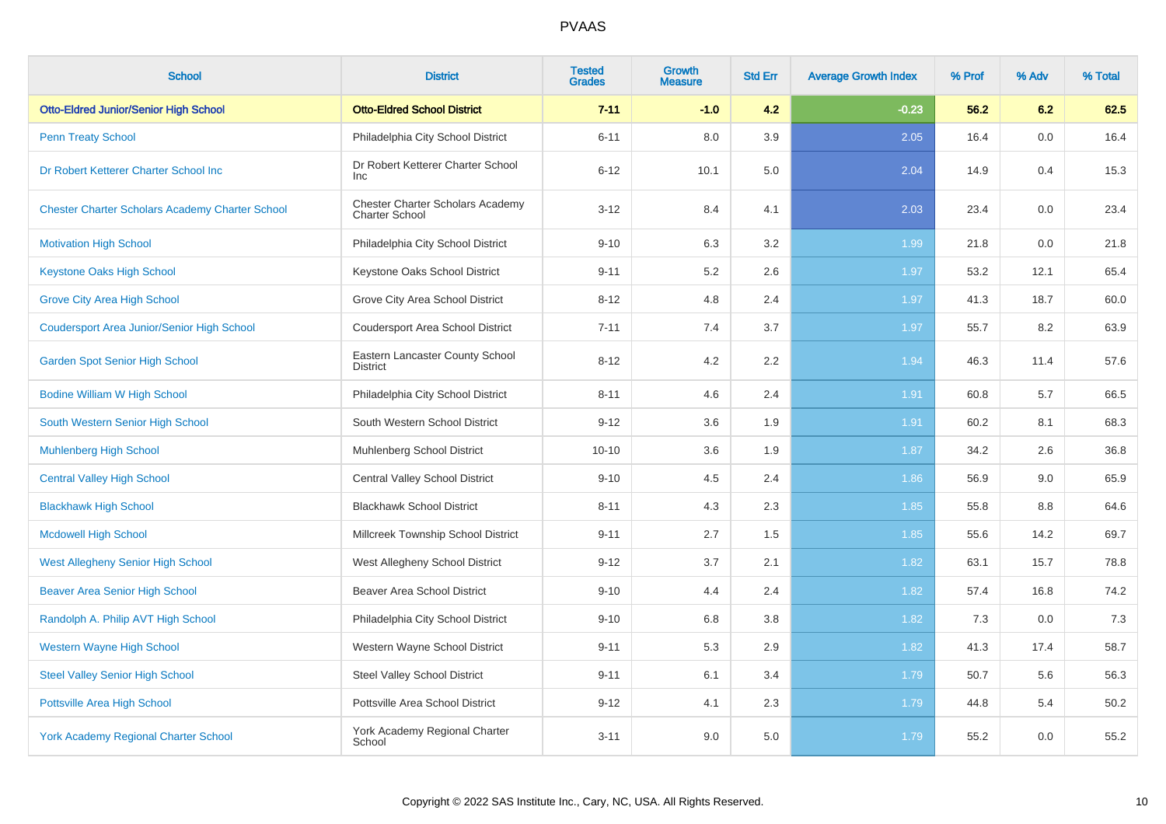| <b>School</b>                                          | <b>District</b>                                           | <b>Tested</b><br><b>Grades</b> | <b>Growth</b><br><b>Measure</b> | <b>Std Err</b> | <b>Average Growth Index</b> | % Prof | % Adv | % Total |
|--------------------------------------------------------|-----------------------------------------------------------|--------------------------------|---------------------------------|----------------|-----------------------------|--------|-------|---------|
| <b>Otto-Eldred Junior/Senior High School</b>           | <b>Otto-Eldred School District</b>                        | $7 - 11$                       | $-1.0$                          | 4.2            | $-0.23$                     | 56.2   | 6.2   | 62.5    |
| <b>Penn Treaty School</b>                              | Philadelphia City School District                         | $6 - 11$                       | 8.0                             | 3.9            | 2.05                        | 16.4   | 0.0   | 16.4    |
| Dr Robert Ketterer Charter School Inc                  | Dr Robert Ketterer Charter School<br><b>Inc</b>           | $6 - 12$                       | 10.1                            | 5.0            | 2.04                        | 14.9   | 0.4   | 15.3    |
| <b>Chester Charter Scholars Academy Charter School</b> | Chester Charter Scholars Academy<br><b>Charter School</b> | $3 - 12$                       | 8.4                             | 4.1            | 2.03                        | 23.4   | 0.0   | 23.4    |
| <b>Motivation High School</b>                          | Philadelphia City School District                         | $9 - 10$                       | 6.3                             | 3.2            | 1.99                        | 21.8   | 0.0   | 21.8    |
| <b>Keystone Oaks High School</b>                       | Keystone Oaks School District                             | $9 - 11$                       | 5.2                             | 2.6            | 1.97                        | 53.2   | 12.1  | 65.4    |
| <b>Grove City Area High School</b>                     | Grove City Area School District                           | $8 - 12$                       | 4.8                             | 2.4            | 1.97                        | 41.3   | 18.7  | 60.0    |
| <b>Coudersport Area Junior/Senior High School</b>      | <b>Coudersport Area School District</b>                   | $7 - 11$                       | 7.4                             | 3.7            | 1.97                        | 55.7   | 8.2   | 63.9    |
| <b>Garden Spot Senior High School</b>                  | Eastern Lancaster County School<br><b>District</b>        | $8 - 12$                       | 4.2                             | 2.2            | 1.94                        | 46.3   | 11.4  | 57.6    |
| <b>Bodine William W High School</b>                    | Philadelphia City School District                         | $8 - 11$                       | 4.6                             | 2.4            | 1.91                        | 60.8   | 5.7   | 66.5    |
| South Western Senior High School                       | South Western School District                             | $9 - 12$                       | 3.6                             | 1.9            | 1.91                        | 60.2   | 8.1   | 68.3    |
| <b>Muhlenberg High School</b>                          | Muhlenberg School District                                | $10 - 10$                      | 3.6                             | 1.9            | 1.87                        | 34.2   | 2.6   | 36.8    |
| <b>Central Valley High School</b>                      | <b>Central Valley School District</b>                     | $9 - 10$                       | 4.5                             | 2.4            | 1.86                        | 56.9   | 9.0   | 65.9    |
| <b>Blackhawk High School</b>                           | <b>Blackhawk School District</b>                          | $8 - 11$                       | 4.3                             | 2.3            | 1.85                        | 55.8   | 8.8   | 64.6    |
| <b>Mcdowell High School</b>                            | Millcreek Township School District                        | $9 - 11$                       | 2.7                             | 1.5            | 1.85                        | 55.6   | 14.2  | 69.7    |
| <b>West Allegheny Senior High School</b>               | West Allegheny School District                            | $9 - 12$                       | 3.7                             | 2.1            | 1.82                        | 63.1   | 15.7  | 78.8    |
| <b>Beaver Area Senior High School</b>                  | <b>Beaver Area School District</b>                        | $9 - 10$                       | 4.4                             | 2.4            | 1.82                        | 57.4   | 16.8  | 74.2    |
| Randolph A. Philip AVT High School                     | Philadelphia City School District                         | $9 - 10$                       | 6.8                             | 3.8            | 1.82                        | 7.3    | 0.0   | 7.3     |
| <b>Western Wayne High School</b>                       | Western Wayne School District                             | $9 - 11$                       | 5.3                             | 2.9            | 1.82                        | 41.3   | 17.4  | 58.7    |
| <b>Steel Valley Senior High School</b>                 | <b>Steel Valley School District</b>                       | $9 - 11$                       | 6.1                             | 3.4            | 1.79                        | 50.7   | 5.6   | 56.3    |
| Pottsville Area High School                            | Pottsville Area School District                           | $9 - 12$                       | 4.1                             | 2.3            | 1.79                        | 44.8   | 5.4   | 50.2    |
| <b>York Academy Regional Charter School</b>            | York Academy Regional Charter<br>School                   | $3 - 11$                       | 9.0                             | 5.0            | 1.79                        | 55.2   | 0.0   | 55.2    |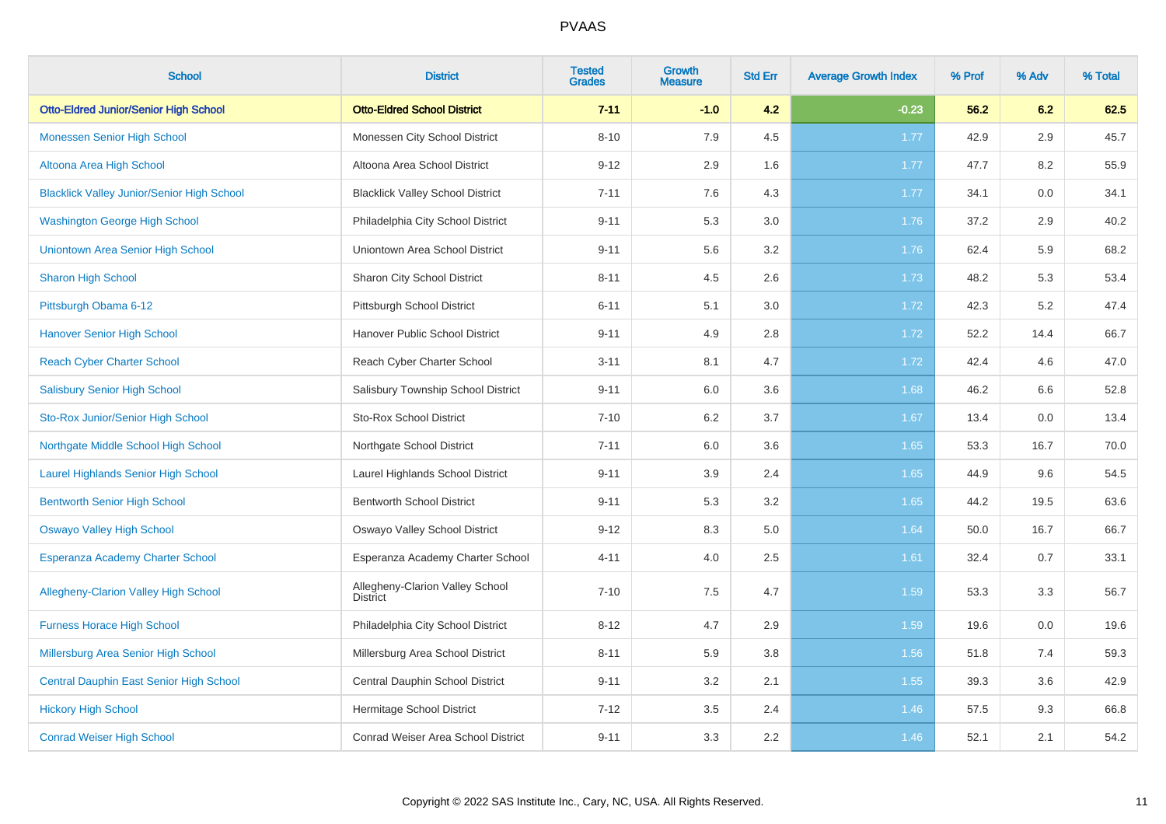| <b>School</b>                                     | <b>District</b>                                    | <b>Tested</b><br><b>Grades</b> | <b>Growth</b><br><b>Measure</b> | <b>Std Err</b> | <b>Average Growth Index</b> | % Prof | % Adv | % Total |
|---------------------------------------------------|----------------------------------------------------|--------------------------------|---------------------------------|----------------|-----------------------------|--------|-------|---------|
| <b>Otto-Eldred Junior/Senior High School</b>      | <b>Otto-Eldred School District</b>                 | $7 - 11$                       | $-1.0$                          | 4.2            | $-0.23$                     | 56.2   | 6.2   | 62.5    |
| <b>Monessen Senior High School</b>                | Monessen City School District                      | $8 - 10$                       | 7.9                             | 4.5            | 1.77                        | 42.9   | 2.9   | 45.7    |
| Altoona Area High School                          | Altoona Area School District                       | $9 - 12$                       | 2.9                             | 1.6            | 1.77                        | 47.7   | 8.2   | 55.9    |
| <b>Blacklick Valley Junior/Senior High School</b> | <b>Blacklick Valley School District</b>            | $7 - 11$                       | 7.6                             | 4.3            | 1.77                        | 34.1   | 0.0   | 34.1    |
| <b>Washington George High School</b>              | Philadelphia City School District                  | $9 - 11$                       | 5.3                             | 3.0            | 1.76                        | 37.2   | 2.9   | 40.2    |
| Uniontown Area Senior High School                 | Uniontown Area School District                     | $9 - 11$                       | 5.6                             | 3.2            | 1.76                        | 62.4   | 5.9   | 68.2    |
| <b>Sharon High School</b>                         | Sharon City School District                        | $8 - 11$                       | 4.5                             | 2.6            | 1.73                        | 48.2   | 5.3   | 53.4    |
| Pittsburgh Obama 6-12                             | Pittsburgh School District                         | $6 - 11$                       | 5.1                             | 3.0            | 1.72                        | 42.3   | 5.2   | 47.4    |
| <b>Hanover Senior High School</b>                 | Hanover Public School District                     | $9 - 11$                       | 4.9                             | 2.8            | 1.72                        | 52.2   | 14.4  | 66.7    |
| <b>Reach Cyber Charter School</b>                 | Reach Cyber Charter School                         | $3 - 11$                       | 8.1                             | 4.7            | 1.72                        | 42.4   | 4.6   | 47.0    |
| <b>Salisbury Senior High School</b>               | Salisbury Township School District                 | $9 - 11$                       | 6.0                             | 3.6            | 1.68                        | 46.2   | 6.6   | 52.8    |
| Sto-Rox Junior/Senior High School                 | <b>Sto-Rox School District</b>                     | $7 - 10$                       | 6.2                             | 3.7            | 1.67                        | 13.4   | 0.0   | 13.4    |
| Northgate Middle School High School               | Northgate School District                          | $7 - 11$                       | 6.0                             | 3.6            | 1.65                        | 53.3   | 16.7  | 70.0    |
| Laurel Highlands Senior High School               | Laurel Highlands School District                   | $9 - 11$                       | 3.9                             | 2.4            | 1.65                        | 44.9   | 9.6   | 54.5    |
| <b>Bentworth Senior High School</b>               | <b>Bentworth School District</b>                   | $9 - 11$                       | 5.3                             | 3.2            | 1.65                        | 44.2   | 19.5  | 63.6    |
| <b>Oswayo Valley High School</b>                  | Oswayo Valley School District                      | $9 - 12$                       | 8.3                             | 5.0            | 1.64                        | 50.0   | 16.7  | 66.7    |
| <b>Esperanza Academy Charter School</b>           | Esperanza Academy Charter School                   | $4 - 11$                       | 4.0                             | 2.5            | 1.61                        | 32.4   | 0.7   | 33.1    |
| <b>Allegheny-Clarion Valley High School</b>       | Allegheny-Clarion Valley School<br><b>District</b> | $7 - 10$                       | 7.5                             | 4.7            | 1.59                        | 53.3   | 3.3   | 56.7    |
| <b>Furness Horace High School</b>                 | Philadelphia City School District                  | $8 - 12$                       | 4.7                             | 2.9            | 1.59                        | 19.6   | 0.0   | 19.6    |
| Millersburg Area Senior High School               | Millersburg Area School District                   | $8 - 11$                       | 5.9                             | 3.8            | 1.56                        | 51.8   | 7.4   | 59.3    |
| Central Dauphin East Senior High School           | Central Dauphin School District                    | $9 - 11$                       | 3.2                             | 2.1            | 1.55                        | 39.3   | 3.6   | 42.9    |
| <b>Hickory High School</b>                        | Hermitage School District                          | $7 - 12$                       | 3.5                             | 2.4            | 1.46                        | 57.5   | 9.3   | 66.8    |
| <b>Conrad Weiser High School</b>                  | Conrad Weiser Area School District                 | $9 - 11$                       | 3.3                             | 2.2            | 1.46                        | 52.1   | 2.1   | 54.2    |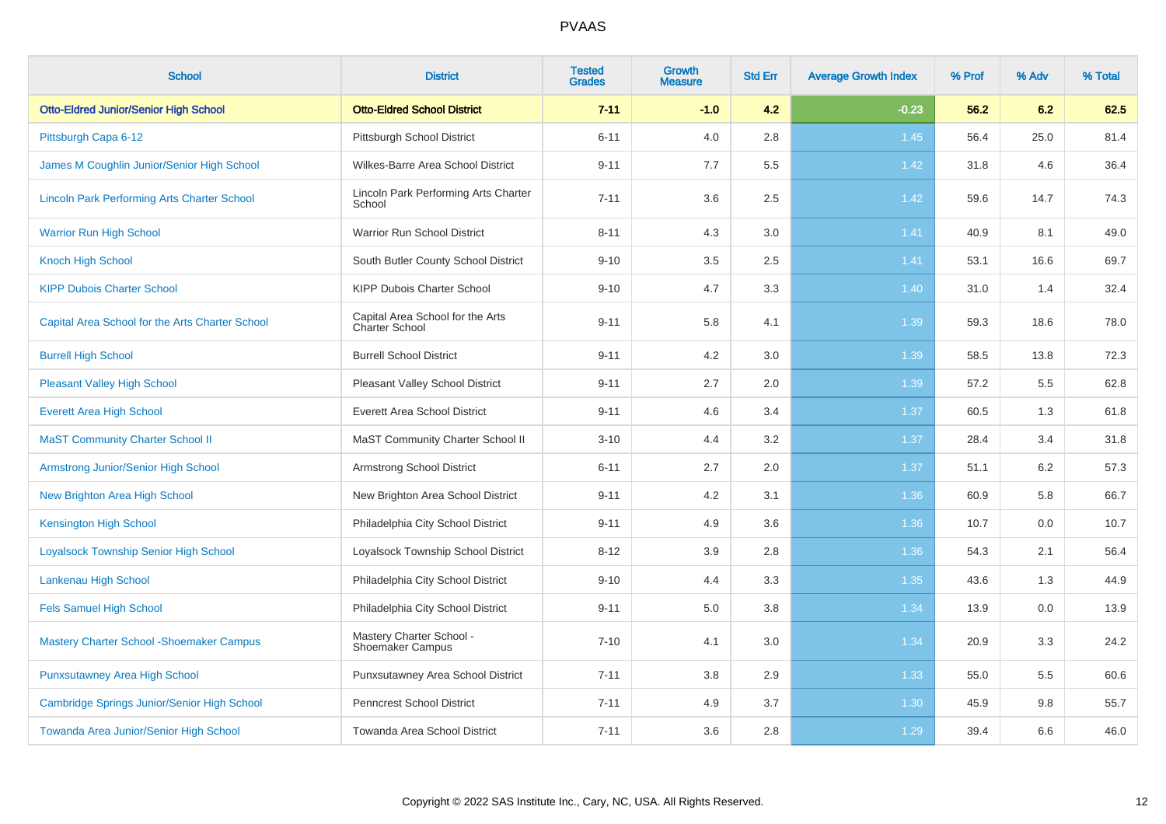| <b>School</b>                                      | <b>District</b>                                     | <b>Tested</b><br><b>Grades</b> | <b>Growth</b><br><b>Measure</b> | <b>Std Err</b> | <b>Average Growth Index</b> | % Prof | % Adv | % Total |
|----------------------------------------------------|-----------------------------------------------------|--------------------------------|---------------------------------|----------------|-----------------------------|--------|-------|---------|
| <b>Otto-Eldred Junior/Senior High School</b>       | <b>Otto-Eldred School District</b>                  | $7 - 11$                       | $-1.0$                          | 4.2            | $-0.23$                     | 56.2   | 6.2   | 62.5    |
| Pittsburgh Capa 6-12                               | Pittsburgh School District                          | $6 - 11$                       | 4.0                             | 2.8            | 1.45                        | 56.4   | 25.0  | 81.4    |
| James M Coughlin Junior/Senior High School         | Wilkes-Barre Area School District                   | $9 - 11$                       | 7.7                             | 5.5            | 1.42                        | 31.8   | 4.6   | 36.4    |
| <b>Lincoln Park Performing Arts Charter School</b> | Lincoln Park Performing Arts Charter<br>School      | $7 - 11$                       | 3.6                             | 2.5            | 1.42                        | 59.6   | 14.7  | 74.3    |
| <b>Warrior Run High School</b>                     | Warrior Run School District                         | $8 - 11$                       | 4.3                             | 3.0            | 1.41                        | 40.9   | 8.1   | 49.0    |
| <b>Knoch High School</b>                           | South Butler County School District                 | $9 - 10$                       | 3.5                             | 2.5            | 1.41                        | 53.1   | 16.6  | 69.7    |
| <b>KIPP Dubois Charter School</b>                  | KIPP Dubois Charter School                          | $9 - 10$                       | 4.7                             | 3.3            | 1.40                        | 31.0   | 1.4   | 32.4    |
| Capital Area School for the Arts Charter School    | Capital Area School for the Arts<br>Charter School  | $9 - 11$                       | 5.8                             | 4.1            | 1.39                        | 59.3   | 18.6  | 78.0    |
| <b>Burrell High School</b>                         | <b>Burrell School District</b>                      | $9 - 11$                       | 4.2                             | 3.0            | 1.39                        | 58.5   | 13.8  | 72.3    |
| <b>Pleasant Valley High School</b>                 | Pleasant Valley School District                     | $9 - 11$                       | 2.7                             | 2.0            | 1.39                        | 57.2   | 5.5   | 62.8    |
| <b>Everett Area High School</b>                    | <b>Everett Area School District</b>                 | $9 - 11$                       | 4.6                             | 3.4            | 1.37                        | 60.5   | 1.3   | 61.8    |
| <b>MaST Community Charter School II</b>            | MaST Community Charter School II                    | $3 - 10$                       | 4.4                             | 3.2            | 1.37                        | 28.4   | 3.4   | 31.8    |
| Armstrong Junior/Senior High School                | <b>Armstrong School District</b>                    | $6 - 11$                       | 2.7                             | 2.0            | 1.37                        | 51.1   | 6.2   | 57.3    |
| New Brighton Area High School                      | New Brighton Area School District                   | $9 - 11$                       | 4.2                             | 3.1            | 1.36                        | 60.9   | 5.8   | 66.7    |
| <b>Kensington High School</b>                      | Philadelphia City School District                   | $9 - 11$                       | 4.9                             | 3.6            | 1.36                        | 10.7   | 0.0   | 10.7    |
| <b>Loyalsock Township Senior High School</b>       | Loyalsock Township School District                  | $8 - 12$                       | 3.9                             | 2.8            | 1.36                        | 54.3   | 2.1   | 56.4    |
| Lankenau High School                               | Philadelphia City School District                   | $9 - 10$                       | 4.4                             | 3.3            | 1.35                        | 43.6   | 1.3   | 44.9    |
| <b>Fels Samuel High School</b>                     | Philadelphia City School District                   | $9 - 11$                       | 5.0                             | 3.8            | 1.34                        | 13.9   | 0.0   | 13.9    |
| <b>Mastery Charter School - Shoemaker Campus</b>   | Mastery Charter School -<br><b>Shoemaker Campus</b> | $7 - 10$                       | 4.1                             | 3.0            | 1.34                        | 20.9   | 3.3   | 24.2    |
| <b>Punxsutawney Area High School</b>               | Punxsutawney Area School District                   | $7 - 11$                       | 3.8                             | 2.9            | 1.33                        | 55.0   | 5.5   | 60.6    |
| Cambridge Springs Junior/Senior High School        | Penncrest School District                           | $7 - 11$                       | 4.9                             | 3.7            | 1.30                        | 45.9   | 9.8   | 55.7    |
| Towanda Area Junior/Senior High School             | Towanda Area School District                        | $7 - 11$                       | 3.6                             | 2.8            | 1.29                        | 39.4   | 6.6   | 46.0    |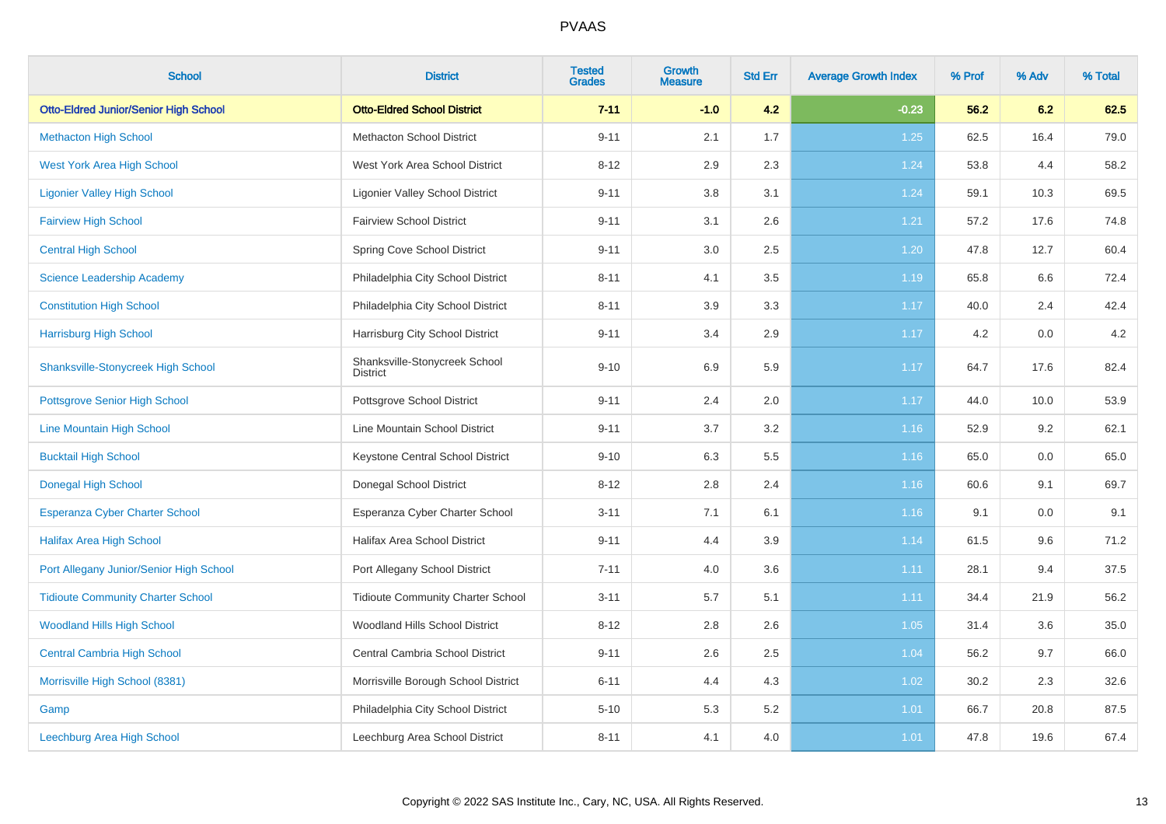| <b>School</b>                                | <b>District</b>                                  | <b>Tested</b><br><b>Grades</b> | Growth<br><b>Measure</b> | <b>Std Err</b> | <b>Average Growth Index</b> | % Prof | % Adv | % Total |
|----------------------------------------------|--------------------------------------------------|--------------------------------|--------------------------|----------------|-----------------------------|--------|-------|---------|
| <b>Otto-Eldred Junior/Senior High School</b> | <b>Otto-Eldred School District</b>               | $7 - 11$                       | $-1.0$                   | 4.2            | $-0.23$                     | 56.2   | 6.2   | 62.5    |
| <b>Methacton High School</b>                 | <b>Methacton School District</b>                 | $9 - 11$                       | 2.1                      | 1.7            | 1.25                        | 62.5   | 16.4  | 79.0    |
| <b>West York Area High School</b>            | West York Area School District                   | $8 - 12$                       | 2.9                      | 2.3            | 1.24                        | 53.8   | 4.4   | 58.2    |
| <b>Ligonier Valley High School</b>           | <b>Ligonier Valley School District</b>           | $9 - 11$                       | 3.8                      | 3.1            | 1.24                        | 59.1   | 10.3  | 69.5    |
| <b>Fairview High School</b>                  | <b>Fairview School District</b>                  | $9 - 11$                       | 3.1                      | 2.6            | 1.21                        | 57.2   | 17.6  | 74.8    |
| <b>Central High School</b>                   | Spring Cove School District                      | $9 - 11$                       | 3.0                      | 2.5            | 1.20                        | 47.8   | 12.7  | 60.4    |
| <b>Science Leadership Academy</b>            | Philadelphia City School District                | $8 - 11$                       | 4.1                      | 3.5            | 1.19                        | 65.8   | 6.6   | 72.4    |
| <b>Constitution High School</b>              | Philadelphia City School District                | $8 - 11$                       | 3.9                      | 3.3            | 1.17                        | 40.0   | 2.4   | 42.4    |
| <b>Harrisburg High School</b>                | Harrisburg City School District                  | $9 - 11$                       | 3.4                      | 2.9            | 1.17                        | 4.2    | 0.0   | 4.2     |
| <b>Shanksville-Stonycreek High School</b>    | Shanksville-Stonycreek School<br><b>District</b> | $9 - 10$                       | 6.9                      | 5.9            | 1.17                        | 64.7   | 17.6  | 82.4    |
| <b>Pottsgrove Senior High School</b>         | Pottsgrove School District                       | $9 - 11$                       | 2.4                      | 2.0            | 1.17                        | 44.0   | 10.0  | 53.9    |
| Line Mountain High School                    | Line Mountain School District                    | $9 - 11$                       | 3.7                      | $3.2\,$        | 1.16                        | 52.9   | 9.2   | 62.1    |
| <b>Bucktail High School</b>                  | Keystone Central School District                 | $9 - 10$                       | 6.3                      | 5.5            | 1.16                        | 65.0   | 0.0   | 65.0    |
| <b>Donegal High School</b>                   | Donegal School District                          | $8 - 12$                       | 2.8                      | 2.4            | 1.16                        | 60.6   | 9.1   | 69.7    |
| Esperanza Cyber Charter School               | Esperanza Cyber Charter School                   | $3 - 11$                       | 7.1                      | 6.1            | 1.16                        | 9.1    | 0.0   | 9.1     |
| <b>Halifax Area High School</b>              | <b>Halifax Area School District</b>              | $9 - 11$                       | 4.4                      | 3.9            | 1.14                        | 61.5   | 9.6   | 71.2    |
| Port Allegany Junior/Senior High School      | Port Allegany School District                    | $7 - 11$                       | 4.0                      | 3.6            | 1.11                        | 28.1   | 9.4   | 37.5    |
| <b>Tidioute Community Charter School</b>     | <b>Tidioute Community Charter School</b>         | $3 - 11$                       | 5.7                      | 5.1            | 1.11                        | 34.4   | 21.9  | 56.2    |
| <b>Woodland Hills High School</b>            | Woodland Hills School District                   | $8 - 12$                       | 2.8                      | 2.6            | 1.05                        | 31.4   | 3.6   | 35.0    |
| <b>Central Cambria High School</b>           | Central Cambria School District                  | $9 - 11$                       | 2.6                      | 2.5            | 1.04                        | 56.2   | 9.7   | 66.0    |
| Morrisville High School (8381)               | Morrisville Borough School District              | $6 - 11$                       | 4.4                      | 4.3            | 1.02                        | 30.2   | 2.3   | 32.6    |
| Gamp                                         | Philadelphia City School District                | $5 - 10$                       | 5.3                      | 5.2            | 1.01                        | 66.7   | 20.8  | 87.5    |
| Leechburg Area High School                   | Leechburg Area School District                   | $8 - 11$                       | 4.1                      | 4.0            | 1.01                        | 47.8   | 19.6  | 67.4    |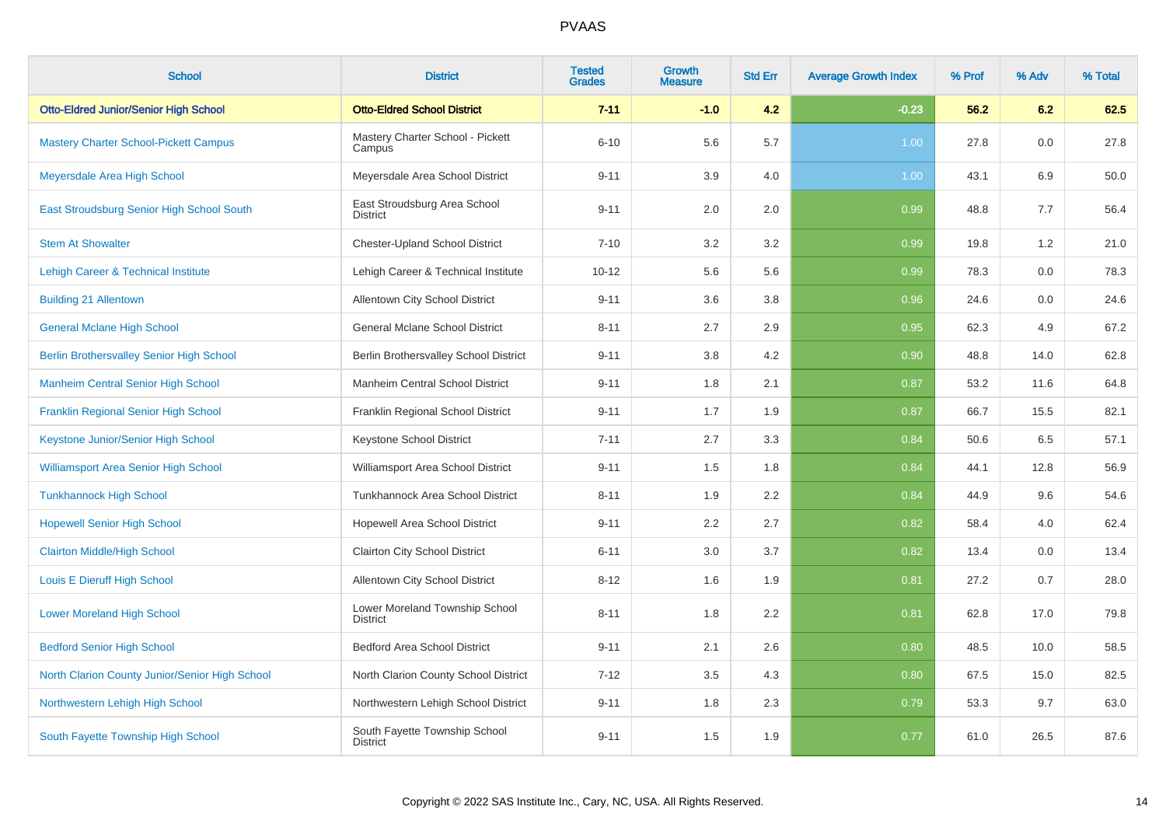| <b>School</b>                                   | <b>District</b>                                   | <b>Tested</b><br><b>Grades</b> | Growth<br><b>Measure</b> | <b>Std Err</b> | <b>Average Growth Index</b> | % Prof | % Adv | % Total |
|-------------------------------------------------|---------------------------------------------------|--------------------------------|--------------------------|----------------|-----------------------------|--------|-------|---------|
| <b>Otto-Eldred Junior/Senior High School</b>    | <b>Otto-Eldred School District</b>                | $7 - 11$                       | $-1.0$                   | 4.2            | $-0.23$                     | 56.2   | 6.2   | 62.5    |
| <b>Mastery Charter School-Pickett Campus</b>    | Mastery Charter School - Pickett<br>Campus        | $6 - 10$                       | 5.6                      | 5.7            | 1.00                        | 27.8   | 0.0   | 27.8    |
| Meyersdale Area High School                     | Meyersdale Area School District                   | $9 - 11$                       | 3.9                      | 4.0            | 1.00                        | 43.1   | 6.9   | 50.0    |
| East Stroudsburg Senior High School South       | East Stroudsburg Area School<br><b>District</b>   | $9 - 11$                       | 2.0                      | 2.0            | 0.99                        | 48.8   | 7.7   | 56.4    |
| <b>Stem At Showalter</b>                        | <b>Chester-Upland School District</b>             | $7 - 10$                       | 3.2                      | 3.2            | 0.99                        | 19.8   | 1.2   | 21.0    |
| <b>Lehigh Career &amp; Technical Institute</b>  | Lehigh Career & Technical Institute               | $10 - 12$                      | 5.6                      | 5.6            | 0.99                        | 78.3   | 0.0   | 78.3    |
| <b>Building 21 Allentown</b>                    | Allentown City School District                    | $9 - 11$                       | 3.6                      | 3.8            | 0.96                        | 24.6   | 0.0   | 24.6    |
| <b>General Mclane High School</b>               | <b>General Mclane School District</b>             | $8 - 11$                       | 2.7                      | 2.9            | 0.95                        | 62.3   | 4.9   | 67.2    |
| <b>Berlin Brothersvalley Senior High School</b> | Berlin Brothersvalley School District             | $9 - 11$                       | 3.8                      | 4.2            | 0.90                        | 48.8   | 14.0  | 62.8    |
| <b>Manheim Central Senior High School</b>       | Manheim Central School District                   | $9 - 11$                       | 1.8                      | 2.1            | 0.87                        | 53.2   | 11.6  | 64.8    |
| Franklin Regional Senior High School            | Franklin Regional School District                 | $9 - 11$                       | 1.7                      | 1.9            | 0.87                        | 66.7   | 15.5  | 82.1    |
| Keystone Junior/Senior High School              | Keystone School District                          | $7 - 11$                       | 2.7                      | 3.3            | 0.84                        | 50.6   | 6.5   | 57.1    |
| <b>Williamsport Area Senior High School</b>     | Williamsport Area School District                 | $9 - 11$                       | 1.5                      | 1.8            | 0.84                        | 44.1   | 12.8  | 56.9    |
| <b>Tunkhannock High School</b>                  | Tunkhannock Area School District                  | $8 - 11$                       | 1.9                      | 2.2            | 0.84                        | 44.9   | 9.6   | 54.6    |
| <b>Hopewell Senior High School</b>              | Hopewell Area School District                     | $9 - 11$                       | 2.2                      | 2.7            | 0.82                        | 58.4   | 4.0   | 62.4    |
| <b>Clairton Middle/High School</b>              | Clairton City School District                     | $6 - 11$                       | 3.0                      | 3.7            | 0.82                        | 13.4   | 0.0   | 13.4    |
| Louis E Dieruff High School                     | Allentown City School District                    | $8 - 12$                       | 1.6                      | 1.9            | 0.81                        | 27.2   | 0.7   | 28.0    |
| <b>Lower Moreland High School</b>               | Lower Moreland Township School<br><b>District</b> | $8 - 11$                       | 1.8                      | 2.2            | 0.81                        | 62.8   | 17.0  | 79.8    |
| <b>Bedford Senior High School</b>               | <b>Bedford Area School District</b>               | $9 - 11$                       | 2.1                      | 2.6            | 0.80                        | 48.5   | 10.0  | 58.5    |
| North Clarion County Junior/Senior High School  | North Clarion County School District              | $7 - 12$                       | $3.5\,$                  | 4.3            | 0.80                        | 67.5   | 15.0  | 82.5    |
| Northwestern Lehigh High School                 | Northwestern Lehigh School District               | $9 - 11$                       | 1.8                      | 2.3            | 0.79                        | 53.3   | 9.7   | 63.0    |
| South Fayette Township High School              | South Fayette Township School<br><b>District</b>  | $9 - 11$                       | 1.5                      | 1.9            | 0.77                        | 61.0   | 26.5  | 87.6    |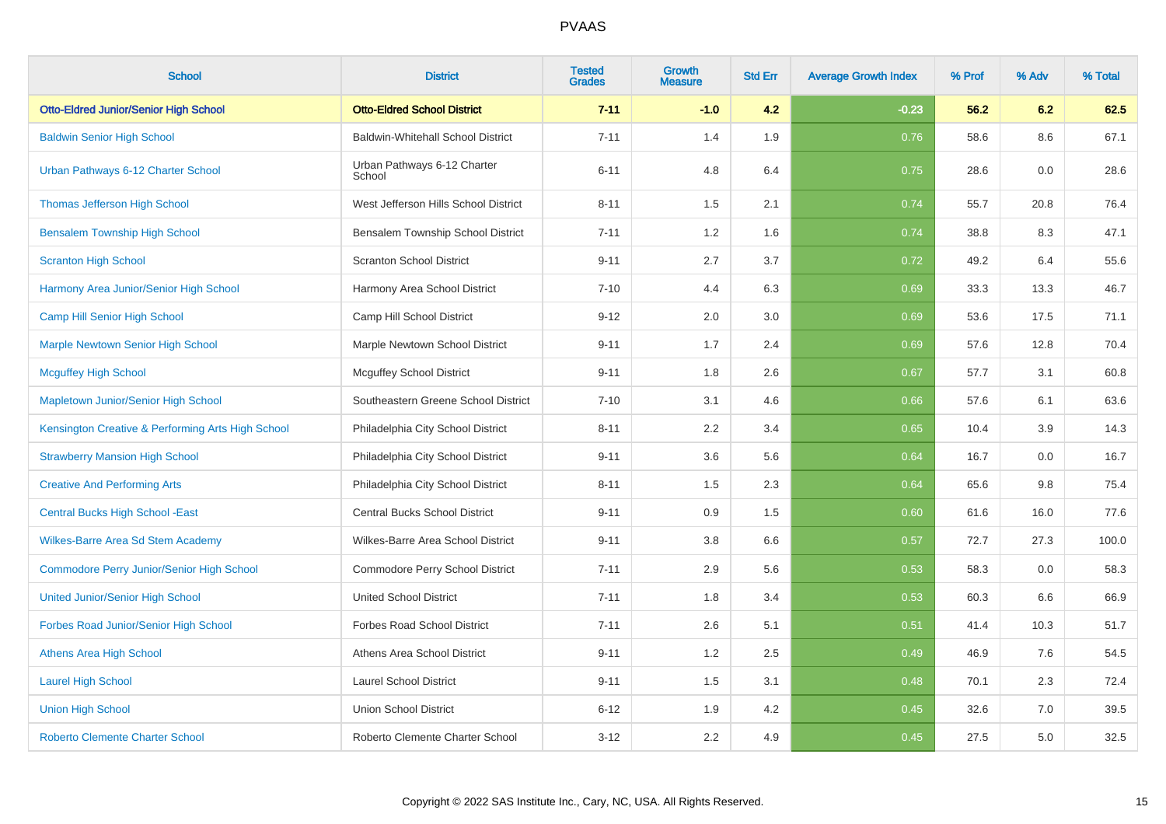| <b>School</b>                                     | <b>District</b>                          | <b>Tested</b><br><b>Grades</b> | <b>Growth</b><br><b>Measure</b> | <b>Std Err</b> | <b>Average Growth Index</b> | % Prof | % Adv | % Total |
|---------------------------------------------------|------------------------------------------|--------------------------------|---------------------------------|----------------|-----------------------------|--------|-------|---------|
| <b>Otto-Eldred Junior/Senior High School</b>      | <b>Otto-Eldred School District</b>       | $7 - 11$                       | $-1.0$                          | 4.2            | $-0.23$                     | 56.2   | 6.2   | 62.5    |
| <b>Baldwin Senior High School</b>                 | <b>Baldwin-Whitehall School District</b> | $7 - 11$                       | 1.4                             | 1.9            | 0.76                        | 58.6   | 8.6   | 67.1    |
| Urban Pathways 6-12 Charter School                | Urban Pathways 6-12 Charter<br>School    | $6 - 11$                       | 4.8                             | 6.4            | 0.75                        | 28.6   | 0.0   | 28.6    |
| <b>Thomas Jefferson High School</b>               | West Jefferson Hills School District     | $8 - 11$                       | 1.5                             | 2.1            | 0.74                        | 55.7   | 20.8  | 76.4    |
| <b>Bensalem Township High School</b>              | Bensalem Township School District        | $7 - 11$                       | 1.2                             | 1.6            | 0.74                        | 38.8   | 8.3   | 47.1    |
| <b>Scranton High School</b>                       | <b>Scranton School District</b>          | $9 - 11$                       | 2.7                             | 3.7            | 0.72                        | 49.2   | 6.4   | 55.6    |
| Harmony Area Junior/Senior High School            | Harmony Area School District             | $7 - 10$                       | 4.4                             | 6.3            | 0.69                        | 33.3   | 13.3  | 46.7    |
| Camp Hill Senior High School                      | Camp Hill School District                | $9 - 12$                       | 2.0                             | 3.0            | 0.69                        | 53.6   | 17.5  | 71.1    |
| <b>Marple Newtown Senior High School</b>          | Marple Newtown School District           | $9 - 11$                       | 1.7                             | 2.4            | 0.69                        | 57.6   | 12.8  | 70.4    |
| <b>Mcguffey High School</b>                       | <b>Mcguffey School District</b>          | $9 - 11$                       | 1.8                             | 2.6            | 0.67                        | 57.7   | 3.1   | 60.8    |
| Mapletown Junior/Senior High School               | Southeastern Greene School District      | $7 - 10$                       | 3.1                             | 4.6            | 0.66                        | 57.6   | 6.1   | 63.6    |
| Kensington Creative & Performing Arts High School | Philadelphia City School District        | $8 - 11$                       | 2.2                             | 3.4            | 0.65                        | 10.4   | 3.9   | 14.3    |
| <b>Strawberry Mansion High School</b>             | Philadelphia City School District        | $9 - 11$                       | 3.6                             | 5.6            | 0.64                        | 16.7   | 0.0   | 16.7    |
| <b>Creative And Performing Arts</b>               | Philadelphia City School District        | $8 - 11$                       | 1.5                             | 2.3            | 0.64                        | 65.6   | 9.8   | 75.4    |
| <b>Central Bucks High School - East</b>           | Central Bucks School District            | $9 - 11$                       | 0.9                             | 1.5            | 0.60                        | 61.6   | 16.0  | 77.6    |
| Wilkes-Barre Area Sd Stem Academy                 | Wilkes-Barre Area School District        | $9 - 11$                       | 3.8                             | 6.6            | 0.57                        | 72.7   | 27.3  | 100.0   |
| <b>Commodore Perry Junior/Senior High School</b>  | Commodore Perry School District          | $7 - 11$                       | 2.9                             | 5.6            | 0.53                        | 58.3   | 0.0   | 58.3    |
| <b>United Junior/Senior High School</b>           | <b>United School District</b>            | $7 - 11$                       | 1.8                             | 3.4            | 0.53                        | 60.3   | 6.6   | 66.9    |
| Forbes Road Junior/Senior High School             | <b>Forbes Road School District</b>       | $7 - 11$                       | 2.6                             | 5.1            | 0.51                        | 41.4   | 10.3  | 51.7    |
| <b>Athens Area High School</b>                    | Athens Area School District              | $9 - 11$                       | 1.2                             | 2.5            | 0.49                        | 46.9   | 7.6   | 54.5    |
| <b>Laurel High School</b>                         | <b>Laurel School District</b>            | $9 - 11$                       | 1.5                             | 3.1            | 0.48                        | 70.1   | 2.3   | 72.4    |
| <b>Union High School</b>                          | <b>Union School District</b>             | $6 - 12$                       | 1.9                             | 4.2            | 0.45                        | 32.6   | 7.0   | 39.5    |
| <b>Roberto Clemente Charter School</b>            | Roberto Clemente Charter School          | $3 - 12$                       | 2.2                             | 4.9            | 0.45                        | 27.5   | 5.0   | 32.5    |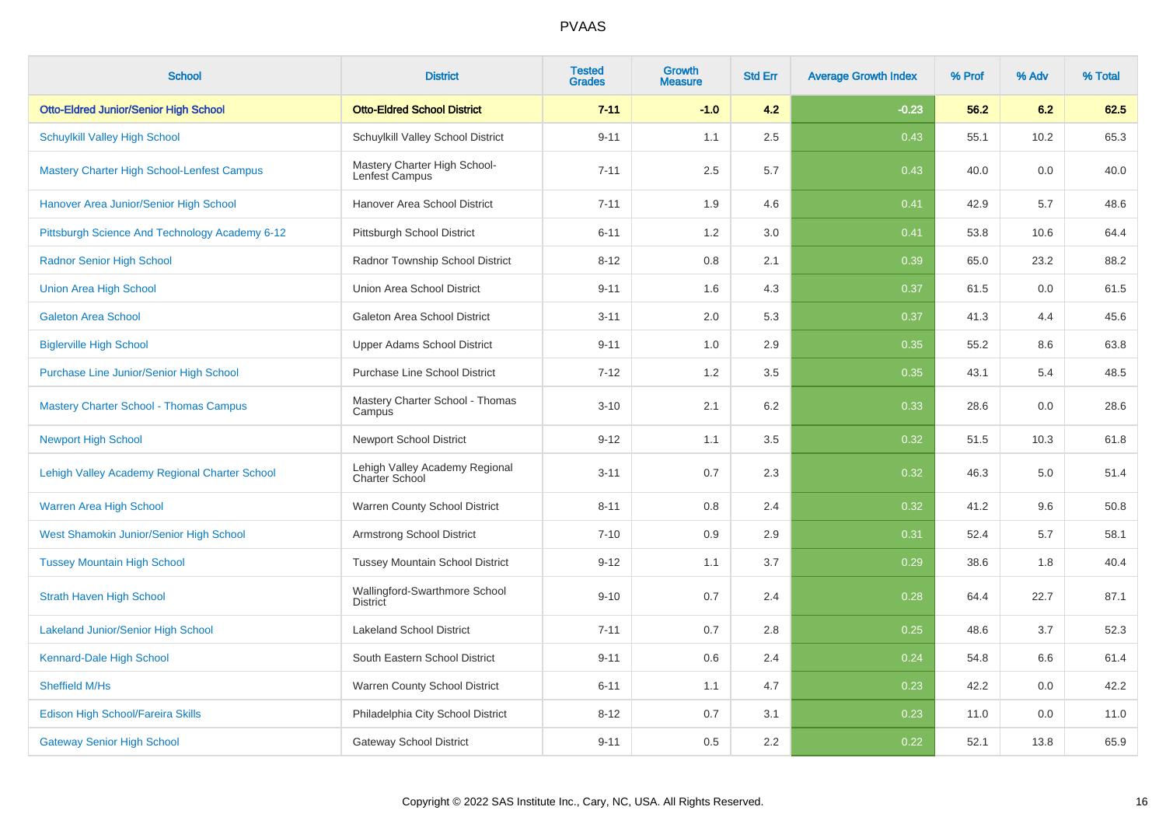| <b>School</b>                                     | <b>District</b>                                         | <b>Tested</b><br><b>Grades</b> | <b>Growth</b><br><b>Measure</b> | <b>Std Err</b> | <b>Average Growth Index</b> | % Prof | % Adv | % Total |
|---------------------------------------------------|---------------------------------------------------------|--------------------------------|---------------------------------|----------------|-----------------------------|--------|-------|---------|
| <b>Otto-Eldred Junior/Senior High School</b>      | <b>Otto-Eldred School District</b>                      | $7 - 11$                       | $-1.0$                          | 4.2            | $-0.23$                     | 56.2   | 6.2   | 62.5    |
| <b>Schuylkill Valley High School</b>              | Schuylkill Valley School District                       | $9 - 11$                       | 1.1                             | 2.5            | 0.43                        | 55.1   | 10.2  | 65.3    |
| <b>Mastery Charter High School-Lenfest Campus</b> | Mastery Charter High School-<br>Lenfest Campus          | $7 - 11$                       | 2.5                             | 5.7            | 0.43                        | 40.0   | 0.0   | 40.0    |
| Hanover Area Junior/Senior High School            | Hanover Area School District                            | $7 - 11$                       | 1.9                             | 4.6            | 0.41                        | 42.9   | 5.7   | 48.6    |
| Pittsburgh Science And Technology Academy 6-12    | Pittsburgh School District                              | $6 - 11$                       | 1.2                             | 3.0            | 0.41                        | 53.8   | 10.6  | 64.4    |
| <b>Radnor Senior High School</b>                  | Radnor Township School District                         | $8 - 12$                       | 0.8                             | 2.1            | 0.39                        | 65.0   | 23.2  | 88.2    |
| <b>Union Area High School</b>                     | Union Area School District                              | $9 - 11$                       | 1.6                             | 4.3            | 0.37                        | 61.5   | 0.0   | 61.5    |
| <b>Galeton Area School</b>                        | Galeton Area School District                            | $3 - 11$                       | 2.0                             | 5.3            | 0.37                        | 41.3   | 4.4   | 45.6    |
| <b>Biglerville High School</b>                    | <b>Upper Adams School District</b>                      | $9 - 11$                       | 1.0                             | 2.9            | 0.35                        | 55.2   | 8.6   | 63.8    |
| Purchase Line Junior/Senior High School           | <b>Purchase Line School District</b>                    | $7 - 12$                       | 1.2                             | 3.5            | 0.35                        | 43.1   | 5.4   | 48.5    |
| <b>Mastery Charter School - Thomas Campus</b>     | Mastery Charter School - Thomas<br>Campus               | $3 - 10$                       | 2.1                             | 6.2            | 0.33                        | 28.6   | 0.0   | 28.6    |
| <b>Newport High School</b>                        | <b>Newport School District</b>                          | $9 - 12$                       | 1.1                             | 3.5            | 0.32                        | 51.5   | 10.3  | 61.8    |
| Lehigh Valley Academy Regional Charter School     | Lehigh Valley Academy Regional<br><b>Charter School</b> | $3 - 11$                       | 0.7                             | 2.3            | 0.32                        | 46.3   | 5.0   | 51.4    |
| Warren Area High School                           | Warren County School District                           | $8 - 11$                       | 0.8                             | 2.4            | 0.32                        | 41.2   | 9.6   | 50.8    |
| West Shamokin Junior/Senior High School           | <b>Armstrong School District</b>                        | $7 - 10$                       | 0.9                             | 2.9            | 0.31                        | 52.4   | 5.7   | 58.1    |
| <b>Tussey Mountain High School</b>                | <b>Tussey Mountain School District</b>                  | $9 - 12$                       | 1.1                             | 3.7            | 0.29                        | 38.6   | 1.8   | 40.4    |
| <b>Strath Haven High School</b>                   | Wallingford-Swarthmore School<br><b>District</b>        | $9 - 10$                       | 0.7                             | 2.4            | 0.28                        | 64.4   | 22.7  | 87.1    |
| <b>Lakeland Junior/Senior High School</b>         | <b>Lakeland School District</b>                         | $7 - 11$                       | 0.7                             | 2.8            | 0.25                        | 48.6   | 3.7   | 52.3    |
| Kennard-Dale High School                          | South Eastern School District                           | $9 - 11$                       | 0.6                             | 2.4            | 0.24                        | 54.8   | 6.6   | 61.4    |
| Sheffield M/Hs                                    | Warren County School District                           | $6 - 11$                       | 1.1                             | 4.7            | 0.23                        | 42.2   | 0.0   | 42.2    |
| Edison High School/Fareira Skills                 | Philadelphia City School District                       | $8 - 12$                       | 0.7                             | 3.1            | 0.23                        | 11.0   | 0.0   | 11.0    |
| <b>Gateway Senior High School</b>                 | <b>Gateway School District</b>                          | $9 - 11$                       | 0.5                             | 2.2            | 0.22                        | 52.1   | 13.8  | 65.9    |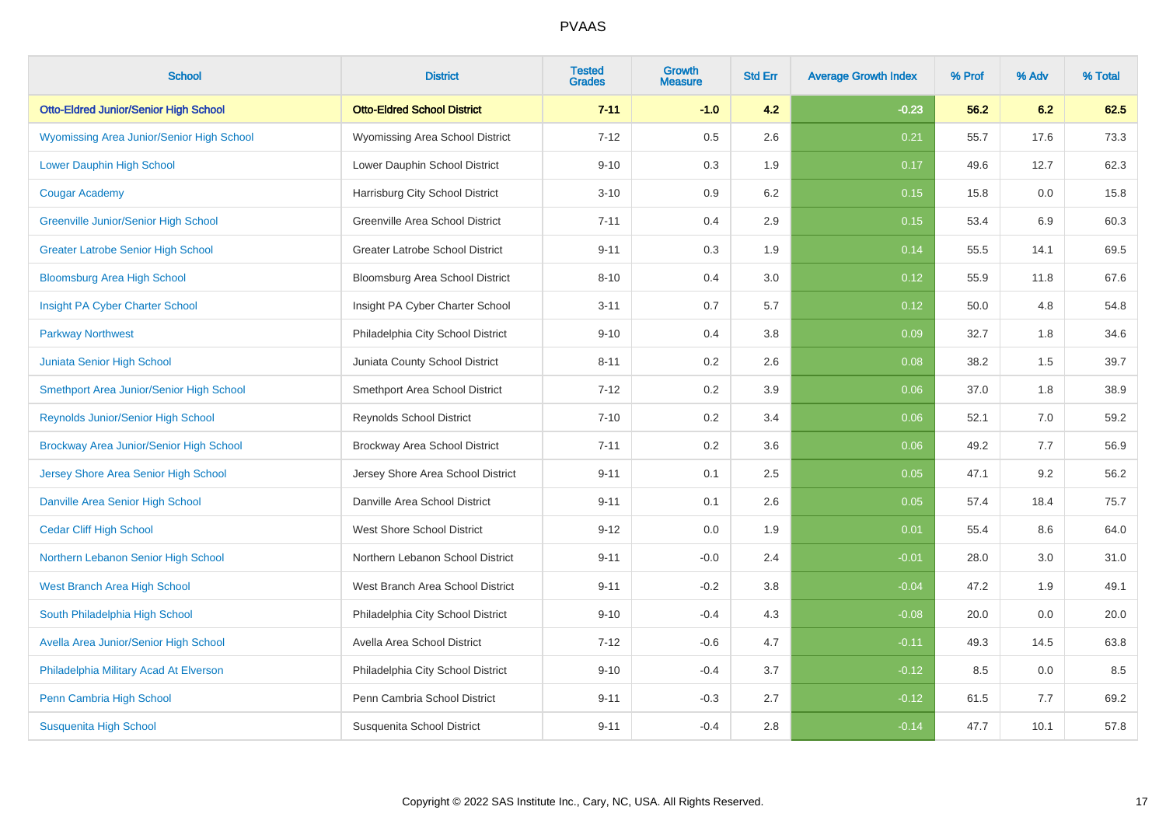| <b>School</b>                                | <b>District</b>                        | <b>Tested</b><br><b>Grades</b> | <b>Growth</b><br><b>Measure</b> | <b>Std Err</b> | <b>Average Growth Index</b> | % Prof | % Adv | % Total |
|----------------------------------------------|----------------------------------------|--------------------------------|---------------------------------|----------------|-----------------------------|--------|-------|---------|
| <b>Otto-Eldred Junior/Senior High School</b> | <b>Otto-Eldred School District</b>     | $7 - 11$                       | $-1.0$                          | 4.2            | $-0.23$                     | 56.2   | 6.2   | 62.5    |
| Wyomissing Area Junior/Senior High School    | Wyomissing Area School District        | $7 - 12$                       | 0.5                             | 2.6            | 0.21                        | 55.7   | 17.6  | 73.3    |
| Lower Dauphin High School                    | Lower Dauphin School District          | $9 - 10$                       | 0.3                             | 1.9            | 0.17                        | 49.6   | 12.7  | 62.3    |
| <b>Cougar Academy</b>                        | Harrisburg City School District        | $3 - 10$                       | 0.9                             | 6.2            | 0.15                        | 15.8   | 0.0   | 15.8    |
| <b>Greenville Junior/Senior High School</b>  | Greenville Area School District        | $7 - 11$                       | 0.4                             | 2.9            | 0.15                        | 53.4   | 6.9   | 60.3    |
| <b>Greater Latrobe Senior High School</b>    | <b>Greater Latrobe School District</b> | $9 - 11$                       | 0.3                             | 1.9            | 0.14                        | 55.5   | 14.1  | 69.5    |
| <b>Bloomsburg Area High School</b>           | Bloomsburg Area School District        | $8 - 10$                       | 0.4                             | 3.0            | 0.12                        | 55.9   | 11.8  | 67.6    |
| Insight PA Cyber Charter School              | Insight PA Cyber Charter School        | $3 - 11$                       | 0.7                             | 5.7            | 0.12                        | 50.0   | 4.8   | 54.8    |
| <b>Parkway Northwest</b>                     | Philadelphia City School District      | $9 - 10$                       | 0.4                             | 3.8            | 0.09                        | 32.7   | 1.8   | 34.6    |
| Juniata Senior High School                   | Juniata County School District         | $8 - 11$                       | 0.2                             | 2.6            | 0.08                        | 38.2   | 1.5   | 39.7    |
| Smethport Area Junior/Senior High School     | Smethport Area School District         | $7 - 12$                       | 0.2                             | 3.9            | 0.06                        | 37.0   | 1.8   | 38.9    |
| Reynolds Junior/Senior High School           | <b>Reynolds School District</b>        | $7 - 10$                       | 0.2                             | 3.4            | 0.06                        | 52.1   | 7.0   | 59.2    |
| Brockway Area Junior/Senior High School      | Brockway Area School District          | $7 - 11$                       | 0.2                             | 3.6            | 0.06                        | 49.2   | 7.7   | 56.9    |
| Jersey Shore Area Senior High School         | Jersey Shore Area School District      | $9 - 11$                       | 0.1                             | 2.5            | 0.05                        | 47.1   | 9.2   | 56.2    |
| Danville Area Senior High School             | Danville Area School District          | $9 - 11$                       | 0.1                             | 2.6            | 0.05                        | 57.4   | 18.4  | 75.7    |
| <b>Cedar Cliff High School</b>               | <b>West Shore School District</b>      | $9 - 12$                       | 0.0                             | 1.9            | 0.01                        | 55.4   | 8.6   | 64.0    |
| Northern Lebanon Senior High School          | Northern Lebanon School District       | $9 - 11$                       | $-0.0$                          | 2.4            | $-0.01$                     | 28.0   | 3.0   | 31.0    |
| West Branch Area High School                 | West Branch Area School District       | $9 - 11$                       | $-0.2$                          | 3.8            | $-0.04$                     | 47.2   | 1.9   | 49.1    |
| South Philadelphia High School               | Philadelphia City School District      | $9 - 10$                       | $-0.4$                          | 4.3            | $-0.08$                     | 20.0   | 0.0   | 20.0    |
| Avella Area Junior/Senior High School        | Avella Area School District            | $7 - 12$                       | $-0.6$                          | 4.7            | $-0.11$                     | 49.3   | 14.5  | 63.8    |
| Philadelphia Military Acad At Elverson       | Philadelphia City School District      | $9 - 10$                       | $-0.4$                          | 3.7            | $-0.12$                     | 8.5    | 0.0   | 8.5     |
| Penn Cambria High School                     | Penn Cambria School District           | $9 - 11$                       | $-0.3$                          | 2.7            | $-0.12$                     | 61.5   | 7.7   | 69.2    |
| <b>Susquenita High School</b>                | Susquenita School District             | $9 - 11$                       | $-0.4$                          | 2.8            | $-0.14$                     | 47.7   | 10.1  | 57.8    |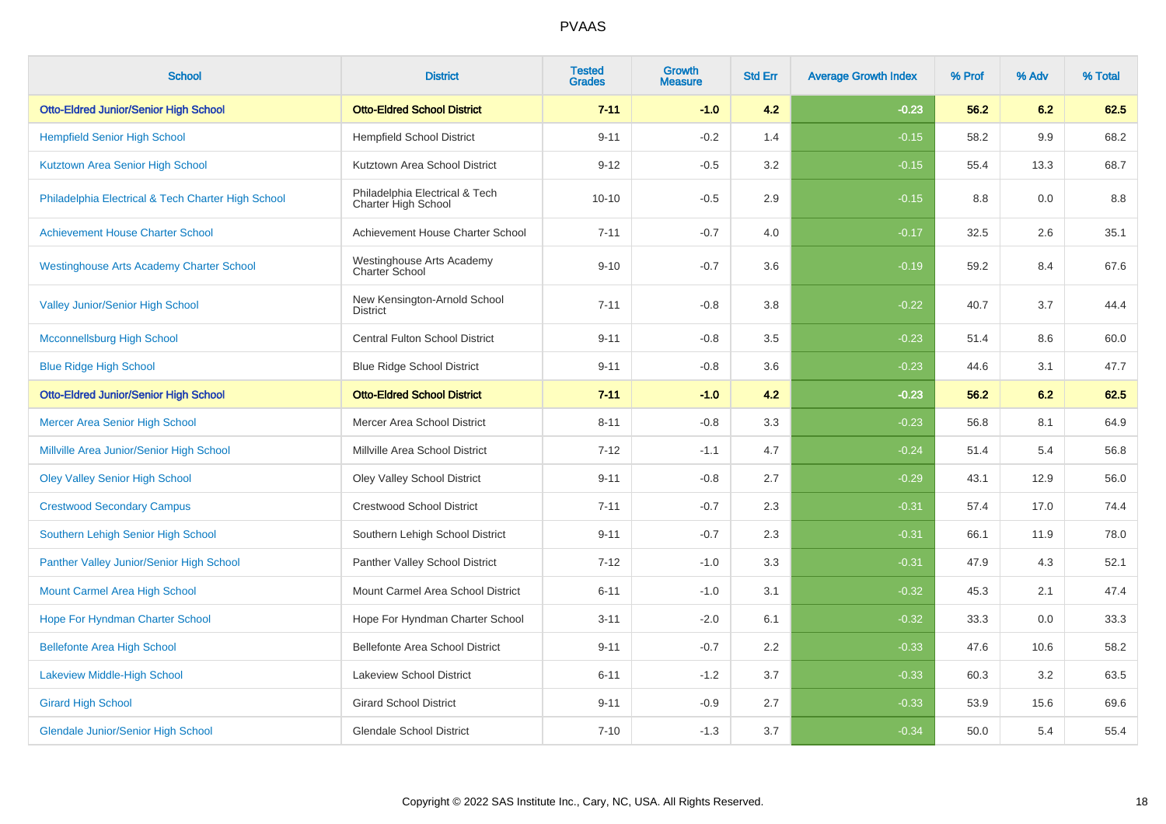| <b>School</b>                                      | <b>District</b>                                       | <b>Tested</b><br><b>Grades</b> | <b>Growth</b><br><b>Measure</b> | <b>Std Err</b> | <b>Average Growth Index</b> | % Prof | % Adv | % Total |
|----------------------------------------------------|-------------------------------------------------------|--------------------------------|---------------------------------|----------------|-----------------------------|--------|-------|---------|
| <b>Otto-Eldred Junior/Senior High School</b>       | <b>Otto-Eldred School District</b>                    | $7 - 11$                       | $-1.0$                          | 4.2            | $-0.23$                     | 56.2   | 6.2   | 62.5    |
| <b>Hempfield Senior High School</b>                | <b>Hempfield School District</b>                      | $9 - 11$                       | $-0.2$                          | 1.4            | $-0.15$                     | 58.2   | 9.9   | 68.2    |
| Kutztown Area Senior High School                   | Kutztown Area School District                         | $9 - 12$                       | $-0.5$                          | 3.2            | $-0.15$                     | 55.4   | 13.3  | 68.7    |
| Philadelphia Electrical & Tech Charter High School | Philadelphia Electrical & Tech<br>Charter High School | $10 - 10$                      | $-0.5$                          | 2.9            | $-0.15$                     | 8.8    | 0.0   | 8.8     |
| <b>Achievement House Charter School</b>            | Achievement House Charter School                      | $7 - 11$                       | $-0.7$                          | 4.0            | $-0.17$                     | 32.5   | 2.6   | 35.1    |
| <b>Westinghouse Arts Academy Charter School</b>    | Westinghouse Arts Academy<br>Charter School           | $9 - 10$                       | $-0.7$                          | 3.6            | $-0.19$                     | 59.2   | 8.4   | 67.6    |
| <b>Valley Junior/Senior High School</b>            | New Kensington-Arnold School<br><b>District</b>       | $7 - 11$                       | $-0.8$                          | 3.8            | $-0.22$                     | 40.7   | 3.7   | 44.4    |
| <b>Mcconnellsburg High School</b>                  | Central Fulton School District                        | $9 - 11$                       | $-0.8$                          | 3.5            | $-0.23$                     | 51.4   | 8.6   | 60.0    |
| <b>Blue Ridge High School</b>                      | <b>Blue Ridge School District</b>                     | $9 - 11$                       | $-0.8$                          | 3.6            | $-0.23$                     | 44.6   | 3.1   | 47.7    |
| <b>Otto-Eldred Junior/Senior High School</b>       | <b>Otto-Eldred School District</b>                    | $7 - 11$                       | $-1.0$                          | 4.2            | $-0.23$                     | 56.2   | 6.2   | 62.5    |
| <b>Mercer Area Senior High School</b>              | Mercer Area School District                           | $8 - 11$                       | $-0.8$                          | 3.3            | $-0.23$                     | 56.8   | 8.1   | 64.9    |
| Millville Area Junior/Senior High School           | Millville Area School District                        | $7 - 12$                       | $-1.1$                          | 4.7            | $-0.24$                     | 51.4   | 5.4   | 56.8    |
| <b>Oley Valley Senior High School</b>              | Oley Valley School District                           | $9 - 11$                       | $-0.8$                          | 2.7            | $-0.29$                     | 43.1   | 12.9  | 56.0    |
| <b>Crestwood Secondary Campus</b>                  | <b>Crestwood School District</b>                      | $7 - 11$                       | $-0.7$                          | 2.3            | $-0.31$                     | 57.4   | 17.0  | 74.4    |
| Southern Lehigh Senior High School                 | Southern Lehigh School District                       | $9 - 11$                       | $-0.7$                          | 2.3            | $-0.31$                     | 66.1   | 11.9  | 78.0    |
| Panther Valley Junior/Senior High School           | Panther Valley School District                        | $7 - 12$                       | $-1.0$                          | 3.3            | $-0.31$                     | 47.9   | 4.3   | 52.1    |
| Mount Carmel Area High School                      | Mount Carmel Area School District                     | $6 - 11$                       | $-1.0$                          | 3.1            | $-0.32$                     | 45.3   | 2.1   | 47.4    |
| Hope For Hyndman Charter School                    | Hope For Hyndman Charter School                       | $3 - 11$                       | $-2.0$                          | 6.1            | $-0.32$                     | 33.3   | 0.0   | 33.3    |
| <b>Bellefonte Area High School</b>                 | Bellefonte Area School District                       | $9 - 11$                       | $-0.7$                          | 2.2            | $-0.33$                     | 47.6   | 10.6  | 58.2    |
| Lakeview Middle-High School                        | Lakeview School District                              | $6 - 11$                       | $-1.2$                          | 3.7            | $-0.33$                     | 60.3   | 3.2   | 63.5    |
| <b>Girard High School</b>                          | <b>Girard School District</b>                         | $9 - 11$                       | $-0.9$                          | 2.7            | $-0.33$                     | 53.9   | 15.6  | 69.6    |
| <b>Glendale Junior/Senior High School</b>          | <b>Glendale School District</b>                       | $7 - 10$                       | $-1.3$                          | 3.7            | $-0.34$                     | 50.0   | 5.4   | 55.4    |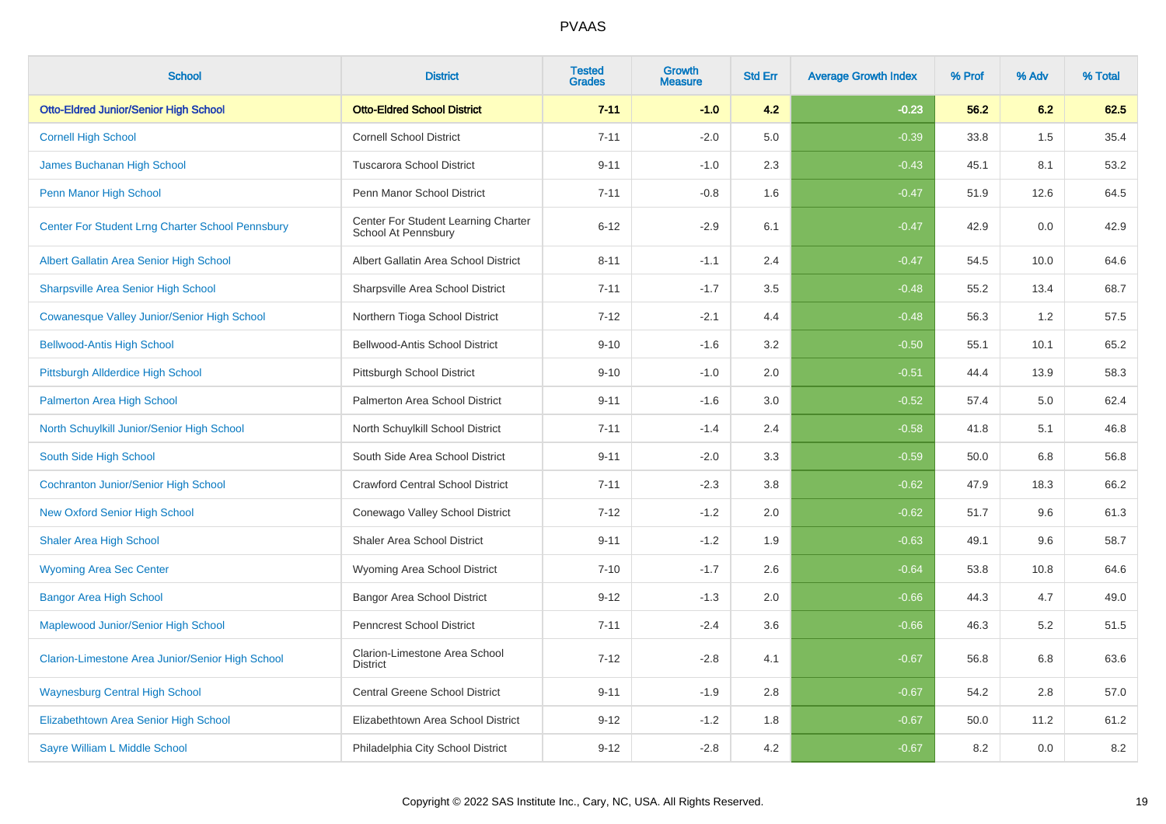| <b>School</b>                                      | <b>District</b>                                            | <b>Tested</b><br><b>Grades</b> | <b>Growth</b><br><b>Measure</b> | <b>Std Err</b> | <b>Average Growth Index</b> | % Prof | % Adv | % Total |
|----------------------------------------------------|------------------------------------------------------------|--------------------------------|---------------------------------|----------------|-----------------------------|--------|-------|---------|
| <b>Otto-Eldred Junior/Senior High School</b>       | <b>Otto-Eldred School District</b>                         | $7 - 11$                       | $-1.0$                          | 4.2            | $-0.23$                     | 56.2   | 6.2   | 62.5    |
| <b>Cornell High School</b>                         | <b>Cornell School District</b>                             | $7 - 11$                       | $-2.0$                          | 5.0            | $-0.39$                     | 33.8   | 1.5   | 35.4    |
| James Buchanan High School                         | <b>Tuscarora School District</b>                           | $9 - 11$                       | $-1.0$                          | 2.3            | $-0.43$                     | 45.1   | 8.1   | 53.2    |
| Penn Manor High School                             | Penn Manor School District                                 | $7 - 11$                       | $-0.8$                          | 1.6            | $-0.47$                     | 51.9   | 12.6  | 64.5    |
| Center For Student Lrng Charter School Pennsbury   | Center For Student Learning Charter<br>School At Pennsbury | $6 - 12$                       | $-2.9$                          | 6.1            | $-0.47$                     | 42.9   | 0.0   | 42.9    |
| Albert Gallatin Area Senior High School            | Albert Gallatin Area School District                       | $8 - 11$                       | $-1.1$                          | 2.4            | $-0.47$                     | 54.5   | 10.0  | 64.6    |
| <b>Sharpsville Area Senior High School</b>         | Sharpsville Area School District                           | $7 - 11$                       | $-1.7$                          | 3.5            | $-0.48$                     | 55.2   | 13.4  | 68.7    |
| <b>Cowanesque Valley Junior/Senior High School</b> | Northern Tioga School District                             | $7 - 12$                       | $-2.1$                          | 4.4            | $-0.48$                     | 56.3   | 1.2   | 57.5    |
| <b>Bellwood-Antis High School</b>                  | Bellwood-Antis School District                             | $9 - 10$                       | $-1.6$                          | 3.2            | $-0.50$                     | 55.1   | 10.1  | 65.2    |
| Pittsburgh Allderdice High School                  | Pittsburgh School District                                 | $9 - 10$                       | $-1.0$                          | 2.0            | $-0.51$                     | 44.4   | 13.9  | 58.3    |
| Palmerton Area High School                         | Palmerton Area School District                             | $9 - 11$                       | $-1.6$                          | 3.0            | $-0.52$                     | 57.4   | 5.0   | 62.4    |
| North Schuylkill Junior/Senior High School         | North Schuylkill School District                           | $7 - 11$                       | $-1.4$                          | 2.4            | $-0.58$                     | 41.8   | 5.1   | 46.8    |
| South Side High School                             | South Side Area School District                            | $9 - 11$                       | $-2.0$                          | $3.3\,$        | $-0.59$                     | 50.0   | 6.8   | 56.8    |
| <b>Cochranton Junior/Senior High School</b>        | <b>Crawford Central School District</b>                    | $7 - 11$                       | $-2.3$                          | 3.8            | $-0.62$                     | 47.9   | 18.3  | 66.2    |
| <b>New Oxford Senior High School</b>               | Conewago Valley School District                            | $7 - 12$                       | $-1.2$                          | 2.0            | $-0.62$                     | 51.7   | 9.6   | 61.3    |
| <b>Shaler Area High School</b>                     | <b>Shaler Area School District</b>                         | $9 - 11$                       | $-1.2$                          | 1.9            | $-0.63$                     | 49.1   | 9.6   | 58.7    |
| <b>Wyoming Area Sec Center</b>                     | Wyoming Area School District                               | $7 - 10$                       | $-1.7$                          | 2.6            | $-0.64$                     | 53.8   | 10.8  | 64.6    |
| <b>Bangor Area High School</b>                     | <b>Bangor Area School District</b>                         | $9 - 12$                       | $-1.3$                          | 2.0            | $-0.66$                     | 44.3   | 4.7   | 49.0    |
| Maplewood Junior/Senior High School                | Penncrest School District                                  | $7 - 11$                       | $-2.4$                          | 3.6            | $-0.66$                     | 46.3   | 5.2   | 51.5    |
| Clarion-Limestone Area Junior/Senior High School   | Clarion-Limestone Area School<br><b>District</b>           | $7 - 12$                       | $-2.8$                          | 4.1            | $-0.67$                     | 56.8   | 6.8   | 63.6    |
| <b>Waynesburg Central High School</b>              | Central Greene School District                             | $9 - 11$                       | $-1.9$                          | 2.8            | $-0.67$                     | 54.2   | 2.8   | 57.0    |
| Elizabethtown Area Senior High School              | Elizabethtown Area School District                         | $9 - 12$                       | $-1.2$                          | 1.8            | $-0.67$                     | 50.0   | 11.2  | 61.2    |
| Sayre William L Middle School                      | Philadelphia City School District                          | $9 - 12$                       | $-2.8$                          | 4.2            | $-0.67$                     | 8.2    | 0.0   | $8.2\,$ |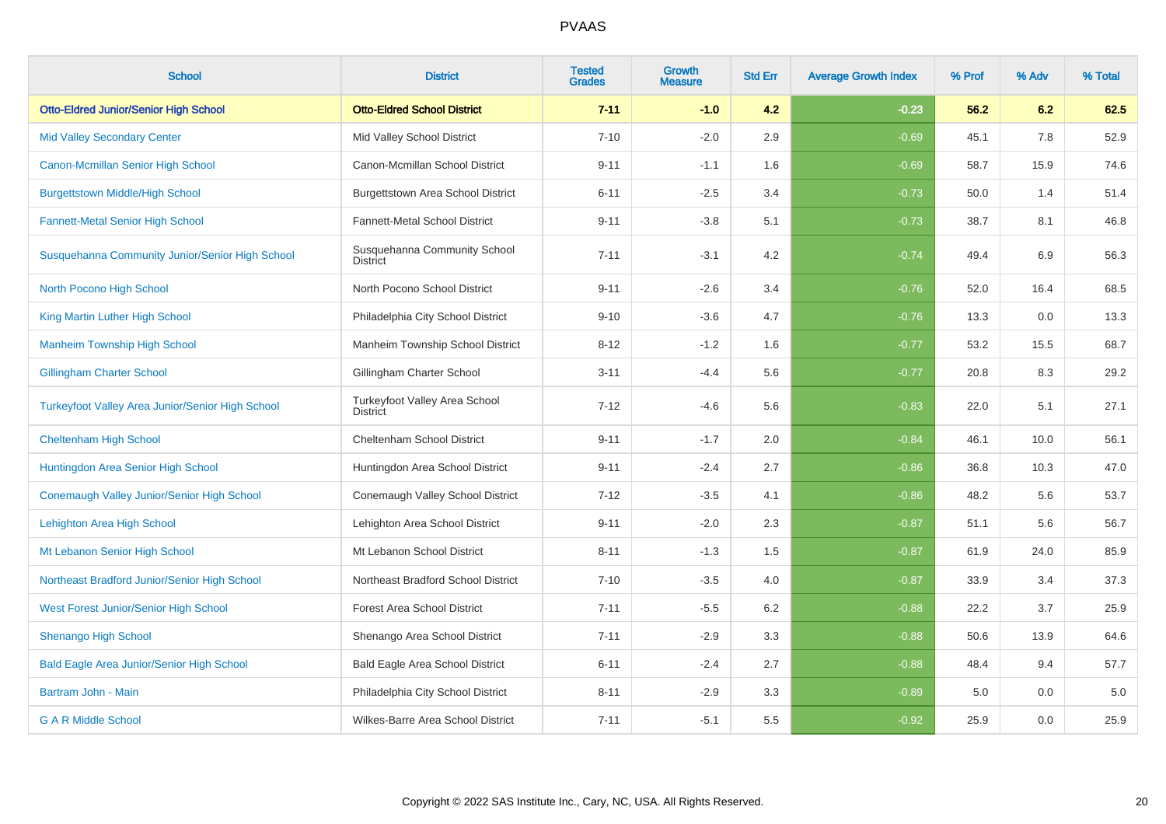| <b>School</b>                                           | <b>District</b>                                  | <b>Tested</b><br><b>Grades</b> | <b>Growth</b><br><b>Measure</b> | <b>Std Err</b> | <b>Average Growth Index</b> | % Prof | % Adv | % Total |
|---------------------------------------------------------|--------------------------------------------------|--------------------------------|---------------------------------|----------------|-----------------------------|--------|-------|---------|
| <b>Otto-Eldred Junior/Senior High School</b>            | <b>Otto-Eldred School District</b>               | $7 - 11$                       | $-1.0$                          | 4.2            | $-0.23$                     | 56.2   | 6.2   | 62.5    |
| <b>Mid Valley Secondary Center</b>                      | Mid Valley School District                       | $7 - 10$                       | $-2.0$                          | 2.9            | $-0.69$                     | 45.1   | 7.8   | 52.9    |
| Canon-Mcmillan Senior High School                       | Canon-Mcmillan School District                   | $9 - 11$                       | $-1.1$                          | 1.6            | $-0.69$                     | 58.7   | 15.9  | 74.6    |
| <b>Burgettstown Middle/High School</b>                  | Burgettstown Area School District                | $6 - 11$                       | $-2.5$                          | 3.4            | $-0.73$                     | 50.0   | 1.4   | 51.4    |
| <b>Fannett-Metal Senior High School</b>                 | Fannett-Metal School District                    | $9 - 11$                       | $-3.8$                          | 5.1            | $-0.73$                     | 38.7   | 8.1   | 46.8    |
| Susquehanna Community Junior/Senior High School         | Susquehanna Community School<br><b>District</b>  | $7 - 11$                       | $-3.1$                          | 4.2            | $-0.74$                     | 49.4   | 6.9   | 56.3    |
| North Pocono High School                                | North Pocono School District                     | $9 - 11$                       | $-2.6$                          | 3.4            | $-0.76$                     | 52.0   | 16.4  | 68.5    |
| King Martin Luther High School                          | Philadelphia City School District                | $9 - 10$                       | $-3.6$                          | 4.7            | $-0.76$                     | 13.3   | 0.0   | 13.3    |
| <b>Manheim Township High School</b>                     | Manheim Township School District                 | $8 - 12$                       | $-1.2$                          | 1.6            | $-0.77$                     | 53.2   | 15.5  | 68.7    |
| <b>Gillingham Charter School</b>                        | Gillingham Charter School                        | $3 - 11$                       | $-4.4$                          | 5.6            | $-0.77$                     | 20.8   | 8.3   | 29.2    |
| <b>Turkeyfoot Valley Area Junior/Senior High School</b> | Turkeyfoot Valley Area School<br><b>District</b> | $7 - 12$                       | $-4.6$                          | 5.6            | $-0.83$                     | 22.0   | 5.1   | 27.1    |
| <b>Cheltenham High School</b>                           | Cheltenham School District                       | $9 - 11$                       | $-1.7$                          | 2.0            | $-0.84$                     | 46.1   | 10.0  | 56.1    |
| Huntingdon Area Senior High School                      | Huntingdon Area School District                  | $9 - 11$                       | $-2.4$                          | 2.7            | $-0.86$                     | 36.8   | 10.3  | 47.0    |
| Conemaugh Valley Junior/Senior High School              | Conemaugh Valley School District                 | $7 - 12$                       | $-3.5$                          | 4.1            | $-0.86$                     | 48.2   | 5.6   | 53.7    |
| Lehighton Area High School                              | Lehighton Area School District                   | $9 - 11$                       | $-2.0$                          | 2.3            | $-0.87$                     | 51.1   | 5.6   | 56.7    |
| Mt Lebanon Senior High School                           | Mt Lebanon School District                       | $8 - 11$                       | $-1.3$                          | 1.5            | $-0.87$                     | 61.9   | 24.0  | 85.9    |
| Northeast Bradford Junior/Senior High School            | Northeast Bradford School District               | $7 - 10$                       | $-3.5$                          | 4.0            | $-0.87$                     | 33.9   | 3.4   | 37.3    |
| West Forest Junior/Senior High School                   | <b>Forest Area School District</b>               | $7 - 11$                       | $-5.5$                          | 6.2            | $-0.88$                     | 22.2   | 3.7   | 25.9    |
| <b>Shenango High School</b>                             | Shenango Area School District                    | $7 - 11$                       | $-2.9$                          | 3.3            | $-0.88$                     | 50.6   | 13.9  | 64.6    |
| <b>Bald Eagle Area Junior/Senior High School</b>        | Bald Eagle Area School District                  | $6 - 11$                       | $-2.4$                          | 2.7            | $-0.88$                     | 48.4   | 9.4   | 57.7    |
| Bartram John - Main                                     | Philadelphia City School District                | $8 - 11$                       | $-2.9$                          | 3.3            | $-0.89$                     | 5.0    | 0.0   | 5.0     |
| <b>G A R Middle School</b>                              | Wilkes-Barre Area School District                | $7 - 11$                       | $-5.1$                          | 5.5            | $-0.92$                     | 25.9   | 0.0   | 25.9    |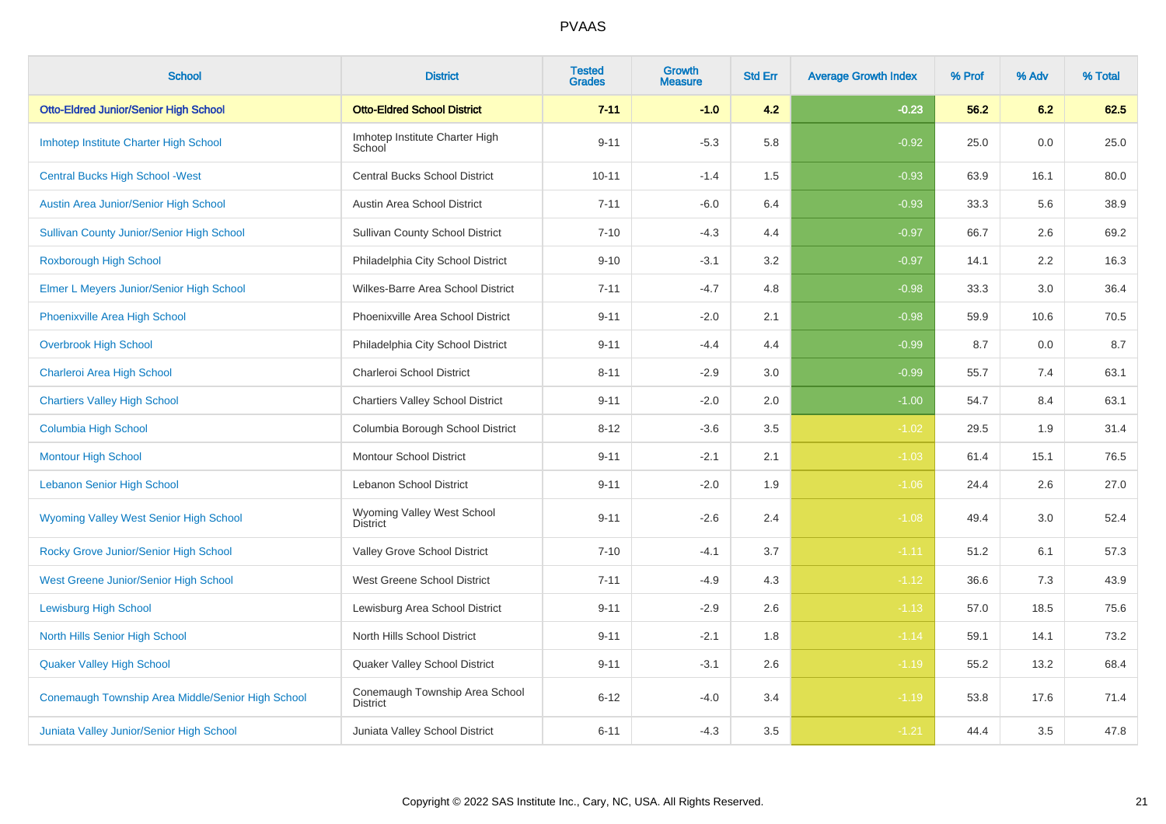| <b>School</b>                                     | <b>District</b>                                   | <b>Tested</b><br><b>Grades</b> | Growth<br><b>Measure</b> | <b>Std Err</b> | <b>Average Growth Index</b> | % Prof | % Adv | % Total |
|---------------------------------------------------|---------------------------------------------------|--------------------------------|--------------------------|----------------|-----------------------------|--------|-------|---------|
| <b>Otto-Eldred Junior/Senior High School</b>      | <b>Otto-Eldred School District</b>                | $7 - 11$                       | $-1.0$                   | 4.2            | $-0.23$                     | 56.2   | 6.2   | 62.5    |
| Imhotep Institute Charter High School             | Imhotep Institute Charter High<br>School          | $9 - 11$                       | $-5.3$                   | 5.8            | $-0.92$                     | 25.0   | 0.0   | 25.0    |
| <b>Central Bucks High School - West</b>           | <b>Central Bucks School District</b>              | $10 - 11$                      | $-1.4$                   | 1.5            | $-0.93$                     | 63.9   | 16.1  | 80.0    |
| Austin Area Junior/Senior High School             | Austin Area School District                       | $7 - 11$                       | $-6.0$                   | 6.4            | $-0.93$                     | 33.3   | 5.6   | 38.9    |
| <b>Sullivan County Junior/Senior High School</b>  | <b>Sullivan County School District</b>            | $7 - 10$                       | $-4.3$                   | 4.4            | $-0.97$                     | 66.7   | 2.6   | 69.2    |
| Roxborough High School                            | Philadelphia City School District                 | $9 - 10$                       | $-3.1$                   | $3.2\,$        | $-0.97$                     | 14.1   | 2.2   | 16.3    |
| Elmer L Meyers Junior/Senior High School          | Wilkes-Barre Area School District                 | $7 - 11$                       | $-4.7$                   | 4.8            | $-0.98$                     | 33.3   | 3.0   | 36.4    |
| Phoenixville Area High School                     | Phoenixville Area School District                 | $9 - 11$                       | $-2.0$                   | 2.1            | $-0.98$                     | 59.9   | 10.6  | 70.5    |
| <b>Overbrook High School</b>                      | Philadelphia City School District                 | $9 - 11$                       | $-4.4$                   | 4.4            | $-0.99$                     | 8.7    | 0.0   | 8.7     |
| Charleroi Area High School                        | Charleroi School District                         | $8 - 11$                       | $-2.9$                   | 3.0            | $-0.99$                     | 55.7   | 7.4   | 63.1    |
| <b>Chartiers Valley High School</b>               | <b>Chartiers Valley School District</b>           | $9 - 11$                       | $-2.0$                   | 2.0            | $-1.00$                     | 54.7   | 8.4   | 63.1    |
| <b>Columbia High School</b>                       | Columbia Borough School District                  | $8 - 12$                       | $-3.6$                   | 3.5            | $-1.02$                     | 29.5   | 1.9   | 31.4    |
| <b>Montour High School</b>                        | <b>Montour School District</b>                    | $9 - 11$                       | $-2.1$                   | 2.1            | $-1.03$                     | 61.4   | 15.1  | 76.5    |
| <b>Lebanon Senior High School</b>                 | Lebanon School District                           | $9 - 11$                       | $-2.0$                   | 1.9            | $-1.06$                     | 24.4   | 2.6   | 27.0    |
| <b>Wyoming Valley West Senior High School</b>     | Wyoming Valley West School<br><b>District</b>     | $9 - 11$                       | $-2.6$                   | 2.4            | $-1.08$                     | 49.4   | 3.0   | 52.4    |
| Rocky Grove Junior/Senior High School             | Valley Grove School District                      | $7 - 10$                       | $-4.1$                   | 3.7            | $-1.11$                     | 51.2   | 6.1   | 57.3    |
| West Greene Junior/Senior High School             | West Greene School District                       | $7 - 11$                       | $-4.9$                   | 4.3            | $-1.12$                     | 36.6   | 7.3   | 43.9    |
| <b>Lewisburg High School</b>                      | Lewisburg Area School District                    | $9 - 11$                       | $-2.9$                   | 2.6            | $-1.13$                     | 57.0   | 18.5  | 75.6    |
| North Hills Senior High School                    | North Hills School District                       | $9 - 11$                       | $-2.1$                   | 1.8            | $-1.14$                     | 59.1   | 14.1  | 73.2    |
| <b>Quaker Valley High School</b>                  | Quaker Valley School District                     | $9 - 11$                       | $-3.1$                   | 2.6            | $-1.19$                     | 55.2   | 13.2  | 68.4    |
| Conemaugh Township Area Middle/Senior High School | Conemaugh Township Area School<br><b>District</b> | $6 - 12$                       | $-4.0$                   | 3.4            | $-1.19$                     | 53.8   | 17.6  | 71.4    |
| Juniata Valley Junior/Senior High School          | Juniata Valley School District                    | $6 - 11$                       | $-4.3$                   | 3.5            | $-1.21$                     | 44.4   | 3.5   | 47.8    |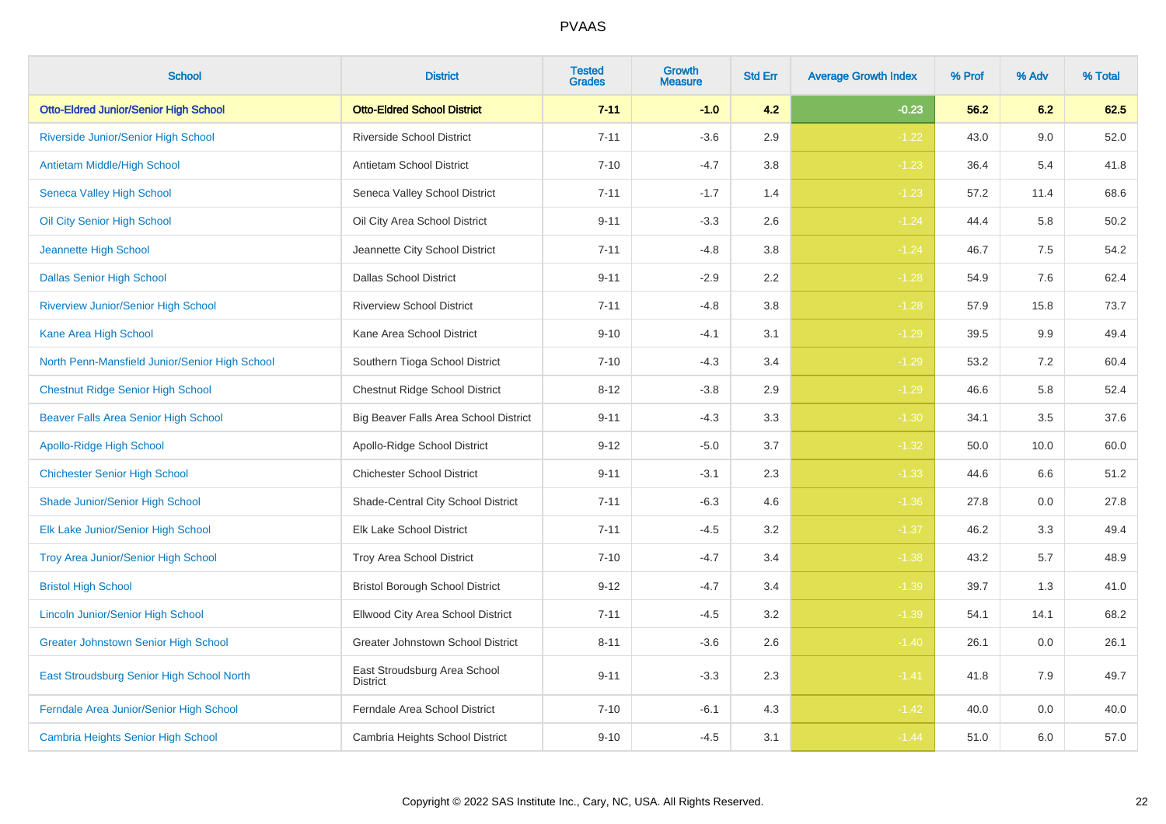| <b>School</b>                                  | <b>District</b>                                 | <b>Tested</b><br><b>Grades</b> | <b>Growth</b><br><b>Measure</b> | <b>Std Err</b> | <b>Average Growth Index</b> | % Prof | % Adv | % Total |
|------------------------------------------------|-------------------------------------------------|--------------------------------|---------------------------------|----------------|-----------------------------|--------|-------|---------|
| <b>Otto-Eldred Junior/Senior High School</b>   | <b>Otto-Eldred School District</b>              | $7 - 11$                       | $-1.0$                          | 4.2            | $-0.23$                     | 56.2   | 6.2   | 62.5    |
| Riverside Junior/Senior High School            | Riverside School District                       | $7 - 11$                       | $-3.6$                          | 2.9            | $-1.22$                     | 43.0   | 9.0   | 52.0    |
| Antietam Middle/High School                    | <b>Antietam School District</b>                 | $7 - 10$                       | $-4.7$                          | 3.8            | $-1.23$                     | 36.4   | 5.4   | 41.8    |
| Seneca Valley High School                      | Seneca Valley School District                   | $7 - 11$                       | $-1.7$                          | 1.4            | $-1.23$                     | 57.2   | 11.4  | 68.6    |
| Oil City Senior High School                    | Oil City Area School District                   | $9 - 11$                       | $-3.3$                          | 2.6            | $-1.24$                     | 44.4   | 5.8   | 50.2    |
| <b>Jeannette High School</b>                   | Jeannette City School District                  | $7 - 11$                       | $-4.8$                          | 3.8            | $-1.24$                     | 46.7   | 7.5   | 54.2    |
| <b>Dallas Senior High School</b>               | <b>Dallas School District</b>                   | $9 - 11$                       | $-2.9$                          | 2.2            | $-1.28$                     | 54.9   | 7.6   | 62.4    |
| <b>Riverview Junior/Senior High School</b>     | <b>Riverview School District</b>                | $7 - 11$                       | $-4.8$                          | 3.8            | $-1.28$                     | 57.9   | 15.8  | 73.7    |
| Kane Area High School                          | Kane Area School District                       | $9 - 10$                       | $-4.1$                          | 3.1            | $-1.29$                     | 39.5   | 9.9   | 49.4    |
| North Penn-Mansfield Junior/Senior High School | Southern Tioga School District                  | $7 - 10$                       | $-4.3$                          | 3.4            | $-1.29$                     | 53.2   | 7.2   | 60.4    |
| <b>Chestnut Ridge Senior High School</b>       | <b>Chestnut Ridge School District</b>           | $8 - 12$                       | $-3.8$                          | 2.9            | $-1.29$                     | 46.6   | 5.8   | 52.4    |
| <b>Beaver Falls Area Senior High School</b>    | Big Beaver Falls Area School District           | $9 - 11$                       | $-4.3$                          | 3.3            | $-1.30$                     | 34.1   | 3.5   | 37.6    |
| Apollo-Ridge High School                       | Apollo-Ridge School District                    | $9 - 12$                       | $-5.0$                          | 3.7            | $-1.32$                     | 50.0   | 10.0  | 60.0    |
| <b>Chichester Senior High School</b>           | <b>Chichester School District</b>               | $9 - 11$                       | $-3.1$                          | 2.3            | $-1.33$                     | 44.6   | 6.6   | 51.2    |
| Shade Junior/Senior High School                | Shade-Central City School District              | $7 - 11$                       | $-6.3$                          | 4.6            | $-1.36$                     | 27.8   | 0.0   | 27.8    |
| Elk Lake Junior/Senior High School             | Elk Lake School District                        | $7 - 11$                       | $-4.5$                          | 3.2            | $-1.37$                     | 46.2   | 3.3   | 49.4    |
| Troy Area Junior/Senior High School            | Troy Area School District                       | $7 - 10$                       | $-4.7$                          | 3.4            | $-1.38$                     | 43.2   | 5.7   | 48.9    |
| <b>Bristol High School</b>                     | <b>Bristol Borough School District</b>          | $9 - 12$                       | $-4.7$                          | 3.4            | $-1.39$                     | 39.7   | 1.3   | 41.0    |
| <b>Lincoln Junior/Senior High School</b>       | Ellwood City Area School District               | $7 - 11$                       | $-4.5$                          | 3.2            | $-1.39$                     | 54.1   | 14.1  | 68.2    |
| <b>Greater Johnstown Senior High School</b>    | Greater Johnstown School District               | $8 - 11$                       | $-3.6$                          | 2.6            | $-1.40$                     | 26.1   | 0.0   | 26.1    |
| East Stroudsburg Senior High School North      | East Stroudsburg Area School<br><b>District</b> | $9 - 11$                       | $-3.3$                          | 2.3            | $-1.41$                     | 41.8   | 7.9   | 49.7    |
| Ferndale Area Junior/Senior High School        | Ferndale Area School District                   | $7 - 10$                       | $-6.1$                          | 4.3            | $-1.42$                     | 40.0   | 0.0   | 40.0    |
| <b>Cambria Heights Senior High School</b>      | Cambria Heights School District                 | $9 - 10$                       | $-4.5$                          | 3.1            | $-1.44$                     | 51.0   | 6.0   | 57.0    |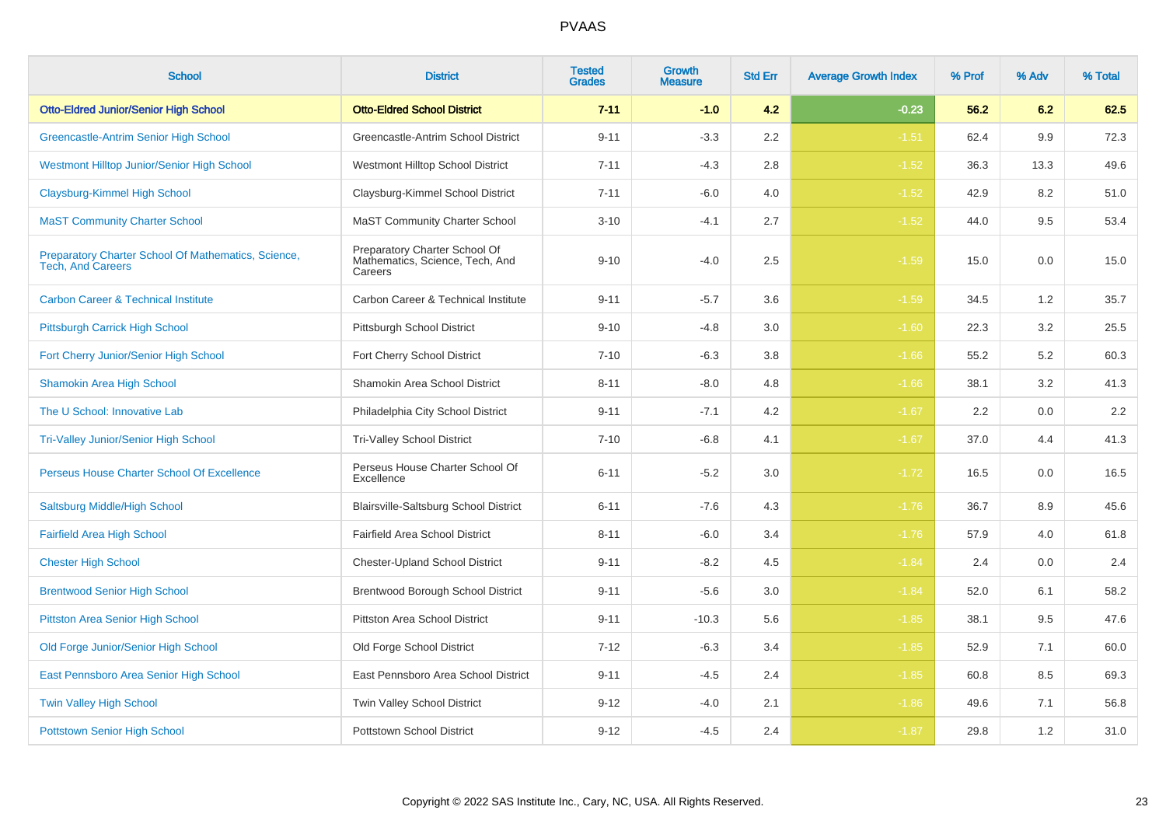| <b>School</b>                                                                   | <b>District</b>                                                             | <b>Tested</b><br><b>Grades</b> | Growth<br>Measure | <b>Std Err</b> | <b>Average Growth Index</b> | % Prof | % Adv | % Total |
|---------------------------------------------------------------------------------|-----------------------------------------------------------------------------|--------------------------------|-------------------|----------------|-----------------------------|--------|-------|---------|
| <b>Otto-Eldred Junior/Senior High School</b>                                    | <b>Otto-Eldred School District</b>                                          | $7 - 11$                       | $-1.0$            | 4.2            | $-0.23$                     | 56.2   | 6.2   | 62.5    |
| Greencastle-Antrim Senior High School                                           | Greencastle-Antrim School District                                          | $9 - 11$                       | $-3.3$            | 2.2            | $-1.51$                     | 62.4   | 9.9   | 72.3    |
| Westmont Hilltop Junior/Senior High School                                      | Westmont Hilltop School District                                            | $7 - 11$                       | $-4.3$            | 2.8            | $-1.52$                     | 36.3   | 13.3  | 49.6    |
| Claysburg-Kimmel High School                                                    | Claysburg-Kimmel School District                                            | $7 - 11$                       | $-6.0$            | 4.0            | $-1.52$                     | 42.9   | 8.2   | 51.0    |
| <b>MaST Community Charter School</b>                                            | <b>MaST Community Charter School</b>                                        | $3 - 10$                       | $-4.1$            | 2.7            | $-1.52$                     | 44.0   | 9.5   | 53.4    |
| Preparatory Charter School Of Mathematics, Science,<br><b>Tech, And Careers</b> | Preparatory Charter School Of<br>Mathematics, Science, Tech, And<br>Careers | $9 - 10$                       | $-4.0$            | 2.5            | $-1.59$                     | 15.0   | 0.0   | 15.0    |
| <b>Carbon Career &amp; Technical Institute</b>                                  | Carbon Career & Technical Institute                                         | $9 - 11$                       | $-5.7$            | 3.6            | $-1.59$                     | 34.5   | 1.2   | 35.7    |
| Pittsburgh Carrick High School                                                  | Pittsburgh School District                                                  | $9 - 10$                       | $-4.8$            | 3.0            | $-1.60$                     | 22.3   | 3.2   | 25.5    |
| Fort Cherry Junior/Senior High School                                           | Fort Cherry School District                                                 | $7 - 10$                       | $-6.3$            | 3.8            | $-1.66$                     | 55.2   | 5.2   | 60.3    |
| <b>Shamokin Area High School</b>                                                | Shamokin Area School District                                               | $8 - 11$                       | $-8.0$            | 4.8            | $-1.66$                     | 38.1   | 3.2   | 41.3    |
| The U School: Innovative Lab                                                    | Philadelphia City School District                                           | $9 - 11$                       | $-7.1$            | 4.2            | $-1.67$                     | 2.2    | 0.0   | $2.2\,$ |
| <b>Tri-Valley Junior/Senior High School</b>                                     | <b>Tri-Valley School District</b>                                           | $7 - 10$                       | $-6.8$            | 4.1            | $-1.67$                     | 37.0   | 4.4   | 41.3    |
| Perseus House Charter School Of Excellence                                      | Perseus House Charter School Of<br>Excellence                               | $6 - 11$                       | $-5.2$            | 3.0            | $-1.72$                     | 16.5   | 0.0   | 16.5    |
| Saltsburg Middle/High School                                                    | Blairsville-Saltsburg School District                                       | $6 - 11$                       | $-7.6$            | 4.3            | $-1.76$                     | 36.7   | 8.9   | 45.6    |
| <b>Fairfield Area High School</b>                                               | Fairfield Area School District                                              | $8 - 11$                       | $-6.0$            | 3.4            | $-1.76$                     | 57.9   | 4.0   | 61.8    |
| <b>Chester High School</b>                                                      | <b>Chester-Upland School District</b>                                       | $9 - 11$                       | $-8.2$            | 4.5            | $-1.84$                     | 2.4    | 0.0   | 2.4     |
| <b>Brentwood Senior High School</b>                                             | Brentwood Borough School District                                           | $9 - 11$                       | $-5.6$            | $3.0\,$        | $-1.84$                     | 52.0   | 6.1   | 58.2    |
| <b>Pittston Area Senior High School</b>                                         | Pittston Area School District                                               | $9 - 11$                       | $-10.3$           | 5.6            | $-1.85$                     | 38.1   | 9.5   | 47.6    |
| Old Forge Junior/Senior High School                                             | Old Forge School District                                                   | $7 - 12$                       | $-6.3$            | 3.4            | $-1.85$                     | 52.9   | 7.1   | 60.0    |
| East Pennsboro Area Senior High School                                          | East Pennsboro Area School District                                         | $9 - 11$                       | $-4.5$            | 2.4            | $-1.85$                     | 60.8   | 8.5   | 69.3    |
| <b>Twin Valley High School</b>                                                  | Twin Valley School District                                                 | $9 - 12$                       | $-4.0$            | 2.1            | $-1.86$                     | 49.6   | 7.1   | 56.8    |
| <b>Pottstown Senior High School</b>                                             | <b>Pottstown School District</b>                                            | $9 - 12$                       | $-4.5$            | 2.4            | $-1.87$                     | 29.8   | 1.2   | 31.0    |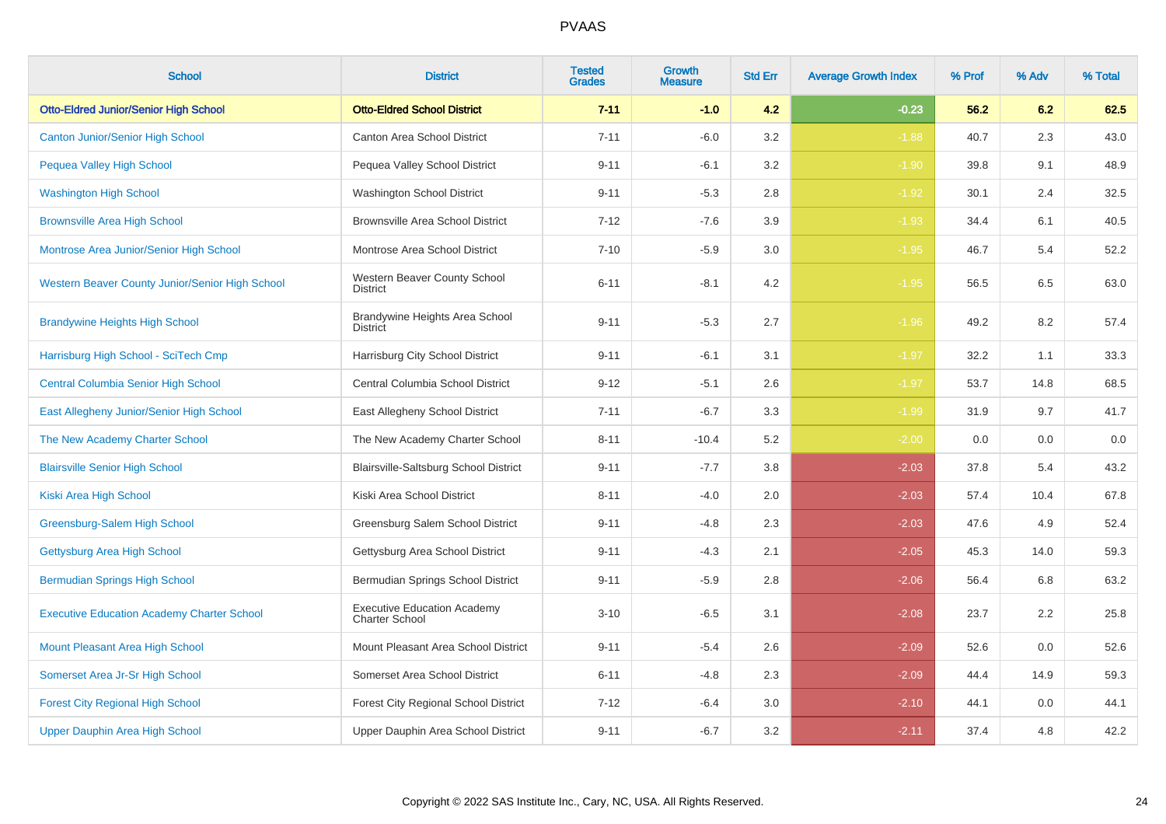| <b>School</b>                                     | <b>District</b>                                             | <b>Tested</b><br><b>Grades</b> | Growth<br>Measure | <b>Std Err</b> | <b>Average Growth Index</b> | % Prof | % Adv | % Total |
|---------------------------------------------------|-------------------------------------------------------------|--------------------------------|-------------------|----------------|-----------------------------|--------|-------|---------|
| <b>Otto-Eldred Junior/Senior High School</b>      | <b>Otto-Eldred School District</b>                          | $7 - 11$                       | $-1.0$            | 4.2            | $-0.23$                     | 56.2   | 6.2   | 62.5    |
| <b>Canton Junior/Senior High School</b>           | <b>Canton Area School District</b>                          | $7 - 11$                       | $-6.0$            | 3.2            | $-1.88$                     | 40.7   | 2.3   | 43.0    |
| Pequea Valley High School                         | Pequea Valley School District                               | $9 - 11$                       | $-6.1$            | 3.2            | $-1.90$                     | 39.8   | 9.1   | 48.9    |
| <b>Washington High School</b>                     | Washington School District                                  | $9 - 11$                       | $-5.3$            | 2.8            | $-1.92$                     | 30.1   | 2.4   | 32.5    |
| <b>Brownsville Area High School</b>               | <b>Brownsville Area School District</b>                     | $7 - 12$                       | $-7.6$            | 3.9            | $-1.93$                     | 34.4   | 6.1   | 40.5    |
| Montrose Area Junior/Senior High School           | Montrose Area School District                               | $7 - 10$                       | $-5.9$            | 3.0            | $-1.95$                     | 46.7   | 5.4   | 52.2    |
| Western Beaver County Junior/Senior High School   | Western Beaver County School<br>District                    | $6 - 11$                       | $-8.1$            | 4.2            | $-1.95$                     | 56.5   | 6.5   | 63.0    |
| <b>Brandywine Heights High School</b>             | Brandywine Heights Area School<br><b>District</b>           | $9 - 11$                       | $-5.3$            | 2.7            | $-1.96$                     | 49.2   | 8.2   | 57.4    |
| Harrisburg High School - SciTech Cmp              | Harrisburg City School District                             | $9 - 11$                       | $-6.1$            | 3.1            | $-1.97$                     | 32.2   | 1.1   | 33.3    |
| <b>Central Columbia Senior High School</b>        | Central Columbia School District                            | $9 - 12$                       | $-5.1$            | 2.6            | $-1.97$                     | 53.7   | 14.8  | 68.5    |
| East Allegheny Junior/Senior High School          | East Allegheny School District                              | $7 - 11$                       | $-6.7$            | 3.3            | $-1.99$                     | 31.9   | 9.7   | 41.7    |
| The New Academy Charter School                    | The New Academy Charter School                              | $8 - 11$                       | $-10.4$           | 5.2            | $-2.00$                     | 0.0    | 0.0   | 0.0     |
| <b>Blairsville Senior High School</b>             | Blairsville-Saltsburg School District                       | $9 - 11$                       | $-7.7$            | 3.8            | $-2.03$                     | 37.8   | 5.4   | 43.2    |
| Kiski Area High School                            | Kiski Area School District                                  | $8 - 11$                       | $-4.0$            | 2.0            | $-2.03$                     | 57.4   | 10.4  | 67.8    |
| Greensburg-Salem High School                      | Greensburg Salem School District                            | $9 - 11$                       | $-4.8$            | 2.3            | $-2.03$                     | 47.6   | 4.9   | 52.4    |
| Gettysburg Area High School                       | Gettysburg Area School District                             | $9 - 11$                       | $-4.3$            | 2.1            | $-2.05$                     | 45.3   | 14.0  | 59.3    |
| <b>Bermudian Springs High School</b>              | Bermudian Springs School District                           | $9 - 11$                       | $-5.9$            | 2.8            | $-2.06$                     | 56.4   | 6.8   | 63.2    |
| <b>Executive Education Academy Charter School</b> | <b>Executive Education Academy</b><br><b>Charter School</b> | $3 - 10$                       | $-6.5$            | 3.1            | $-2.08$                     | 23.7   | 2.2   | 25.8    |
| <b>Mount Pleasant Area High School</b>            | Mount Pleasant Area School District                         | $9 - 11$                       | $-5.4$            | 2.6            | $-2.09$                     | 52.6   | 0.0   | 52.6    |
| Somerset Area Jr-Sr High School                   | Somerset Area School District                               | $6 - 11$                       | $-4.8$            | 2.3            | $-2.09$                     | 44.4   | 14.9  | 59.3    |
| <b>Forest City Regional High School</b>           | <b>Forest City Regional School District</b>                 | $7 - 12$                       | $-6.4$            | 3.0            | $-2.10$                     | 44.1   | 0.0   | 44.1    |
| Upper Dauphin Area High School                    | Upper Dauphin Area School District                          | $9 - 11$                       | $-6.7$            | 3.2            | $-2.11$                     | 37.4   | 4.8   | 42.2    |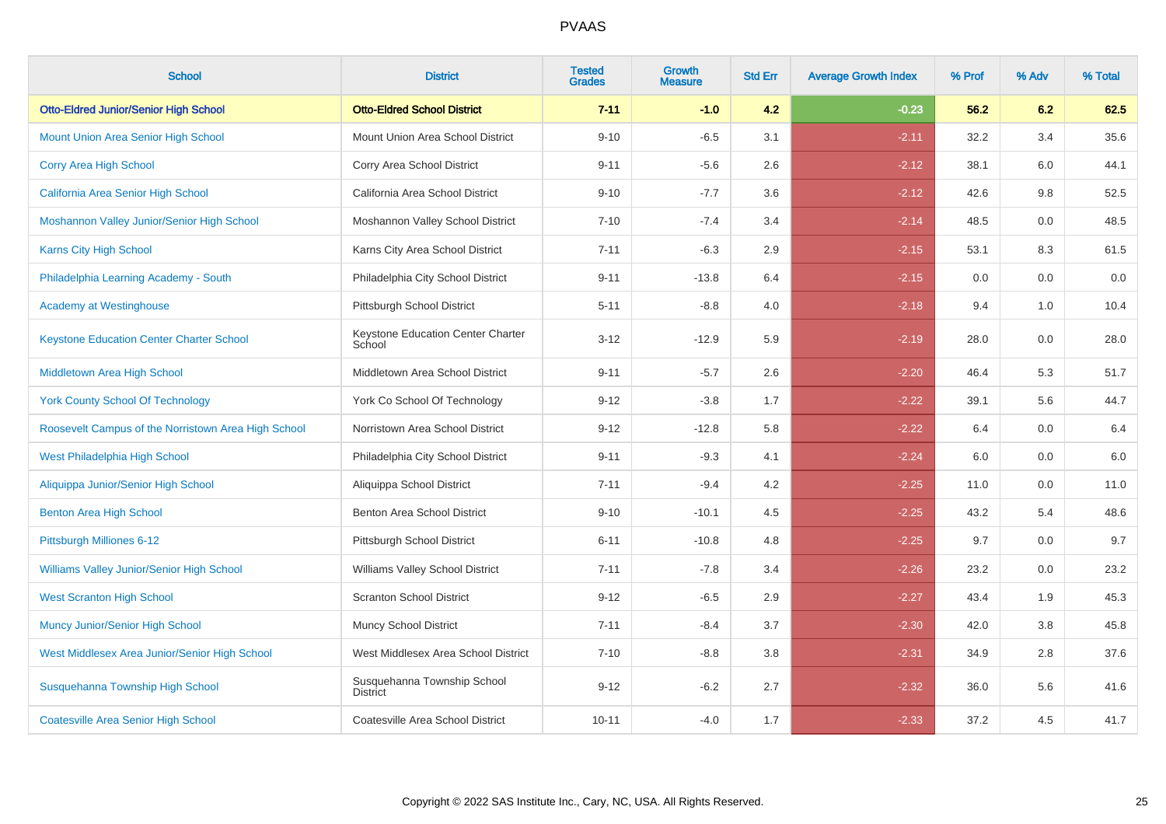| <b>School</b>                                       | <b>District</b>                                | <b>Tested</b><br><b>Grades</b> | <b>Growth</b><br><b>Measure</b> | <b>Std Err</b> | <b>Average Growth Index</b> | % Prof | % Adv | % Total |
|-----------------------------------------------------|------------------------------------------------|--------------------------------|---------------------------------|----------------|-----------------------------|--------|-------|---------|
| <b>Otto-Eldred Junior/Senior High School</b>        | <b>Otto-Eldred School District</b>             | $7 - 11$                       | $-1.0$                          | 4.2            | $-0.23$                     | 56.2   | 6.2   | 62.5    |
| <b>Mount Union Area Senior High School</b>          | Mount Union Area School District               | $9 - 10$                       | $-6.5$                          | 3.1            | $-2.11$                     | 32.2   | 3.4   | 35.6    |
| Corry Area High School                              | Corry Area School District                     | $9 - 11$                       | $-5.6$                          | 2.6            | $-2.12$                     | 38.1   | 6.0   | 44.1    |
| California Area Senior High School                  | California Area School District                | $9 - 10$                       | $-7.7$                          | 3.6            | $-2.12$                     | 42.6   | 9.8   | 52.5    |
| Moshannon Valley Junior/Senior High School          | Moshannon Valley School District               | $7 - 10$                       | $-7.4$                          | 3.4            | $-2.14$                     | 48.5   | 0.0   | 48.5    |
| Karns City High School                              | Karns City Area School District                | $7 - 11$                       | $-6.3$                          | 2.9            | $-2.15$                     | 53.1   | 8.3   | 61.5    |
| Philadelphia Learning Academy - South               | Philadelphia City School District              | $9 - 11$                       | $-13.8$                         | 6.4            | $-2.15$                     | 0.0    | 0.0   | $0.0\,$ |
| <b>Academy at Westinghouse</b>                      | Pittsburgh School District                     | $5 - 11$                       | $-8.8$                          | 4.0            | $-2.18$                     | 9.4    | 1.0   | 10.4    |
| <b>Keystone Education Center Charter School</b>     | Keystone Education Center Charter<br>School    | $3 - 12$                       | $-12.9$                         | 5.9            | $-2.19$                     | 28.0   | 0.0   | 28.0    |
| Middletown Area High School                         | Middletown Area School District                | $9 - 11$                       | $-5.7$                          | 2.6            | $-2.20$                     | 46.4   | 5.3   | 51.7    |
| <b>York County School Of Technology</b>             | York Co School Of Technology                   | $9 - 12$                       | $-3.8$                          | 1.7            | $-2.22$                     | 39.1   | 5.6   | 44.7    |
| Roosevelt Campus of the Norristown Area High School | Norristown Area School District                | $9 - 12$                       | $-12.8$                         | 5.8            | $-2.22$                     | 6.4    | 0.0   | $6.4\,$ |
| West Philadelphia High School                       | Philadelphia City School District              | $9 - 11$                       | $-9.3$                          | 4.1            | $-2.24$                     | 6.0    | 0.0   | $6.0\,$ |
| Aliquippa Junior/Senior High School                 | Aliquippa School District                      | $7 - 11$                       | $-9.4$                          | 4.2            | $-2.25$                     | 11.0   | 0.0   | 11.0    |
| <b>Benton Area High School</b>                      | Benton Area School District                    | $9 - 10$                       | $-10.1$                         | 4.5            | $-2.25$                     | 43.2   | 5.4   | 48.6    |
| Pittsburgh Milliones 6-12                           | Pittsburgh School District                     | $6 - 11$                       | $-10.8$                         | 4.8            | $-2.25$                     | 9.7    | 0.0   | 9.7     |
| Williams Valley Junior/Senior High School           | Williams Valley School District                | $7 - 11$                       | $-7.8$                          | 3.4            | $-2.26$                     | 23.2   | 0.0   | 23.2    |
| <b>West Scranton High School</b>                    | <b>Scranton School District</b>                | $9 - 12$                       | $-6.5$                          | 2.9            | $-2.27$                     | 43.4   | 1.9   | 45.3    |
| <b>Muncy Junior/Senior High School</b>              | Muncy School District                          | $7 - 11$                       | $-8.4$                          | 3.7            | $-2.30$                     | 42.0   | 3.8   | 45.8    |
| West Middlesex Area Junior/Senior High School       | West Middlesex Area School District            | $7 - 10$                       | $-8.8$                          | 3.8            | $-2.31$                     | 34.9   | 2.8   | 37.6    |
| Susquehanna Township High School                    | Susquehanna Township School<br><b>District</b> | $9 - 12$                       | $-6.2$                          | 2.7            | $-2.32$                     | 36.0   | 5.6   | 41.6    |
| <b>Coatesville Area Senior High School</b>          | Coatesville Area School District               | $10 - 11$                      | $-4.0$                          | 1.7            | $-2.33$                     | 37.2   | 4.5   | 41.7    |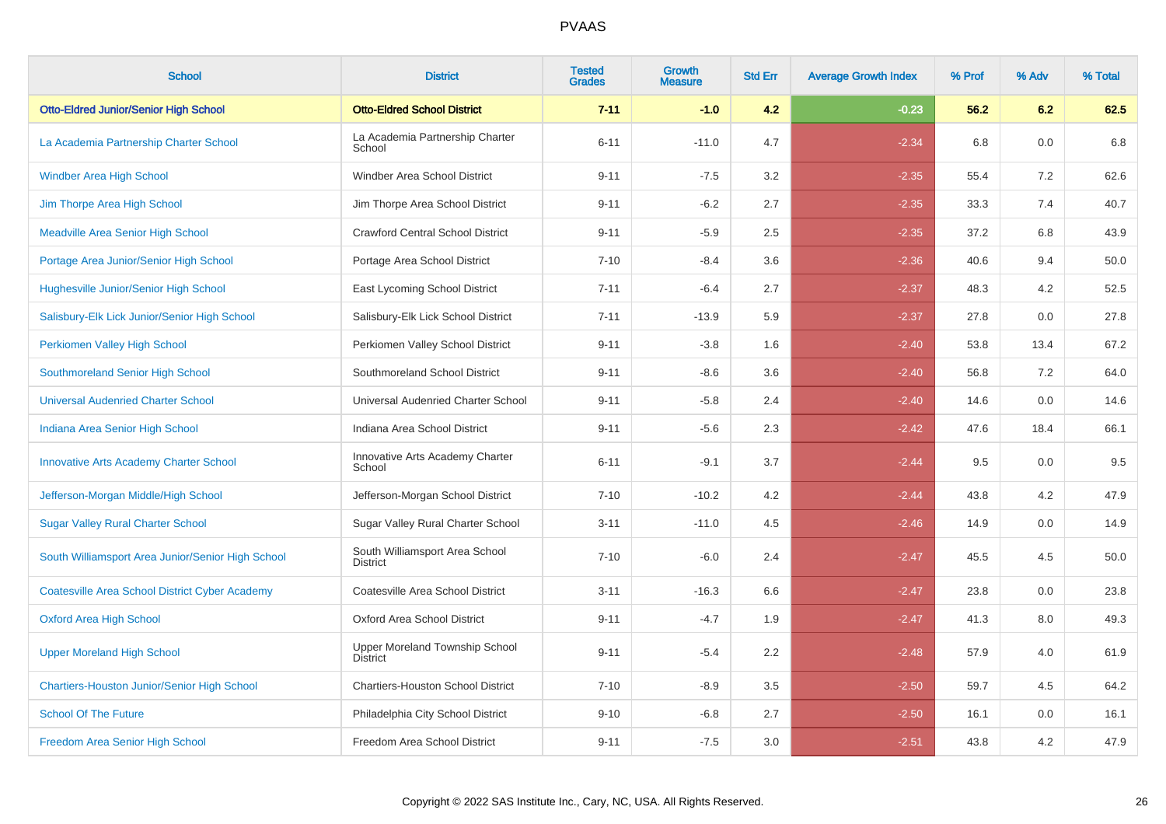| <b>School</b>                                         | <b>District</b>                                   | <b>Tested</b><br><b>Grades</b> | Growth<br><b>Measure</b> | <b>Std Err</b> | <b>Average Growth Index</b> | % Prof | % Adv | % Total |
|-------------------------------------------------------|---------------------------------------------------|--------------------------------|--------------------------|----------------|-----------------------------|--------|-------|---------|
| <b>Otto-Eldred Junior/Senior High School</b>          | <b>Otto-Eldred School District</b>                | $7 - 11$                       | $-1.0$                   | 4.2            | $-0.23$                     | 56.2   | 6.2   | 62.5    |
| La Academia Partnership Charter School                | La Academia Partnership Charter<br>School         | $6 - 11$                       | $-11.0$                  | 4.7            | $-2.34$                     | 6.8    | 0.0   | 6.8     |
| <b>Windber Area High School</b>                       | Windber Area School District                      | $9 - 11$                       | $-7.5$                   | 3.2            | $-2.35$                     | 55.4   | 7.2   | 62.6    |
| Jim Thorpe Area High School                           | Jim Thorpe Area School District                   | $9 - 11$                       | $-6.2$                   | 2.7            | $-2.35$                     | 33.3   | 7.4   | 40.7    |
| <b>Meadville Area Senior High School</b>              | <b>Crawford Central School District</b>           | $9 - 11$                       | $-5.9$                   | 2.5            | $-2.35$                     | 37.2   | 6.8   | 43.9    |
| Portage Area Junior/Senior High School                | Portage Area School District                      | $7 - 10$                       | $-8.4$                   | 3.6            | $-2.36$                     | 40.6   | 9.4   | 50.0    |
| <b>Hughesville Junior/Senior High School</b>          | East Lycoming School District                     | $7 - 11$                       | $-6.4$                   | 2.7            | $-2.37$                     | 48.3   | 4.2   | 52.5    |
| Salisbury-Elk Lick Junior/Senior High School          | Salisbury-Elk Lick School District                | $7 - 11$                       | $-13.9$                  | 5.9            | $-2.37$                     | 27.8   | 0.0   | 27.8    |
| Perkiomen Valley High School                          | Perkiomen Valley School District                  | $9 - 11$                       | $-3.8$                   | 1.6            | $-2.40$                     | 53.8   | 13.4  | 67.2    |
| Southmoreland Senior High School                      | Southmoreland School District                     | $9 - 11$                       | $-8.6$                   | 3.6            | $-2.40$                     | 56.8   | 7.2   | 64.0    |
| <b>Universal Audenried Charter School</b>             | Universal Audenried Charter School                | $9 - 11$                       | $-5.8$                   | 2.4            | $-2.40$                     | 14.6   | 0.0   | 14.6    |
| Indiana Area Senior High School                       | Indiana Area School District                      | $9 - 11$                       | $-5.6$                   | 2.3            | $-2.42$                     | 47.6   | 18.4  | 66.1    |
| <b>Innovative Arts Academy Charter School</b>         | Innovative Arts Academy Charter<br>School         | $6 - 11$                       | $-9.1$                   | 3.7            | $-2.44$                     | 9.5    | 0.0   | 9.5     |
| Jefferson-Morgan Middle/High School                   | Jefferson-Morgan School District                  | $7 - 10$                       | $-10.2$                  | 4.2            | $-2.44$                     | 43.8   | 4.2   | 47.9    |
| <b>Sugar Valley Rural Charter School</b>              | Sugar Valley Rural Charter School                 | $3 - 11$                       | $-11.0$                  | 4.5            | $-2.46$                     | 14.9   | 0.0   | 14.9    |
| South Williamsport Area Junior/Senior High School     | South Williamsport Area School<br><b>District</b> | $7 - 10$                       | $-6.0$                   | 2.4            | $-2.47$                     | 45.5   | 4.5   | 50.0    |
| <b>Coatesville Area School District Cyber Academy</b> | Coatesville Area School District                  | $3 - 11$                       | $-16.3$                  | 6.6            | $-2.47$                     | 23.8   | 0.0   | 23.8    |
| <b>Oxford Area High School</b>                        | Oxford Area School District                       | $9 - 11$                       | $-4.7$                   | 1.9            | $-2.47$                     | 41.3   | 8.0   | 49.3    |
| <b>Upper Moreland High School</b>                     | Upper Moreland Township School<br>District        | $9 - 11$                       | $-5.4$                   | 2.2            | $-2.48$                     | 57.9   | 4.0   | 61.9    |
| <b>Chartiers-Houston Junior/Senior High School</b>    | <b>Chartiers-Houston School District</b>          | $7 - 10$                       | $-8.9$                   | 3.5            | $-2.50$                     | 59.7   | 4.5   | 64.2    |
| <b>School Of The Future</b>                           | Philadelphia City School District                 | $9 - 10$                       | $-6.8$                   | 2.7            | $-2.50$                     | 16.1   | 0.0   | 16.1    |
| Freedom Area Senior High School                       | Freedom Area School District                      | $9 - 11$                       | $-7.5$                   | 3.0            | $-2.51$                     | 43.8   | 4.2   | 47.9    |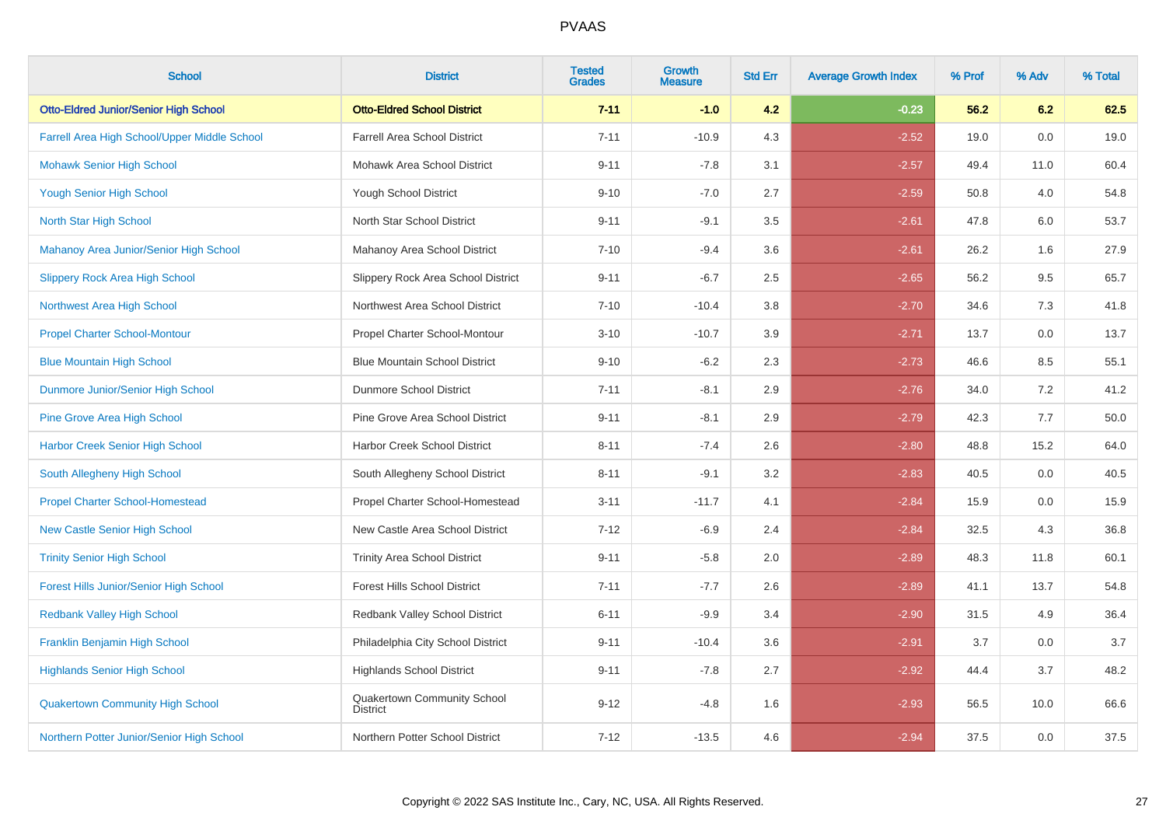| <b>School</b>                                 | <b>District</b>                                | <b>Tested</b><br><b>Grades</b> | Growth<br><b>Measure</b> | <b>Std Err</b> | <b>Average Growth Index</b> | % Prof | % Adv | % Total |
|-----------------------------------------------|------------------------------------------------|--------------------------------|--------------------------|----------------|-----------------------------|--------|-------|---------|
| <b>Otto-Eldred Junior/Senior High School</b>  | <b>Otto-Eldred School District</b>             | $7 - 11$                       | $-1.0$                   | 4.2            | $-0.23$                     | 56.2   | 6.2   | 62.5    |
| Farrell Area High School/Upper Middle School  | <b>Farrell Area School District</b>            | $7 - 11$                       | $-10.9$                  | 4.3            | $-2.52$                     | 19.0   | 0.0   | 19.0    |
| <b>Mohawk Senior High School</b>              | Mohawk Area School District                    | $9 - 11$                       | $-7.8$                   | 3.1            | $-2.57$                     | 49.4   | 11.0  | 60.4    |
| <b>Yough Senior High School</b>               | <b>Yough School District</b>                   | $9 - 10$                       | $-7.0$                   | 2.7            | $-2.59$                     | 50.8   | 4.0   | 54.8    |
| North Star High School                        | North Star School District                     | $9 - 11$                       | $-9.1$                   | 3.5            | $-2.61$                     | 47.8   | 6.0   | 53.7    |
| Mahanoy Area Junior/Senior High School        | Mahanoy Area School District                   | $7 - 10$                       | $-9.4$                   | 3.6            | $-2.61$                     | 26.2   | 1.6   | 27.9    |
| <b>Slippery Rock Area High School</b>         | Slippery Rock Area School District             | $9 - 11$                       | $-6.7$                   | 2.5            | $-2.65$                     | 56.2   | 9.5   | 65.7    |
| Northwest Area High School                    | Northwest Area School District                 | $7 - 10$                       | $-10.4$                  | 3.8            | $-2.70$                     | 34.6   | 7.3   | 41.8    |
| <b>Propel Charter School-Montour</b>          | Propel Charter School-Montour                  | $3 - 10$                       | $-10.7$                  | 3.9            | $-2.71$                     | 13.7   | 0.0   | 13.7    |
| <b>Blue Mountain High School</b>              | <b>Blue Mountain School District</b>           | $9 - 10$                       | $-6.2$                   | 2.3            | $-2.73$                     | 46.6   | 8.5   | 55.1    |
| Dunmore Junior/Senior High School             | Dunmore School District                        | $7 - 11$                       | $-8.1$                   | 2.9            | $-2.76$                     | 34.0   | 7.2   | 41.2    |
| <b>Pine Grove Area High School</b>            | Pine Grove Area School District                | $9 - 11$                       | $-8.1$                   | 2.9            | $-2.79$                     | 42.3   | 7.7   | 50.0    |
| <b>Harbor Creek Senior High School</b>        | Harbor Creek School District                   | $8 - 11$                       | $-7.4$                   | 2.6            | $-2.80$                     | 48.8   | 15.2  | 64.0    |
| South Allegheny High School                   | South Allegheny School District                | $8 - 11$                       | $-9.1$                   | 3.2            | $-2.83$                     | 40.5   | 0.0   | 40.5    |
| <b>Propel Charter School-Homestead</b>        | Propel Charter School-Homestead                | $3 - 11$                       | $-11.7$                  | 4.1            | $-2.84$                     | 15.9   | 0.0   | 15.9    |
| <b>New Castle Senior High School</b>          | New Castle Area School District                | $7 - 12$                       | $-6.9$                   | 2.4            | $-2.84$                     | 32.5   | 4.3   | 36.8    |
| <b>Trinity Senior High School</b>             | <b>Trinity Area School District</b>            | $9 - 11$                       | $-5.8$                   | $2.0\,$        | $-2.89$                     | 48.3   | 11.8  | 60.1    |
| <b>Forest Hills Junior/Senior High School</b> | Forest Hills School District                   | $7 - 11$                       | $-7.7$                   | 2.6            | $-2.89$                     | 41.1   | 13.7  | 54.8    |
| <b>Redbank Valley High School</b>             | Redbank Valley School District                 | $6 - 11$                       | $-9.9$                   | 3.4            | $-2.90$                     | 31.5   | 4.9   | 36.4    |
| <b>Franklin Benjamin High School</b>          | Philadelphia City School District              | $9 - 11$                       | $-10.4$                  | 3.6            | $-2.91$                     | 3.7    | 0.0   | 3.7     |
| <b>Highlands Senior High School</b>           | <b>Highlands School District</b>               | $9 - 11$                       | $-7.8$                   | 2.7            | $-2.92$                     | 44.4   | 3.7   | 48.2    |
| <b>Quakertown Community High School</b>       | Quakertown Community School<br><b>District</b> | $9 - 12$                       | $-4.8$                   | 1.6            | $-2.93$                     | 56.5   | 10.0  | 66.6    |
| Northern Potter Junior/Senior High School     | Northern Potter School District                | $7 - 12$                       | $-13.5$                  | 4.6            | $-2.94$                     | 37.5   | 0.0   | 37.5    |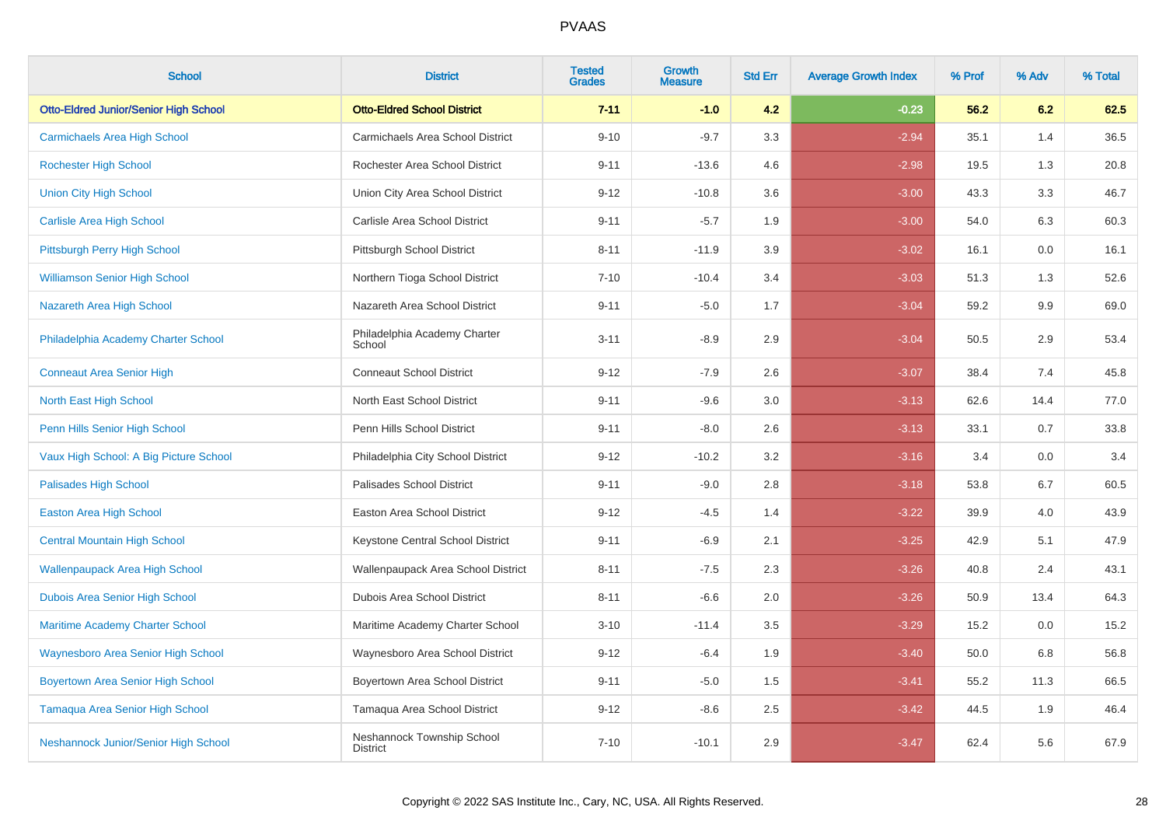| <b>School</b>                                | <b>District</b>                               | <b>Tested</b><br><b>Grades</b> | Growth<br><b>Measure</b> | <b>Std Err</b> | <b>Average Growth Index</b> | % Prof | % Adv | % Total |
|----------------------------------------------|-----------------------------------------------|--------------------------------|--------------------------|----------------|-----------------------------|--------|-------|---------|
| <b>Otto-Eldred Junior/Senior High School</b> | <b>Otto-Eldred School District</b>            | $7 - 11$                       | $-1.0$                   | 4.2            | $-0.23$                     | 56.2   | 6.2   | 62.5    |
| <b>Carmichaels Area High School</b>          | Carmichaels Area School District              | $9 - 10$                       | $-9.7$                   | 3.3            | $-2.94$                     | 35.1   | 1.4   | 36.5    |
| <b>Rochester High School</b>                 | Rochester Area School District                | $9 - 11$                       | $-13.6$                  | 4.6            | $-2.98$                     | 19.5   | 1.3   | 20.8    |
| <b>Union City High School</b>                | Union City Area School District               | $9 - 12$                       | $-10.8$                  | 3.6            | $-3.00$                     | 43.3   | 3.3   | 46.7    |
| <b>Carlisle Area High School</b>             | Carlisle Area School District                 | $9 - 11$                       | $-5.7$                   | 1.9            | $-3.00$                     | 54.0   | 6.3   | 60.3    |
| Pittsburgh Perry High School                 | Pittsburgh School District                    | $8 - 11$                       | $-11.9$                  | 3.9            | $-3.02$                     | 16.1   | 0.0   | 16.1    |
| <b>Williamson Senior High School</b>         | Northern Tioga School District                | $7 - 10$                       | $-10.4$                  | 3.4            | $-3.03$                     | 51.3   | 1.3   | 52.6    |
| Nazareth Area High School                    | Nazareth Area School District                 | $9 - 11$                       | $-5.0$                   | 1.7            | $-3.04$                     | 59.2   | 9.9   | 69.0    |
| Philadelphia Academy Charter School          | Philadelphia Academy Charter<br>School        | $3 - 11$                       | $-8.9$                   | 2.9            | $-3.04$                     | 50.5   | 2.9   | 53.4    |
| <b>Conneaut Area Senior High</b>             | <b>Conneaut School District</b>               | $9 - 12$                       | $-7.9$                   | 2.6            | $-3.07$                     | 38.4   | 7.4   | 45.8    |
| North East High School                       | North East School District                    | $9 - 11$                       | $-9.6$                   | 3.0            | $-3.13$                     | 62.6   | 14.4  | 77.0    |
| Penn Hills Senior High School                | Penn Hills School District                    | $9 - 11$                       | $-8.0$                   | 2.6            | $-3.13$                     | 33.1   | 0.7   | 33.8    |
| Vaux High School: A Big Picture School       | Philadelphia City School District             | $9 - 12$                       | $-10.2$                  | 3.2            | $-3.16$                     | 3.4    | 0.0   | 3.4     |
| <b>Palisades High School</b>                 | Palisades School District                     | $9 - 11$                       | $-9.0$                   | 2.8            | $-3.18$                     | 53.8   | 6.7   | 60.5    |
| <b>Easton Area High School</b>               | Easton Area School District                   | $9 - 12$                       | $-4.5$                   | 1.4            | $-3.22$                     | 39.9   | 4.0   | 43.9    |
| <b>Central Mountain High School</b>          | Keystone Central School District              | $9 - 11$                       | $-6.9$                   | 2.1            | $-3.25$                     | 42.9   | 5.1   | 47.9    |
| <b>Wallenpaupack Area High School</b>        | Wallenpaupack Area School District            | $8 - 11$                       | $-7.5$                   | $2.3\,$        | $-3.26$                     | 40.8   | 2.4   | 43.1    |
| Dubois Area Senior High School               | <b>Dubois Area School District</b>            | $8 - 11$                       | $-6.6$                   | 2.0            | $-3.26$                     | 50.9   | 13.4  | 64.3    |
| <b>Maritime Academy Charter School</b>       | Maritime Academy Charter School               | $3 - 10$                       | $-11.4$                  | 3.5            | $-3.29$                     | 15.2   | 0.0   | 15.2    |
| <b>Waynesboro Area Senior High School</b>    | Waynesboro Area School District               | $9 - 12$                       | $-6.4$                   | 1.9            | $-3.40$                     | 50.0   | 6.8   | 56.8    |
| <b>Boyertown Area Senior High School</b>     | Boyertown Area School District                | $9 - 11$                       | $-5.0$                   | 1.5            | $-3.41$                     | 55.2   | 11.3  | 66.5    |
| Tamaqua Area Senior High School              | Tamaqua Area School District                  | $9 - 12$                       | $-8.6$                   | 2.5            | $-3.42$                     | 44.5   | 1.9   | 46.4    |
| Neshannock Junior/Senior High School         | Neshannock Township School<br><b>District</b> | $7 - 10$                       | $-10.1$                  | 2.9            | $-3.47$                     | 62.4   | 5.6   | 67.9    |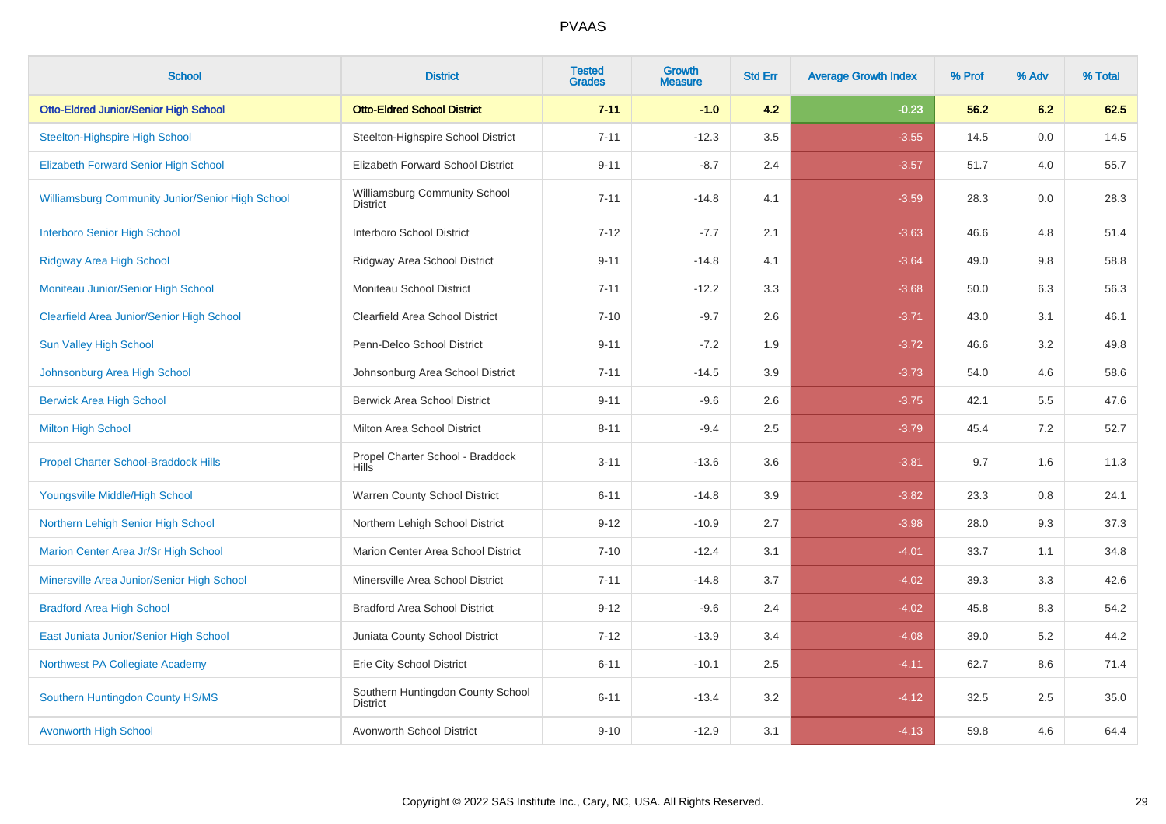| <b>School</b>                                           | <b>District</b>                                      | <b>Tested</b><br><b>Grades</b> | <b>Growth</b><br><b>Measure</b> | <b>Std Err</b> | <b>Average Growth Index</b> | % Prof | % Adv | % Total |
|---------------------------------------------------------|------------------------------------------------------|--------------------------------|---------------------------------|----------------|-----------------------------|--------|-------|---------|
| <b>Otto-Eldred Junior/Senior High School</b>            | <b>Otto-Eldred School District</b>                   | $7 - 11$                       | $-1.0$                          | 4.2            | $-0.23$                     | 56.2   | 6.2   | 62.5    |
| <b>Steelton-Highspire High School</b>                   | Steelton-Highspire School District                   | $7 - 11$                       | $-12.3$                         | 3.5            | $-3.55$                     | 14.5   | 0.0   | 14.5    |
| <b>Elizabeth Forward Senior High School</b>             | Elizabeth Forward School District                    | $9 - 11$                       | $-8.7$                          | 2.4            | $-3.57$                     | 51.7   | 4.0   | 55.7    |
| <b>Williamsburg Community Junior/Senior High School</b> | Williamsburg Community School<br><b>District</b>     | $7 - 11$                       | $-14.8$                         | 4.1            | $-3.59$                     | 28.3   | 0.0   | 28.3    |
| <b>Interboro Senior High School</b>                     | Interboro School District                            | $7 - 12$                       | $-7.7$                          | 2.1            | $-3.63$                     | 46.6   | 4.8   | 51.4    |
| <b>Ridgway Area High School</b>                         | Ridgway Area School District                         | $9 - 11$                       | $-14.8$                         | 4.1            | $-3.64$                     | 49.0   | 9.8   | 58.8    |
| Moniteau Junior/Senior High School                      | Moniteau School District                             | $7 - 11$                       | $-12.2$                         | 3.3            | $-3.68$                     | 50.0   | 6.3   | 56.3    |
| <b>Clearfield Area Junior/Senior High School</b>        | Clearfield Area School District                      | $7 - 10$                       | $-9.7$                          | 2.6            | $-3.71$                     | 43.0   | 3.1   | 46.1    |
| <b>Sun Valley High School</b>                           | Penn-Delco School District                           | $9 - 11$                       | $-7.2$                          | 1.9            | $-3.72$                     | 46.6   | 3.2   | 49.8    |
| Johnsonburg Area High School                            | Johnsonburg Area School District                     | $7 - 11$                       | $-14.5$                         | 3.9            | $-3.73$                     | 54.0   | 4.6   | 58.6    |
| <b>Berwick Area High School</b>                         | <b>Berwick Area School District</b>                  | $9 - 11$                       | $-9.6$                          | 2.6            | $-3.75$                     | 42.1   | 5.5   | 47.6    |
| <b>Milton High School</b>                               | Milton Area School District                          | $8 - 11$                       | $-9.4$                          | 2.5            | $-3.79$                     | 45.4   | 7.2   | 52.7    |
| <b>Propel Charter School-Braddock Hills</b>             | Propel Charter School - Braddock<br><b>Hills</b>     | $3 - 11$                       | $-13.6$                         | 3.6            | $-3.81$                     | 9.7    | 1.6   | 11.3    |
| Youngsville Middle/High School                          | Warren County School District                        | $6 - 11$                       | $-14.8$                         | 3.9            | $-3.82$                     | 23.3   | 0.8   | 24.1    |
| Northern Lehigh Senior High School                      | Northern Lehigh School District                      | $9 - 12$                       | $-10.9$                         | 2.7            | $-3.98$                     | 28.0   | 9.3   | 37.3    |
| Marion Center Area Jr/Sr High School                    | Marion Center Area School District                   | $7 - 10$                       | $-12.4$                         | 3.1            | $-4.01$                     | 33.7   | 1.1   | 34.8    |
| Minersville Area Junior/Senior High School              | Minersville Area School District                     | $7 - 11$                       | $-14.8$                         | 3.7            | $-4.02$                     | 39.3   | 3.3   | 42.6    |
| <b>Bradford Area High School</b>                        | <b>Bradford Area School District</b>                 | $9 - 12$                       | $-9.6$                          | 2.4            | $-4.02$                     | 45.8   | 8.3   | 54.2    |
| East Juniata Junior/Senior High School                  | Juniata County School District                       | $7 - 12$                       | $-13.9$                         | 3.4            | $-4.08$                     | 39.0   | 5.2   | 44.2    |
| Northwest PA Collegiate Academy                         | Erie City School District                            | $6 - 11$                       | $-10.1$                         | 2.5            | $-4.11$                     | 62.7   | 8.6   | 71.4    |
| Southern Huntingdon County HS/MS                        | Southern Huntingdon County School<br><b>District</b> | $6 - 11$                       | $-13.4$                         | 3.2            | $-4.12$                     | 32.5   | 2.5   | 35.0    |
| <b>Avonworth High School</b>                            | Avonworth School District                            | $9 - 10$                       | $-12.9$                         | 3.1            | $-4.13$                     | 59.8   | 4.6   | 64.4    |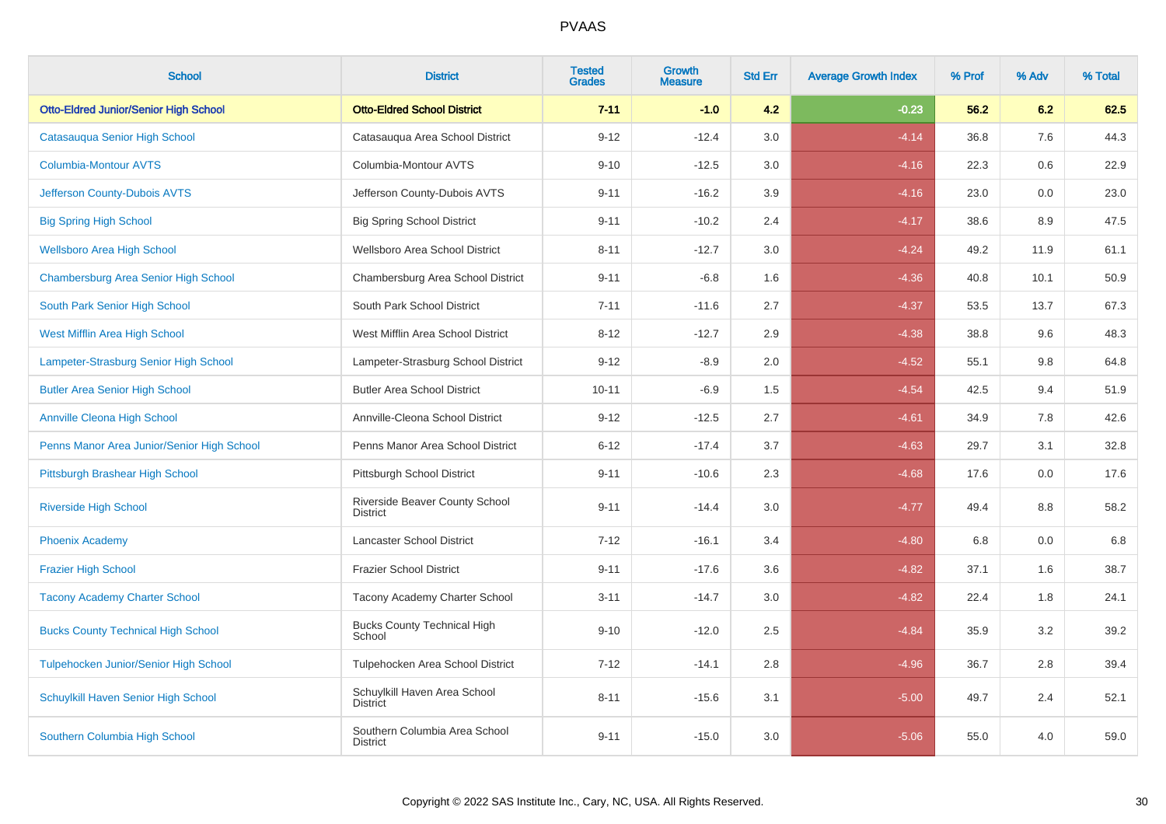| <b>School</b>                                | <b>District</b>                                  | <b>Tested</b><br><b>Grades</b> | Growth<br><b>Measure</b> | <b>Std Err</b> | <b>Average Growth Index</b> | % Prof | % Adv | % Total |
|----------------------------------------------|--------------------------------------------------|--------------------------------|--------------------------|----------------|-----------------------------|--------|-------|---------|
| <b>Otto-Eldred Junior/Senior High School</b> | <b>Otto-Eldred School District</b>               | $7 - 11$                       | $-1.0$                   | 4.2            | $-0.23$                     | 56.2   | 6.2   | 62.5    |
| Catasauqua Senior High School                | Catasauqua Area School District                  | $9 - 12$                       | $-12.4$                  | 3.0            | $-4.14$                     | 36.8   | 7.6   | 44.3    |
| <b>Columbia-Montour AVTS</b>                 | Columbia-Montour AVTS                            | $9 - 10$                       | $-12.5$                  | 3.0            | $-4.16$                     | 22.3   | 0.6   | 22.9    |
| Jefferson County-Dubois AVTS                 | Jefferson County-Dubois AVTS                     | $9 - 11$                       | $-16.2$                  | 3.9            | $-4.16$                     | 23.0   | 0.0   | 23.0    |
| <b>Big Spring High School</b>                | <b>Big Spring School District</b>                | $9 - 11$                       | $-10.2$                  | 2.4            | $-4.17$                     | 38.6   | 8.9   | 47.5    |
| <b>Wellsboro Area High School</b>            | Wellsboro Area School District                   | $8 - 11$                       | $-12.7$                  | 3.0            | $-4.24$                     | 49.2   | 11.9  | 61.1    |
| Chambersburg Area Senior High School         | Chambersburg Area School District                | $9 - 11$                       | $-6.8$                   | 1.6            | $-4.36$                     | 40.8   | 10.1  | 50.9    |
| South Park Senior High School                | South Park School District                       | $7 - 11$                       | $-11.6$                  | 2.7            | $-4.37$                     | 53.5   | 13.7  | 67.3    |
| West Mifflin Area High School                | West Mifflin Area School District                | $8 - 12$                       | $-12.7$                  | 2.9            | $-4.38$                     | 38.8   | 9.6   | 48.3    |
| Lampeter-Strasburg Senior High School        | Lampeter-Strasburg School District               | $9 - 12$                       | $-8.9$                   | 2.0            | $-4.52$                     | 55.1   | 9.8   | 64.8    |
| <b>Butler Area Senior High School</b>        | <b>Butler Area School District</b>               | $10 - 11$                      | $-6.9$                   | 1.5            | $-4.54$                     | 42.5   | 9.4   | 51.9    |
| <b>Annville Cleona High School</b>           | Annville-Cleona School District                  | $9 - 12$                       | $-12.5$                  | 2.7            | $-4.61$                     | 34.9   | 7.8   | 42.6    |
| Penns Manor Area Junior/Senior High School   | Penns Manor Area School District                 | $6 - 12$                       | $-17.4$                  | 3.7            | $-4.63$                     | 29.7   | 3.1   | 32.8    |
| Pittsburgh Brashear High School              | Pittsburgh School District                       | $9 - 11$                       | $-10.6$                  | 2.3            | $-4.68$                     | 17.6   | 0.0   | 17.6    |
| <b>Riverside High School</b>                 | Riverside Beaver County School<br>District       | $9 - 11$                       | $-14.4$                  | $3.0\,$        | $-4.77$                     | 49.4   | 8.8   | 58.2    |
| <b>Phoenix Academy</b>                       | Lancaster School District                        | $7 - 12$                       | $-16.1$                  | 3.4            | $-4.80$                     | 6.8    | 0.0   | 6.8     |
| <b>Frazier High School</b>                   | <b>Frazier School District</b>                   | $9 - 11$                       | $-17.6$                  | 3.6            | $-4.82$                     | 37.1   | 1.6   | 38.7    |
| <b>Tacony Academy Charter School</b>         | Tacony Academy Charter School                    | $3 - 11$                       | $-14.7$                  | 3.0            | $-4.82$                     | 22.4   | 1.8   | 24.1    |
| <b>Bucks County Technical High School</b>    | <b>Bucks County Technical High</b><br>School     | $9 - 10$                       | $-12.0$                  | 2.5            | $-4.84$                     | 35.9   | 3.2   | 39.2    |
| <b>Tulpehocken Junior/Senior High School</b> | Tulpehocken Area School District                 | $7 - 12$                       | $-14.1$                  | 2.8            | $-4.96$                     | 36.7   | 2.8   | 39.4    |
| Schuylkill Haven Senior High School          | Schuylkill Haven Area School<br><b>District</b>  | $8 - 11$                       | $-15.6$                  | 3.1            | $-5.00$                     | 49.7   | 2.4   | 52.1    |
| Southern Columbia High School                | Southern Columbia Area School<br><b>District</b> | $9 - 11$                       | $-15.0$                  | 3.0            | $-5.06$                     | 55.0   | 4.0   | 59.0    |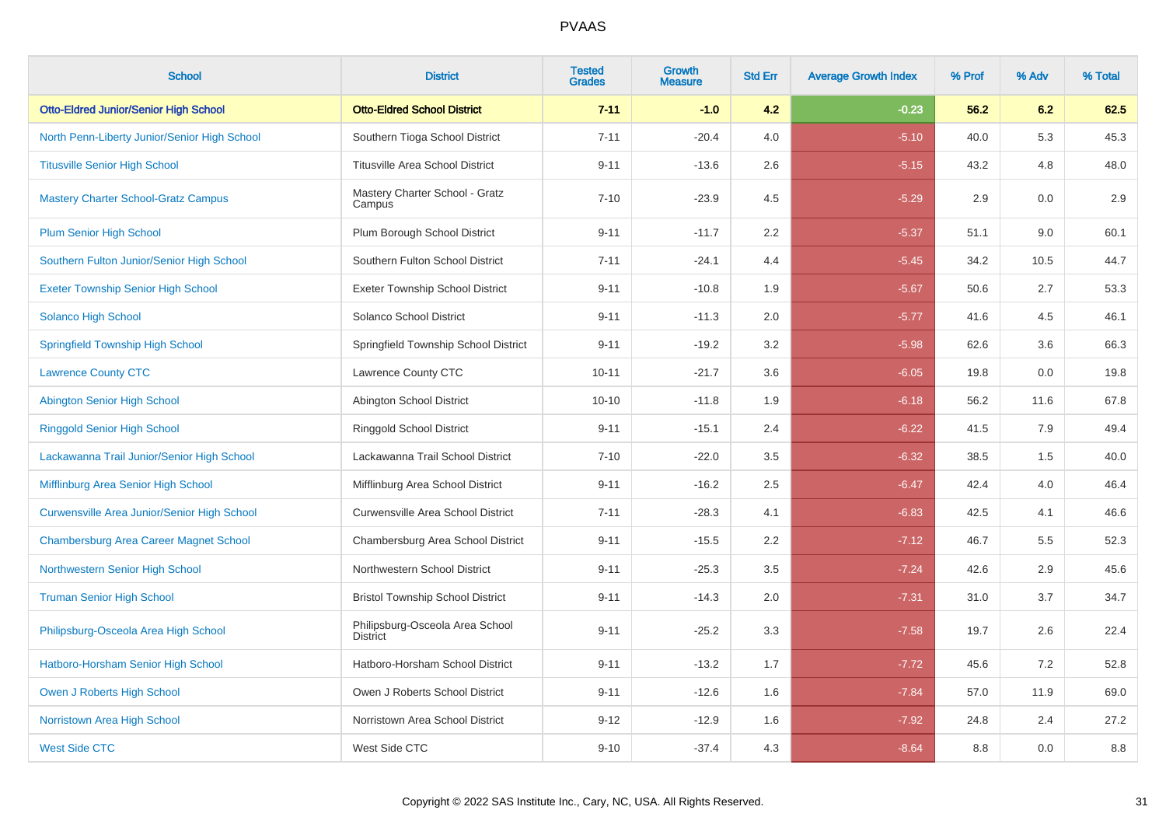| <b>School</b>                                 | <b>District</b>                                    | <b>Tested</b><br><b>Grades</b> | <b>Growth</b><br><b>Measure</b> | <b>Std Err</b> | <b>Average Growth Index</b> | % Prof | % Adv | % Total |
|-----------------------------------------------|----------------------------------------------------|--------------------------------|---------------------------------|----------------|-----------------------------|--------|-------|---------|
| <b>Otto-Eldred Junior/Senior High School</b>  | <b>Otto-Eldred School District</b>                 | $7 - 11$                       | $-1.0$                          | 4.2            | $-0.23$                     | 56.2   | 6.2   | 62.5    |
| North Penn-Liberty Junior/Senior High School  | Southern Tioga School District                     | $7 - 11$                       | $-20.4$                         | 4.0            | $-5.10$                     | 40.0   | 5.3   | 45.3    |
| <b>Titusville Senior High School</b>          | <b>Titusville Area School District</b>             | $9 - 11$                       | $-13.6$                         | 2.6            | $-5.15$                     | 43.2   | 4.8   | 48.0    |
| <b>Mastery Charter School-Gratz Campus</b>    | Mastery Charter School - Gratz<br>Campus           | $7 - 10$                       | $-23.9$                         | 4.5            | $-5.29$                     | 2.9    | 0.0   | 2.9     |
| <b>Plum Senior High School</b>                | Plum Borough School District                       | $9 - 11$                       | $-11.7$                         | 2.2            | $-5.37$                     | 51.1   | 9.0   | 60.1    |
| Southern Fulton Junior/Senior High School     | Southern Fulton School District                    | $7 - 11$                       | $-24.1$                         | 4.4            | $-5.45$                     | 34.2   | 10.5  | 44.7    |
| <b>Exeter Township Senior High School</b>     | <b>Exeter Township School District</b>             | $9 - 11$                       | $-10.8$                         | 1.9            | $-5.67$                     | 50.6   | 2.7   | 53.3    |
| <b>Solanco High School</b>                    | Solanco School District                            | $9 - 11$                       | $-11.3$                         | 2.0            | $-5.77$                     | 41.6   | 4.5   | 46.1    |
| <b>Springfield Township High School</b>       | Springfield Township School District               | $9 - 11$                       | $-19.2$                         | 3.2            | $-5.98$                     | 62.6   | 3.6   | 66.3    |
| <b>Lawrence County CTC</b>                    | Lawrence County CTC                                | $10 - 11$                      | $-21.7$                         | 3.6            | $-6.05$                     | 19.8   | 0.0   | 19.8    |
| Abington Senior High School                   | Abington School District                           | $10 - 10$                      | $-11.8$                         | 1.9            | $-6.18$                     | 56.2   | 11.6  | 67.8    |
| <b>Ringgold Senior High School</b>            | <b>Ringgold School District</b>                    | $9 - 11$                       | $-15.1$                         | 2.4            | $-6.22$                     | 41.5   | 7.9   | 49.4    |
| Lackawanna Trail Junior/Senior High School    | Lackawanna Trail School District                   | $7 - 10$                       | $-22.0$                         | 3.5            | $-6.32$                     | 38.5   | 1.5   | 40.0    |
| Mifflinburg Area Senior High School           | Mifflinburg Area School District                   | $9 - 11$                       | $-16.2$                         | 2.5            | $-6.47$                     | 42.4   | 4.0   | 46.4    |
| Curwensville Area Junior/Senior High School   | <b>Curwensville Area School District</b>           | $7 - 11$                       | $-28.3$                         | 4.1            | $-6.83$                     | 42.5   | 4.1   | 46.6    |
| <b>Chambersburg Area Career Magnet School</b> | Chambersburg Area School District                  | $9 - 11$                       | $-15.5$                         | 2.2            | $-7.12$                     | 46.7   | 5.5   | 52.3    |
| Northwestern Senior High School               | Northwestern School District                       | $9 - 11$                       | $-25.3$                         | 3.5            | $-7.24$                     | 42.6   | 2.9   | 45.6    |
| <b>Truman Senior High School</b>              | <b>Bristol Township School District</b>            | $9 - 11$                       | $-14.3$                         | 2.0            | $-7.31$                     | 31.0   | 3.7   | 34.7    |
| Philipsburg-Osceola Area High School          | Philipsburg-Osceola Area School<br><b>District</b> | $9 - 11$                       | $-25.2$                         | 3.3            | $-7.58$                     | 19.7   | 2.6   | 22.4    |
| Hatboro-Horsham Senior High School            | Hatboro-Horsham School District                    | $9 - 11$                       | $-13.2$                         | 1.7            | $-7.72$                     | 45.6   | 7.2   | 52.8    |
| Owen J Roberts High School                    | Owen J Roberts School District                     | $9 - 11$                       | $-12.6$                         | 1.6            | $-7.84$                     | 57.0   | 11.9  | 69.0    |
| Norristown Area High School                   | Norristown Area School District                    | $9 - 12$                       | $-12.9$                         | 1.6            | $-7.92$                     | 24.8   | 2.4   | 27.2    |
| <b>West Side CTC</b>                          | West Side CTC                                      | $9 - 10$                       | $-37.4$                         | 4.3            | $-8.64$                     | 8.8    | 0.0   | 8.8     |